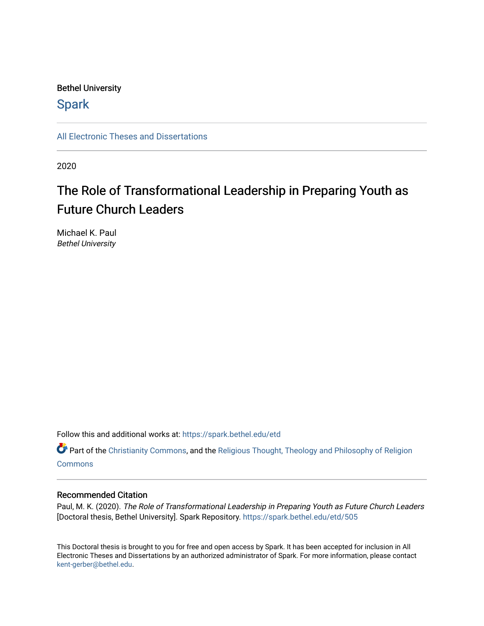### Bethel University

## **Spark**

[All Electronic Theses and Dissertations](https://spark.bethel.edu/etd) 

2020

# The Role of Transformational Leadership in Preparing Youth as Future Church Leaders

Michael K. Paul Bethel University

Follow this and additional works at: [https://spark.bethel.edu/etd](https://spark.bethel.edu/etd?utm_source=spark.bethel.edu%2Fetd%2F505&utm_medium=PDF&utm_campaign=PDFCoverPages)

Part of the [Christianity Commons,](http://network.bepress.com/hgg/discipline/1181?utm_source=spark.bethel.edu%2Fetd%2F505&utm_medium=PDF&utm_campaign=PDFCoverPages) and the [Religious Thought, Theology and Philosophy of Religion](http://network.bepress.com/hgg/discipline/544?utm_source=spark.bethel.edu%2Fetd%2F505&utm_medium=PDF&utm_campaign=PDFCoverPages)  **[Commons](http://network.bepress.com/hgg/discipline/544?utm_source=spark.bethel.edu%2Fetd%2F505&utm_medium=PDF&utm_campaign=PDFCoverPages)** 

#### Recommended Citation

Paul, M. K. (2020). The Role of Transformational Leadership in Preparing Youth as Future Church Leaders [Doctoral thesis, Bethel University]. Spark Repository. [https://spark.bethel.edu/etd/505](https://spark.bethel.edu/etd/505?utm_source=spark.bethel.edu%2Fetd%2F505&utm_medium=PDF&utm_campaign=PDFCoverPages) 

This Doctoral thesis is brought to you for free and open access by Spark. It has been accepted for inclusion in All Electronic Theses and Dissertations by an authorized administrator of Spark. For more information, please contact [kent-gerber@bethel.edu](mailto:kent-gerber@bethel.edu).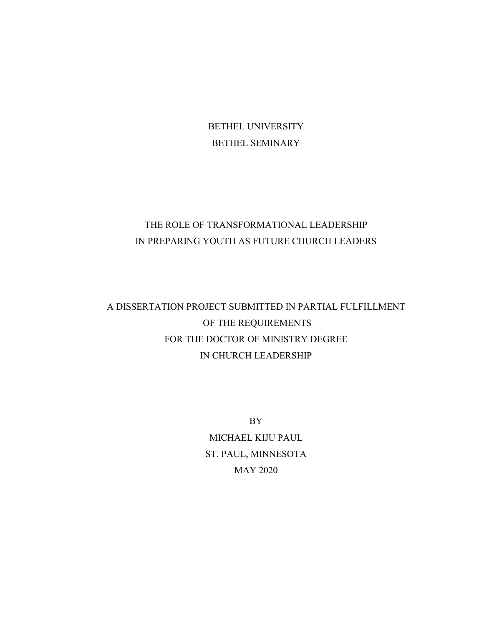BETHEL UNIVERSITY BETHEL SEMINARY

# THE ROLE OF TRANSFORMATIONAL LEADERSHIP IN PREPARING YOUTH AS FUTURE CHURCH LEADERS

A DISSERTATION PROJECT SUBMITTED IN PARTIAL FULFILLMENT OF THE REQUIREMENTS FOR THE DOCTOR OF MINISTRY DEGREE IN CHURCH LEADERSHIP

> BY MICHAEL KIJU PAUL ST. PAUL, MINNESOTA MAY 2020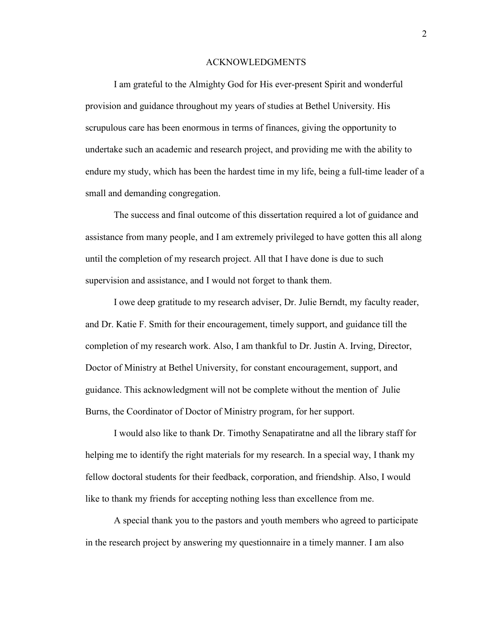#### ACKNOWLEDGMENTS

I am grateful to the Almighty God for His ever-present Spirit and wonderful provision and guidance throughout my years of studies at Bethel University. His scrupulous care has been enormous in terms of finances, giving the opportunity to undertake such an academic and research project, and providing me with the ability to endure my study, which has been the hardest time in my life, being a full-time leader of a small and demanding congregation.

The success and final outcome of this dissertation required a lot of guidance and assistance from many people, and I am extremely privileged to have gotten this all along until the completion of my research project. All that I have done is due to such supervision and assistance, and I would not forget to thank them.

I owe deep gratitude to my research adviser, Dr. Julie Berndt, my faculty reader, and Dr. Katie F. Smith for their encouragement, timely support, and guidance till the completion of my research work. Also, I am thankful to Dr. Justin A. Irving, Director, Doctor of Ministry at Bethel University, for constant encouragement, support, and guidance. This acknowledgment will not be complete without the mention of Julie Burns, the Coordinator of Doctor of Ministry program, for her support.

I would also like to thank Dr. Timothy Senapatiratne and all the library staff for helping me to identify the right materials for my research. In a special way, I thank my fellow doctoral students for their feedback, corporation, and friendship. Also, I would like to thank my friends for accepting nothing less than excellence from me.

A special thank you to the pastors and youth members who agreed to participate in the research project by answering my questionnaire in a timely manner. I am also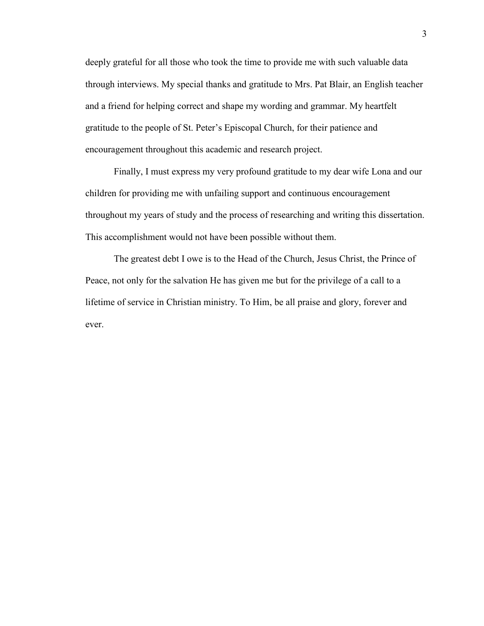deeply grateful for all those who took the time to provide me with such valuable data through interviews. My special thanks and gratitude to Mrs. Pat Blair, an English teacher and a friend for helping correct and shape my wording and grammar. My heartfelt gratitude to the people of St. Peter's Episcopal Church, for their patience and encouragement throughout this academic and research project.

Finally, I must express my very profound gratitude to my dear wife Lona and our children for providing me with unfailing support and continuous encouragement throughout my years of study and the process of researching and writing this dissertation. This accomplishment would not have been possible without them.

The greatest debt I owe is to the Head of the Church, Jesus Christ, the Prince of Peace, not only for the salvation He has given me but for the privilege of a call to a lifetime of service in Christian ministry. To Him, be all praise and glory, forever and ever.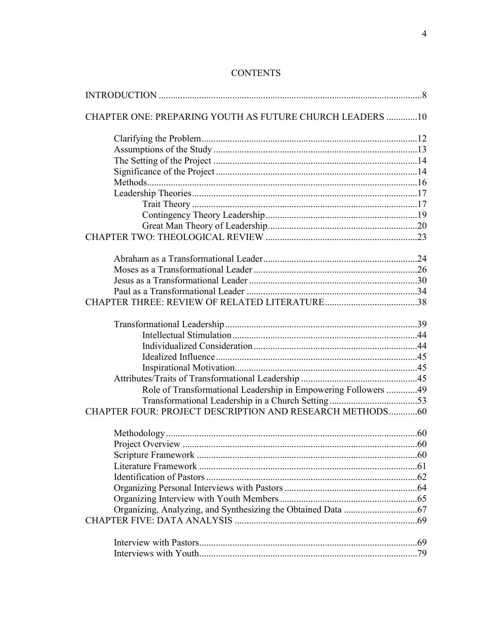| CHAPTER ONE: PREPARING YOUTH AS FUTURE CHURCH LEADERS  10      |  |
|----------------------------------------------------------------|--|
|                                                                |  |
|                                                                |  |
|                                                                |  |
|                                                                |  |
|                                                                |  |
|                                                                |  |
|                                                                |  |
|                                                                |  |
|                                                                |  |
|                                                                |  |
|                                                                |  |
|                                                                |  |
|                                                                |  |
|                                                                |  |
|                                                                |  |
|                                                                |  |
|                                                                |  |
|                                                                |  |
|                                                                |  |
|                                                                |  |
|                                                                |  |
|                                                                |  |
| Role of Transformational Leadership in Empowering Followers 49 |  |
| CHAPTER FOUR: PROJECT DESCRIPTION AND RESEARCH METHODS60       |  |
|                                                                |  |
|                                                                |  |
|                                                                |  |
|                                                                |  |
|                                                                |  |
|                                                                |  |
|                                                                |  |
|                                                                |  |
|                                                                |  |
|                                                                |  |
|                                                                |  |
|                                                                |  |

# **CONTENTS**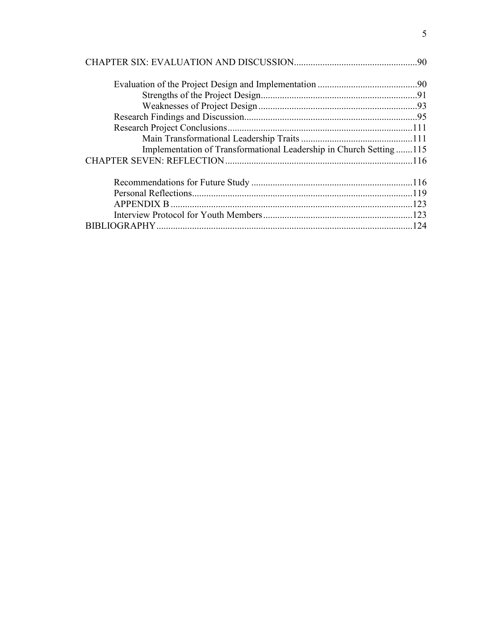| Implementation of Transformational Leadership in Church Setting115 |  |
|--------------------------------------------------------------------|--|
|                                                                    |  |
|                                                                    |  |
|                                                                    |  |
|                                                                    |  |
|                                                                    |  |
|                                                                    |  |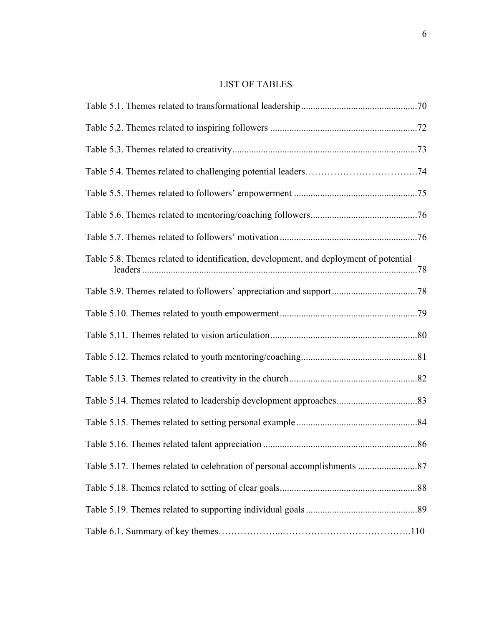### LIST OF TABLES

| Table 5.8. Themes related to identification, development, and deployment of potential |
|---------------------------------------------------------------------------------------|
|                                                                                       |
|                                                                                       |
|                                                                                       |
|                                                                                       |
|                                                                                       |
|                                                                                       |
|                                                                                       |
|                                                                                       |
|                                                                                       |
|                                                                                       |
|                                                                                       |
|                                                                                       |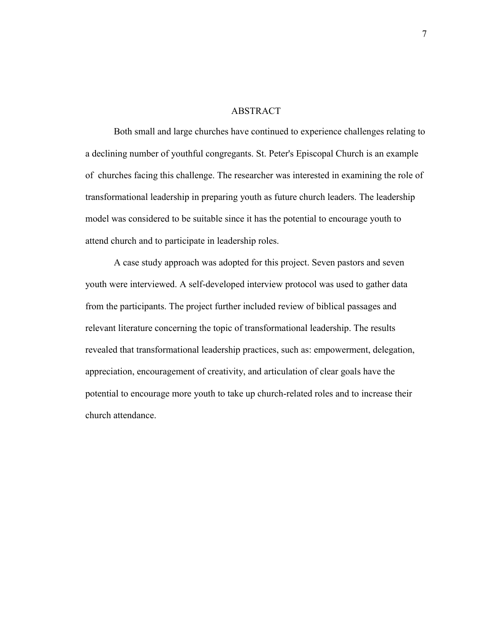#### ABSTRACT

Both small and large churches have continued to experience challenges relating to a declining number of youthful congregants. St. Peter's Episcopal Church is an example of churches facing this challenge. The researcher was interested in examining the role of transformational leadership in preparing youth as future church leaders. The leadership model was considered to be suitable since it has the potential to encourage youth to attend church and to participate in leadership roles.

A case study approach was adopted for this project. Seven pastors and seven youth were interviewed. A self-developed interview protocol was used to gather data from the participants. The project further included review of biblical passages and relevant literature concerning the topic of transformational leadership. The results revealed that transformational leadership practices, such as: empowerment, delegation, appreciation, encouragement of creativity, and articulation of clear goals have the potential to encourage more youth to take up church-related roles and to increase their church attendance.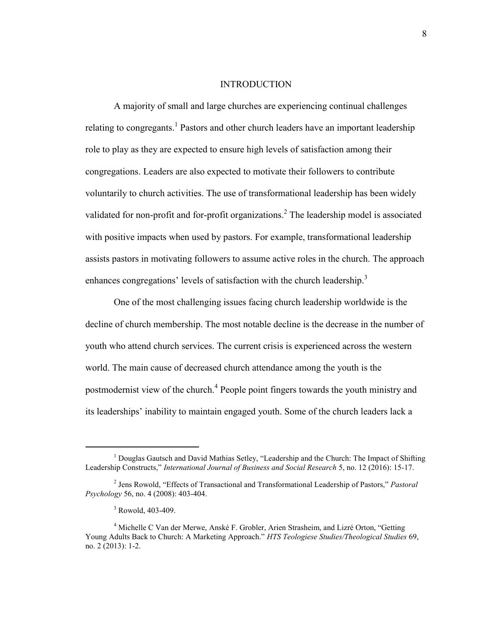#### INTRODUCTION

<span id="page-9-0"></span>A majority of small and large churches are experiencing continual challenges relating to congregants.<sup>1</sup> Pastors and other church leaders have an important leadership role to play as they are expected to ensure high levels of satisfaction among their congregations. Leaders are also expected to motivate their followers to contribute voluntarily to church activities. The use of transformational leadership has been widely validated for non-profit and for-profit organizations.<sup>2</sup> The leadership model is associated with positive impacts when used by pastors. For example, transformational leadership assists pastors in motivating followers to assume active roles in the church. The approach enhances congregations' levels of satisfaction with the church leadership.<sup>3</sup>

One of the most challenging issues facing church leadership worldwide is the decline of church membership. The most notable decline is the decrease in the number of youth who attend church services. The current crisis is experienced across the western world. The main cause of decreased church attendance among the youth is the postmodernist view of the church.<sup>4</sup> People point fingers towards the youth ministry and its leaderships' inability to maintain engaged youth. Some of the church leaders lack a

 $<sup>1</sup>$  Douglas Gautsch and David Mathias Setley, "Leadership and the Church: The Impact of Shifting</sup> Leadership Constructs," *International Journal of Business and Social Research* 5, no. 12 (2016): 15-17.

<sup>2</sup> Jens Rowold, "Effects of Transactional and Transformational Leadership of Pastors," *Pastoral Psychology* 56, no. 4 (2008): 403-404.

 $3$  Rowold, 403-409.

<sup>&</sup>lt;sup>4</sup> Michelle C Van der Merwe, Anské F. Grobler, Arien Strasheim, and Lizré Orton, "Getting Young Adults Back to Church: A Marketing Approach." *HTS Teologiese Studies/Theological Studies* 69, no. 2 (2013): 1-2.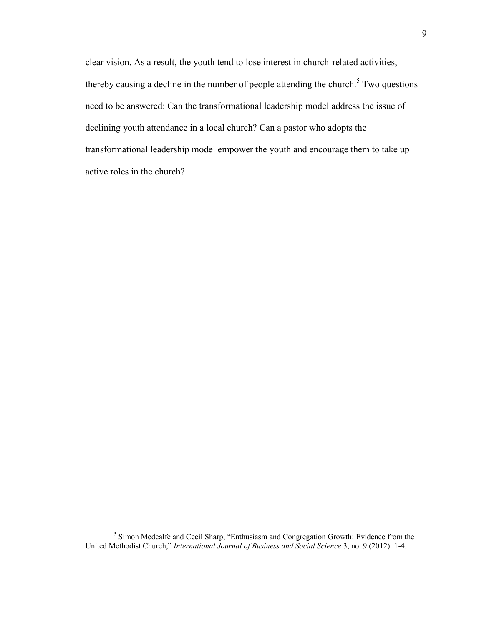clear vision. As a result, the youth tend to lose interest in church-related activities, thereby causing a decline in the number of people attending the church.<sup>5</sup> Two questions need to be answered: Can the transformational leadership model address the issue of declining youth attendance in a local church? Can a pastor who adopts the transformational leadership model empower the youth and encourage them to take up active roles in the church?

<sup>&</sup>lt;sup>5</sup> Simon Medcalfe and Cecil Sharp, "Enthusiasm and Congregation Growth: Evidence from the United Methodist Church," *International Journal of Business and Social Science* 3, no. 9 (2012): 1-4.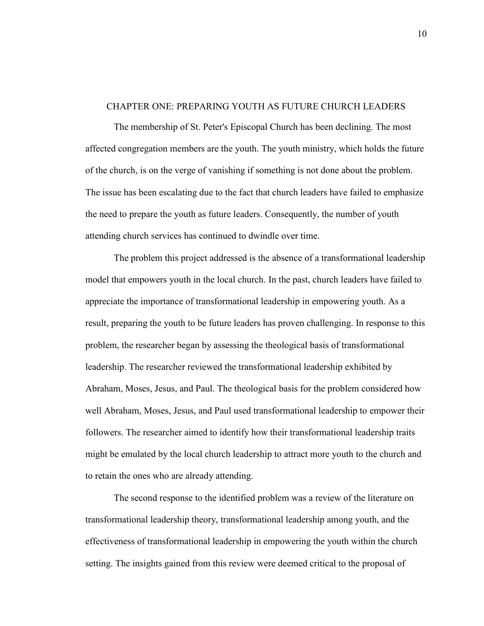#### <span id="page-11-0"></span>CHAPTER ONE: PREPARING YOUTH AS FUTURE CHURCH LEADERS

The membership of St. Peter's Episcopal Church has been declining. The most affected congregation members are the youth. The youth ministry, which holds the future of the church, is on the verge of vanishing if something is not done about the problem. The issue has been escalating due to the fact that church leaders have failed to emphasize the need to prepare the youth as future leaders. Consequently, the number of youth attending church services has continued to dwindle over time.

The problem this project addressed is the absence of a transformational leadership model that empowers youth in the local church. In the past, church leaders have failed to appreciate the importance of transformational leadership in empowering youth. As a result, preparing the youth to be future leaders has proven challenging. In response to this problem, the researcher began by assessing the theological basis of transformational leadership. The researcher reviewed the transformational leadership exhibited by Abraham, Moses, Jesus, and Paul. The theological basis for the problem considered how well Abraham, Moses, Jesus, and Paul used transformational leadership to empower their followers. The researcher aimed to identify how their transformational leadership traits might be emulated by the local church leadership to attract more youth to the church and to retain the ones who are already attending.

The second response to the identified problem was a review of the literature on transformational leadership theory, transformational leadership among youth, and the effectiveness of transformational leadership in empowering the youth within the church setting. The insights gained from this review were deemed critical to the proposal of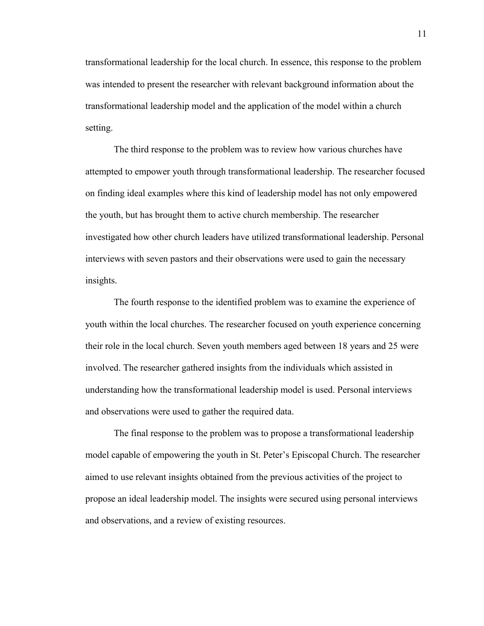transformational leadership for the local church. In essence, this response to the problem was intended to present the researcher with relevant background information about the transformational leadership model and the application of the model within a church setting.

The third response to the problem was to review how various churches have attempted to empower youth through transformational leadership. The researcher focused on finding ideal examples where this kind of leadership model has not only empowered the youth, but has brought them to active church membership. The researcher investigated how other church leaders have utilized transformational leadership. Personal interviews with seven pastors and their observations were used to gain the necessary insights.

The fourth response to the identified problem was to examine the experience of youth within the local churches. The researcher focused on youth experience concerning their role in the local church. Seven youth members aged between 18 years and 25 were involved. The researcher gathered insights from the individuals which assisted in understanding how the transformational leadership model is used. Personal interviews and observations were used to gather the required data.

The final response to the problem was to propose a transformational leadership model capable of empowering the youth in St. Peter's Episcopal Church. The researcher aimed to use relevant insights obtained from the previous activities of the project to propose an ideal leadership model. The insights were secured using personal interviews and observations, and a review of existing resources.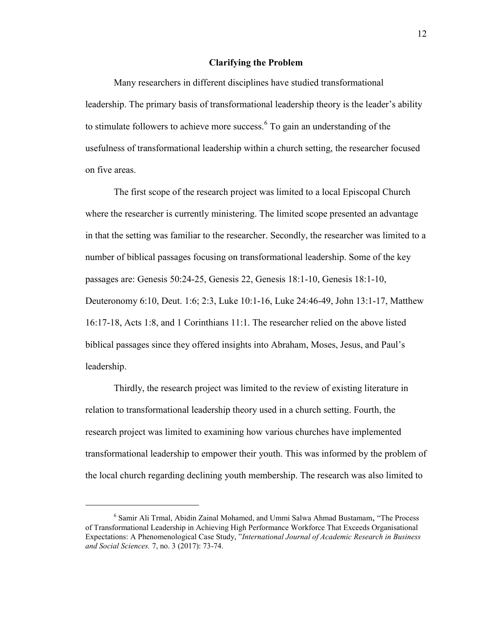#### **Clarifying the Problem**

<span id="page-13-0"></span>Many researchers in different disciplines have studied transformational leadership. The primary basis of transformational leadership theory is the leader's ability to stimulate followers to achieve more success.  $6$  To gain an understanding of the usefulness of transformational leadership within a church setting, the researcher focused on five areas.

The first scope of the research project was limited to a local Episcopal Church where the researcher is currently ministering. The limited scope presented an advantage in that the setting was familiar to the researcher. Secondly, the researcher was limited to a number of biblical passages focusing on transformational leadership. Some of the key passages are: Genesis 50:24-25, Genesis 22, Genesis 18:1-10, Genesis 18:1-10, Deuteronomy 6:10, Deut. 1:6; 2:3, Luke 10:1-16, Luke 24:46-49, John 13:1-17, Matthew 16:17-18, Acts 1:8, and 1 Corinthians 11:1. The researcher relied on the above listed biblical passages since they offered insights into Abraham, Moses, Jesus, and Paul's leadership.

Thirdly, the research project was limited to the review of existing literature in relation to transformational leadership theory used in a church setting. Fourth, the research project was limited to examining how various churches have implemented transformational leadership to empower their youth. This was informed by the problem of the local church regarding declining youth membership. The research was also limited to

<sup>6</sup> Samir Ali Trmal, Abidin Zainal Mohamed, and Ummi Salwa Ahmad Bustamam, "The Process of Transformational Leadership in Achieving High Performance Workforce That Exceeds Organisational Expectations: A Phenomenological Case Study, "*International Journal of Academic Research in Business and Social Sciences.* 7, no. 3 (2017): 73-74.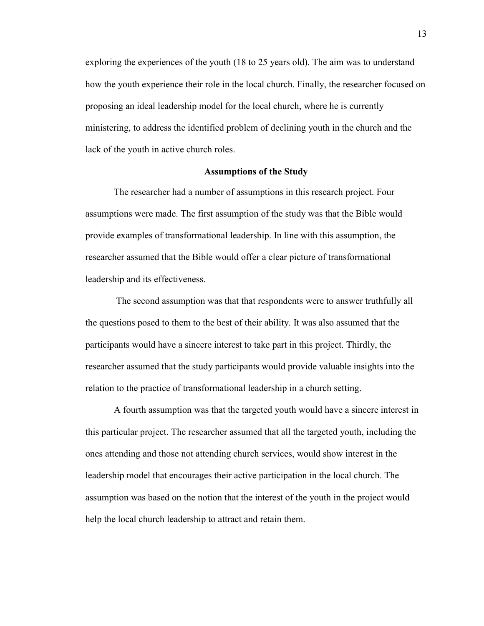exploring the experiences of the youth (18 to 25 years old). The aim was to understand how the youth experience their role in the local church. Finally, the researcher focused on proposing an ideal leadership model for the local church, where he is currently ministering, to address the identified problem of declining youth in the church and the lack of the youth in active church roles.

#### **Assumptions of the Study**

<span id="page-14-0"></span>The researcher had a number of assumptions in this research project. Four assumptions were made. The first assumption of the study was that the Bible would provide examples of transformational leadership. In line with this assumption, the researcher assumed that the Bible would offer a clear picture of transformational leadership and its effectiveness.

 The second assumption was that that respondents were to answer truthfully all the questions posed to them to the best of their ability. It was also assumed that the participants would have a sincere interest to take part in this project. Thirdly, the researcher assumed that the study participants would provide valuable insights into the relation to the practice of transformational leadership in a church setting.

A fourth assumption was that the targeted youth would have a sincere interest in this particular project. The researcher assumed that all the targeted youth, including the ones attending and those not attending church services, would show interest in the leadership model that encourages their active participation in the local church. The assumption was based on the notion that the interest of the youth in the project would help the local church leadership to attract and retain them.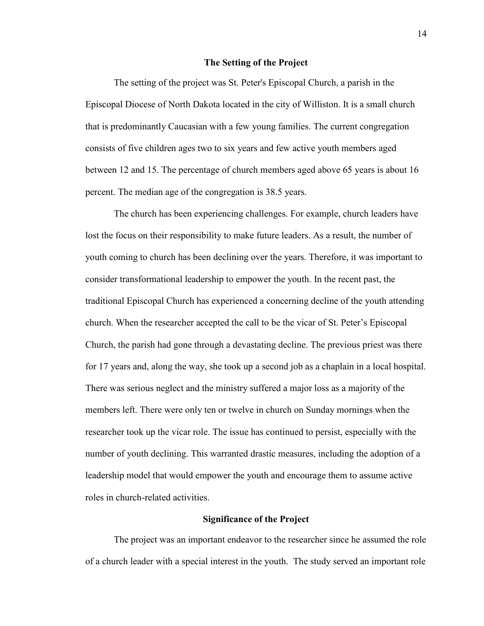#### **The Setting of the Project**

<span id="page-15-0"></span>The setting of the project was St. Peter's Episcopal Church, a parish in the Episcopal Diocese of North Dakota located in the city of Williston. It is a small church that is predominantly Caucasian with a few young families. The current congregation consists of five children ages two to six years and few active youth members aged between 12 and 15. The percentage of church members aged above 65 years is about 16 percent. The median age of the congregation is 38.5 years.

The church has been experiencing challenges. For example, church leaders have lost the focus on their responsibility to make future leaders. As a result, the number of youth coming to church has been declining over the years. Therefore, it was important to consider transformational leadership to empower the youth. In the recent past, the traditional Episcopal Church has experienced a concerning decline of the youth attending church. When the researcher accepted the call to be the vicar of St. Peter's Episcopal Church, the parish had gone through a devastating decline. The previous priest was there for 17 years and, along the way, she took up a second job as a chaplain in a local hospital. There was serious neglect and the ministry suffered a major loss as a majority of the members left. There were only ten or twelve in church on Sunday mornings when the researcher took up the vicar role. The issue has continued to persist, especially with the number of youth declining. This warranted drastic measures, including the adoption of a leadership model that would empower the youth and encourage them to assume active roles in church-related activities.

#### **Significance of the Project**

<span id="page-15-1"></span>The project was an important endeavor to the researcher since he assumed the role of a church leader with a special interest in the youth. The study served an important role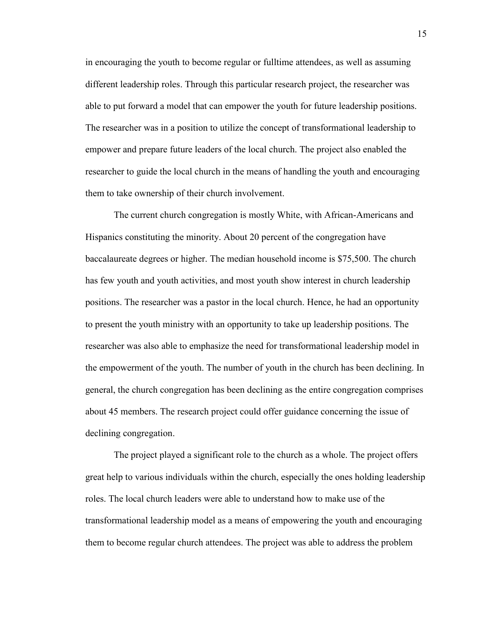in encouraging the youth to become regular or fulltime attendees, as well as assuming different leadership roles. Through this particular research project, the researcher was able to put forward a model that can empower the youth for future leadership positions. The researcher was in a position to utilize the concept of transformational leadership to empower and prepare future leaders of the local church. The project also enabled the researcher to guide the local church in the means of handling the youth and encouraging them to take ownership of their church involvement.

The current church congregation is mostly White, with African-Americans and Hispanics constituting the minority. About 20 percent of the congregation have baccalaureate degrees or higher. The median household income is \$75,500. The church has few youth and youth activities, and most youth show interest in church leadership positions. The researcher was a pastor in the local church. Hence, he had an opportunity to present the youth ministry with an opportunity to take up leadership positions. The researcher was also able to emphasize the need for transformational leadership model in the empowerment of the youth. The number of youth in the church has been declining. In general, the church congregation has been declining as the entire congregation comprises about 45 members. The research project could offer guidance concerning the issue of declining congregation.

The project played a significant role to the church as a whole. The project offers great help to various individuals within the church, especially the ones holding leadership roles. The local church leaders were able to understand how to make use of the transformational leadership model as a means of empowering the youth and encouraging them to become regular church attendees. The project was able to address the problem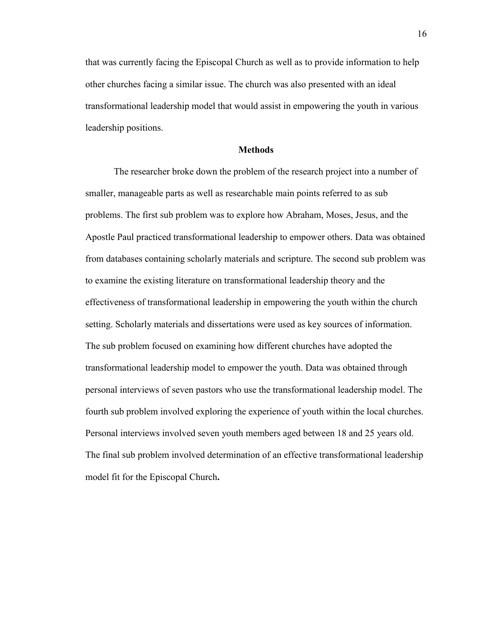that was currently facing the Episcopal Church as well as to provide information to help other churches facing a similar issue. The church was also presented with an ideal transformational leadership model that would assist in empowering the youth in various leadership positions.

#### **Methods**

<span id="page-17-0"></span>The researcher broke down the problem of the research project into a number of smaller, manageable parts as well as researchable main points referred to as sub problems. The first sub problem was to explore how Abraham, Moses, Jesus, and the Apostle Paul practiced transformational leadership to empower others. Data was obtained from databases containing scholarly materials and scripture. The second sub problem was to examine the existing literature on transformational leadership theory and the effectiveness of transformational leadership in empowering the youth within the church setting. Scholarly materials and dissertations were used as key sources of information. The sub problem focused on examining how different churches have adopted the transformational leadership model to empower the youth. Data was obtained through personal interviews of seven pastors who use the transformational leadership model. The fourth sub problem involved exploring the experience of youth within the local churches. Personal interviews involved seven youth members aged between 18 and 25 years old. The final sub problem involved determination of an effective transformational leadership model fit for the Episcopal Church**.**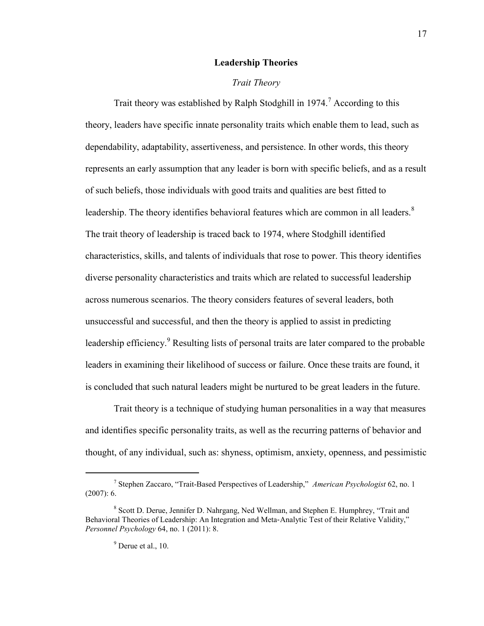#### **Leadership Theories**

#### *Trait Theory*

<span id="page-18-1"></span><span id="page-18-0"></span>Trait theory was established by Ralph Stodghill in  $1974$ .<sup>7</sup> According to this theory, leaders have specific innate personality traits which enable them to lead, such as dependability, adaptability, assertiveness, and persistence. In other words, this theory represents an early assumption that any leader is born with specific beliefs, and as a result of such beliefs, those individuals with good traits and qualities are best fitted to leadership. The theory identifies behavioral features which are common in all leaders. $8$ The trait theory of leadership is traced back to 1974, where Stodghill identified characteristics, skills, and talents of individuals that rose to power. This theory identifies diverse personality characteristics and traits which are related to successful leadership across numerous scenarios. The theory considers features of several leaders, both unsuccessful and successful, and then the theory is applied to assist in predicting leadership efficiency.<sup>9</sup> Resulting lists of personal traits are later compared to the probable leaders in examining their likelihood of success or failure. Once these traits are found, it is concluded that such natural leaders might be nurtured to be great leaders in the future.

Trait theory is a technique of studying human personalities in a way that measures and identifies specific personality traits, as well as the recurring patterns of behavior and thought, of any individual, such as: shyness, optimism, anxiety, openness, and pessimistic

<sup>7</sup> Stephen Zaccaro, "Trait-Based Perspectives of Leadership," *American Psychologist* 62, no. 1  $(2007): 6.$ 

<sup>&</sup>lt;sup>8</sup> Scott D. Derue, Jennifer D. Nahrgang, Ned Wellman, and Stephen E. Humphrey, "Trait and Behavioral Theories of Leadership: An Integration and Meta‐Analytic Test of their Relative Validity," *Personnel Psychology* 64, no. 1 (2011): 8.

 $<sup>9</sup>$  Derue et al., 10.</sup>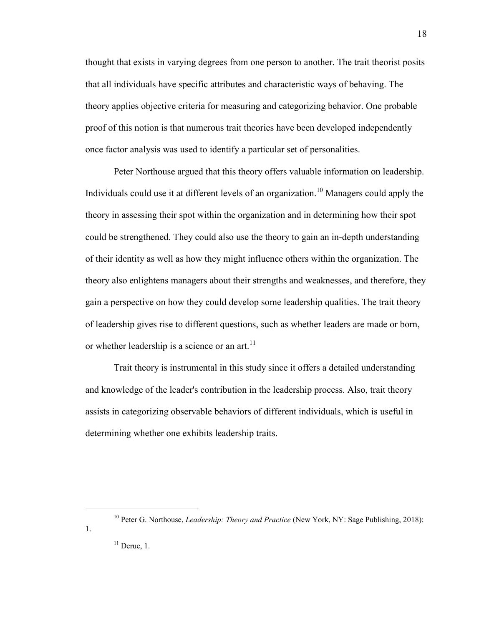thought that exists in varying degrees from one person to another. The trait theorist posits that all individuals have specific attributes and characteristic ways of behaving. The theory applies objective criteria for measuring and categorizing behavior. One probable proof of this notion is that numerous trait theories have been developed independently once factor analysis was used to identify a particular set of personalities.

Peter Northouse argued that this theory offers valuable information on leadership. Individuals could use it at different levels of an organization.<sup>10</sup> Managers could apply the theory in assessing their spot within the organization and in determining how their spot could be strengthened. They could also use the theory to gain an in-depth understanding of their identity as well as how they might influence others within the organization. The theory also enlightens managers about their strengths and weaknesses, and therefore, they gain a perspective on how they could develop some leadership qualities. The trait theory of leadership gives rise to different questions, such as whether leaders are made or born, or whether leadership is a science or an art.<sup>11</sup>

Trait theory is instrumental in this study since it offers a detailed understanding and knowledge of the leader's contribution in the leadership process. Also, trait theory assists in categorizing observable behaviors of different individuals, which is useful in determining whether one exhibits leadership traits.

 $\overline{a}$ 

1.

<sup>&</sup>lt;sup>10</sup> Peter G. Northouse, *Leadership: Theory and Practice* (New York, NY: Sage Publishing, 2018):

 $11$  Derue, 1.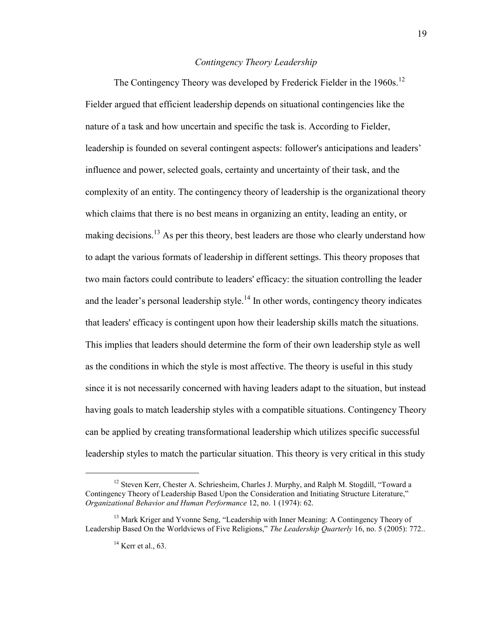### *Contingency Theory Leadership*

<span id="page-20-0"></span>The Contingency Theory was developed by Frederick Fielder in the 1960s.<sup>12</sup> Fielder argued that efficient leadership depends on situational contingencies like the nature of a task and how uncertain and specific the task is. According to Fielder, leadership is founded on several contingent aspects: follower's anticipations and leaders' influence and power, selected goals, certainty and uncertainty of their task, and the complexity of an entity. The contingency theory of leadership is the organizational theory which claims that there is no best means in organizing an entity, leading an entity, or making decisions.<sup>13</sup> As per this theory, best leaders are those who clearly understand how to adapt the various formats of leadership in different settings. This theory proposes that two main factors could contribute to leaders' efficacy: the situation controlling the leader and the leader's personal leadership style.<sup>14</sup> In other words, contingency theory indicates that leaders' efficacy is contingent upon how their leadership skills match the situations. This implies that leaders should determine the form of their own leadership style as well as the conditions in which the style is most affective. The theory is useful in this study since it is not necessarily concerned with having leaders adapt to the situation, but instead having goals to match leadership styles with a compatible situations. Contingency Theory can be applied by creating transformational leadership which utilizes specific successful leadership styles to match the particular situation. This theory is very critical in this study

<sup>&</sup>lt;sup>12</sup> Steven Kerr, Chester A. Schriesheim, Charles J. Murphy, and Ralph M. Stogdill, "Toward a Contingency Theory of Leadership Based Upon the Consideration and Initiating Structure Literature," *Organizational Behavior and Human Performance* 12, no. 1 (1974): 62.

<sup>&</sup>lt;sup>13</sup> Mark Kriger and Yvonne Seng, "Leadership with Inner Meaning: A Contingency Theory of Leadership Based On the Worldviews of Five Religions," *The Leadership Quarterly* 16, no. 5 (2005): 772..

 $14$  Kerr et al., 63.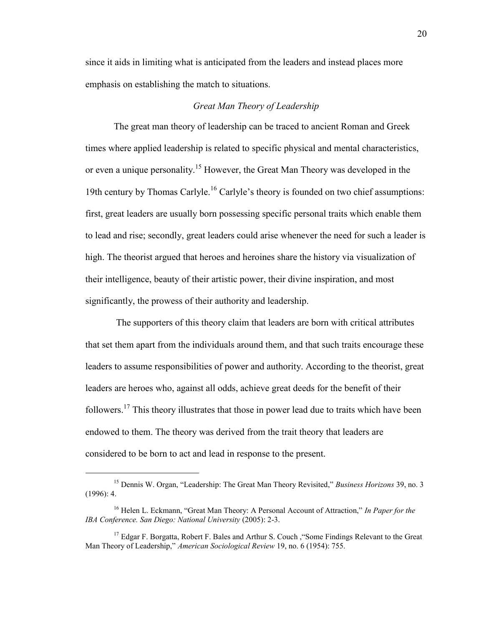since it aids in limiting what is anticipated from the leaders and instead places more emphasis on establishing the match to situations.

#### *Great Man Theory of Leadership*

<span id="page-21-0"></span>The great man theory of leadership can be traced to ancient Roman and Greek times where applied leadership is related to specific physical and mental characteristics, or even a unique personality.<sup>15</sup> However, the Great Man Theory was developed in the 19th century by Thomas Carlyle.<sup>16</sup> Carlyle's theory is founded on two chief assumptions: first, great leaders are usually born possessing specific personal traits which enable them to lead and rise; secondly, great leaders could arise whenever the need for such a leader is high. The theorist argued that heroes and heroines share the history via visualization of their intelligence, beauty of their artistic power, their divine inspiration, and most significantly, the prowess of their authority and leadership.

The supporters of this theory claim that leaders are born with critical attributes that set them apart from the individuals around them, and that such traits encourage these leaders to assume responsibilities of power and authority. According to the theorist, great leaders are heroes who, against all odds, achieve great deeds for the benefit of their followers.<sup>17</sup> This theory illustrates that those in power lead due to traits which have been endowed to them. The theory was derived from the trait theory that leaders are considered to be born to act and lead in response to the present.

<sup>15</sup> Dennis W. Organ, "Leadership: The Great Man Theory Revisited," *Business Horizons* 39, no. 3 (1996): 4.

<sup>16</sup> Helen L. Eckmann, "Great Man Theory: A Personal Account of Attraction," *In Paper for the IBA Conference. San Diego: National University* (2005): 2-3.

<sup>&</sup>lt;sup>17</sup> Edgar F. Borgatta, Robert F. Bales and Arthur S. Couch , "Some Findings Relevant to the Great Man Theory of Leadership," *American Sociological Review* 19, no. 6 (1954): 755.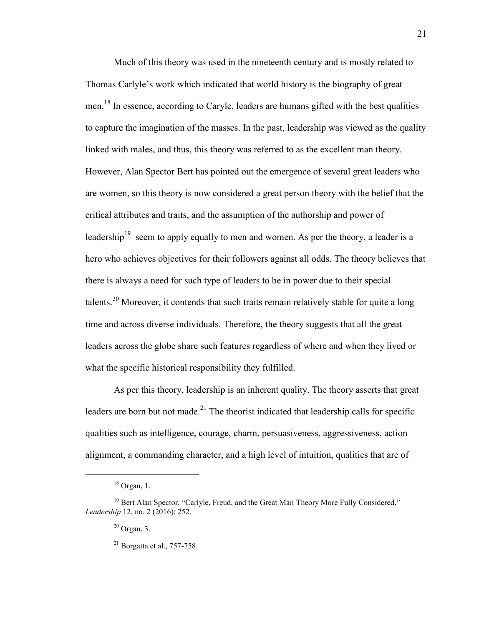Much of this theory was used in the nineteenth century and is mostly related to Thomas Carlyle's work which indicated that world history is the biography of great men.<sup>18</sup> In essence, according to Caryle, leaders are humans gifted with the best qualities to capture the imagination of the masses. In the past, leadership was viewed as the quality linked with males, and thus, this theory was referred to as the excellent man theory. However, Alan Spector Bert has pointed out the emergence of several great leaders who are women, so this theory is now considered a great person theory with the belief that the critical attributes and traits, and the assumption of the authorship and power of leadership<sup>19</sup> seem to apply equally to men and women. As per the theory, a leader is a hero who achieves objectives for their followers against all odds. The theory believes that there is always a need for such type of leaders to be in power due to their special talents.<sup>20</sup> Moreover, it contends that such traits remain relatively stable for quite a long time and across diverse individuals. Therefore, the theory suggests that all the great leaders across the globe share such features regardless of where and when they lived or what the specific historical responsibility they fulfilled.

As per this theory, leadership is an inherent quality. The theory asserts that great leaders are born but not made.<sup>21</sup> The theorist indicated that leadership calls for specific qualities such as intelligence, courage, charm, persuasiveness, aggressiveness, action alignment, a commanding character, and a high level of intuition, qualities that are of

 $18$  Organ, 1.

<sup>&</sup>lt;sup>19</sup> Bert Alan Spector, "Carlyle, Freud, and the Great Man Theory More Fully Considered," *Leadership* 12, no. 2 (2016): 252.

 $20$  Organ, 3.

 $^{21}$  Borgatta et al., 757-758.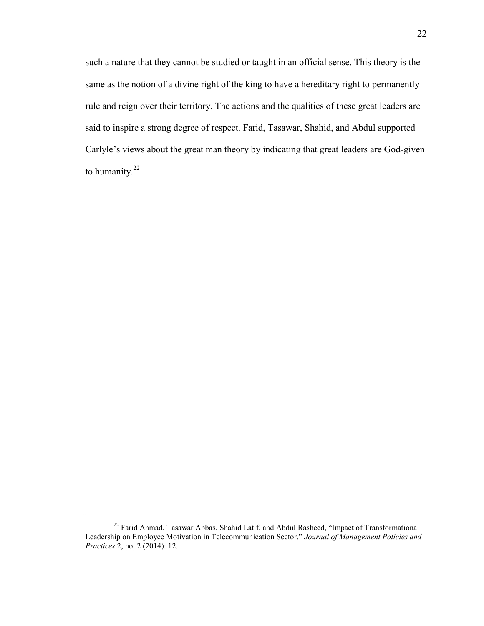such a nature that they cannot be studied or taught in an official sense. This theory is the same as the notion of a divine right of the king to have a hereditary right to permanently rule and reign over their territory. The actions and the qualities of these great leaders are said to inspire a strong degree of respect. Farid, Tasawar, Shahid, and Abdul supported Carlyle's views about the great man theory by indicating that great leaders are God-given to humanity.<sup>22</sup>

<sup>&</sup>lt;sup>22</sup> Farid Ahmad, Tasawar Abbas, Shahid Latif, and Abdul Rasheed, "Impact of Transformational Leadership on Employee Motivation in Telecommunication Sector," *Journal of Management Policies and Practices* 2, no. 2 (2014): 12.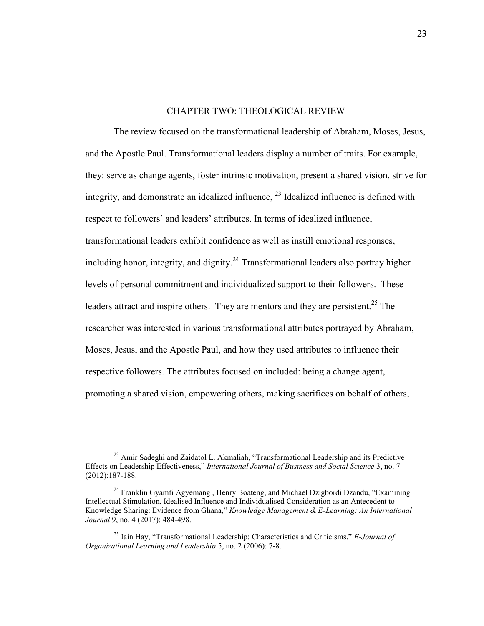#### CHAPTER TWO: THEOLOGICAL REVIEW

<span id="page-24-0"></span>The review focused on the transformational leadership of Abraham, Moses, Jesus, and the Apostle Paul. Transformational leaders display a number of traits. For example, they: serve as change agents, foster intrinsic motivation, present a shared vision, strive for integrity, and demonstrate an idealized influence,  $^{23}$  Idealized influence is defined with respect to followers' and leaders' attributes. In terms of idealized influence, transformational leaders exhibit confidence as well as instill emotional responses, including honor, integrity, and dignity.<sup>24</sup> Transformational leaders also portray higher levels of personal commitment and individualized support to their followers. These leaders attract and inspire others. They are mentors and they are persistent.<sup>25</sup> The researcher was interested in various transformational attributes portrayed by Abraham, Moses, Jesus, and the Apostle Paul, and how they used attributes to influence their respective followers. The attributes focused on included: being a change agent, promoting a shared vision, empowering others, making sacrifices on behalf of others,

<sup>&</sup>lt;sup>23</sup> Amir Sadeghi and Zaidatol L. Akmaliah, "Transformational Leadership and its Predictive Effects on Leadership Effectiveness," *International Journal of Business and Social Science* 3, no. 7 (2012):187-188.

<sup>&</sup>lt;sup>24</sup> Franklin Gyamfi Agyemang, Henry Boateng, and Michael Dzigbordi Dzandu, "Examining" Intellectual Stimulation, Idealised Influence and Individualised Consideration as an Antecedent to Knowledge Sharing: Evidence from Ghana," *Knowledge Management & E-Learning: An International Journal* 9, no. 4 (2017): 484-498.

<sup>25</sup> Iain Hay, "Transformational Leadership: Characteristics and Criticisms," *E-Journal of Organizational Learning and Leadership* 5, no. 2 (2006): 7-8.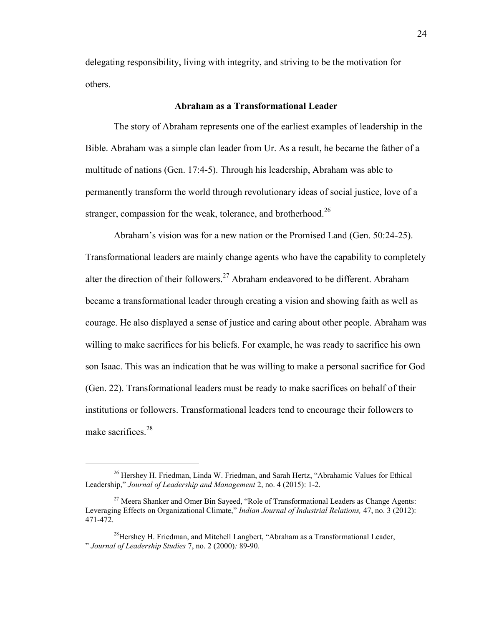delegating responsibility, living with integrity, and striving to be the motivation for others.

#### **Abraham as a Transformational Leader**

<span id="page-25-0"></span>The story of Abraham represents one of the earliest examples of leadership in the Bible. Abraham was a simple clan leader from Ur. As a result, he became the father of a multitude of nations (Gen. 17:4-5). Through his leadership, Abraham was able to permanently transform the world through revolutionary ideas of social justice, love of a stranger, compassion for the weak, tolerance, and brotherhood.<sup>26</sup>

Abraham's vision was for a new nation or the Promised Land (Gen. 50:24-25). Transformational leaders are mainly change agents who have the capability to completely alter the direction of their followers.<sup>27</sup> Abraham endeavored to be different. Abraham became a transformational leader through creating a vision and showing faith as well as courage. He also displayed a sense of justice and caring about other people. Abraham was willing to make sacrifices for his beliefs. For example, he was ready to sacrifice his own son Isaac. This was an indication that he was willing to make a personal sacrifice for God (Gen. 22). Transformational leaders must be ready to make sacrifices on behalf of their institutions or followers. Transformational leaders tend to encourage their followers to make sacrifices.<sup>28</sup>

<sup>&</sup>lt;sup>26</sup> Hershey H. Friedman, Linda W. Friedman, and Sarah Hertz, "Abrahamic Values for Ethical Leadership," *Journal of Leadership and Management* 2, no. 4 (2015): 1-2.

 $27$  Meera Shanker and Omer Bin Sayeed, "Role of Transformational Leaders as Change Agents: Leveraging Effects on Organizational Climate," *Indian Journal of Industrial Relations,* 47, no. 3 (2012): 471-472.

 $^{28}$ Hershey H. Friedman, and Mitchell Langbert, "Abraham as a Transformational Leader, " *Journal of Leadership Studies* 7, no. 2 (2000)*:* 89-90.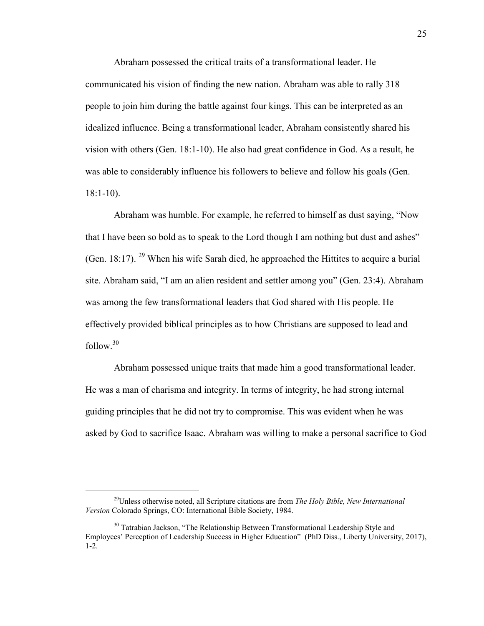Abraham possessed the critical traits of a transformational leader. He communicated his vision of finding the new nation. Abraham was able to rally 318 people to join him during the battle against four kings. This can be interpreted as an idealized influence. Being a transformational leader, Abraham consistently shared his vision with others (Gen. 18:1-10). He also had great confidence in God. As a result, he was able to considerably influence his followers to believe and follow his goals (Gen. 18:1-10).

Abraham was humble. For example, he referred to himself as dust saying, "Now that I have been so bold as to speak to the Lord though I am nothing but dust and ashes" (Gen. 18:17). <sup>29</sup> When his wife Sarah died, he approached the Hittites to acquire a burial site. Abraham said, "I am an alien resident and settler among you" (Gen. 23:4). Abraham was among the few transformational leaders that God shared with His people. He effectively provided biblical principles as to how Christians are supposed to lead and  $follow.<sup>30</sup>$ 

Abraham possessed unique traits that made him a good transformational leader. He was a man of charisma and integrity. In terms of integrity, he had strong internal guiding principles that he did not try to compromise. This was evident when he was asked by God to sacrifice Isaac. Abraham was willing to make a personal sacrifice to God

<sup>29</sup>Unless otherwise noted, all Scripture citations are from *The Holy Bible, New International Version* Colorado Springs, CO: International Bible Society, 1984.

<sup>&</sup>lt;sup>30</sup> Tatrabian Jackson, "The Relationship Between Transformational Leadership Style and Employees' Perception of Leadership Success in Higher Education" (PhD Diss., Liberty University, 2017), 1-2.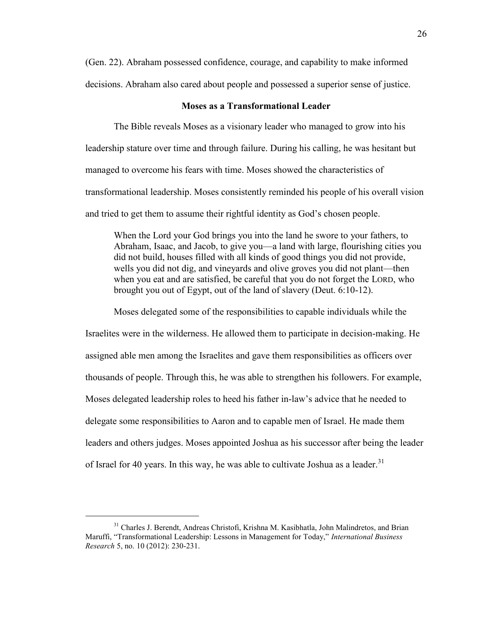(Gen. 22). Abraham possessed confidence, courage, and capability to make informed decisions. Abraham also cared about people and possessed a superior sense of justice.

#### **Moses as a Transformational Leader**

<span id="page-27-0"></span>The Bible reveals Moses as a visionary leader who managed to grow into his leadership stature over time and through failure. During his calling, he was hesitant but managed to overcome his fears with time. Moses showed the characteristics of transformational leadership. Moses consistently reminded his people of his overall vision and tried to get them to assume their rightful identity as God's chosen people.

When the Lord your God brings you into the land he swore to your fathers, to Abraham, Isaac, and Jacob, to give you—a land with large, flourishing cities you did not build, houses filled with all kinds of good things you did not provide, wells you did not dig, and vineyards and olive groves you did not plant—then when you eat and are satisfied, be careful that you do not forget the LORD, who brought you out of Egypt, out of the land of slavery (Deut. 6:10-12).

Moses delegated some of the responsibilities to capable individuals while the

Israelites were in the wilderness. He allowed them to participate in decision-making. He assigned able men among the Israelites and gave them responsibilities as officers over thousands of people. Through this, he was able to strengthen his followers. For example, Moses delegated leadership roles to heed his father in-law's advice that he needed to delegate some responsibilities to Aaron and to capable men of Israel. He made them leaders and others judges. Moses appointed Joshua as his successor after being the leader of Israel for 40 years. In this way, he was able to cultivate Joshua as a leader.<sup>31</sup>

<sup>&</sup>lt;sup>31</sup> Charles J. Berendt, Andreas Christofi, Krishna M. Kasibhatla, John Malindretos, and Brian Maruffi, "Transformational Leadership: Lessons in Management for Today," *International Business Research* 5, no. 10 (2012): 230-231.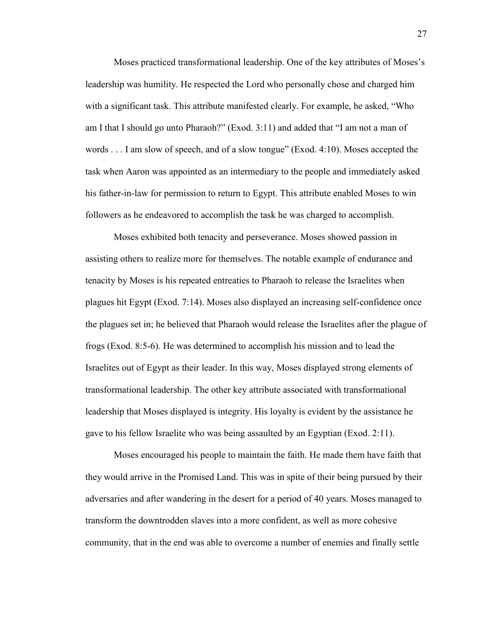Moses practiced transformational leadership. One of the key attributes of Moses's leadership was humility. He respected the Lord who personally chose and charged him with a significant task. This attribute manifested clearly. For example, he asked, "Who am I that I should go unto Pharaoh?" (Exod. 3:11) and added that "I am not a man of words . . . I am slow of speech, and of a slow tongue" (Exod. 4:10). Moses accepted the task when Aaron was appointed as an intermediary to the people and immediately asked his father-in-law for permission to return to Egypt. This attribute enabled Moses to win followers as he endeavored to accomplish the task he was charged to accomplish.

Moses exhibited both tenacity and perseverance. Moses showed passion in assisting others to realize more for themselves. The notable example of endurance and tenacity by Moses is his repeated entreaties to Pharaoh to release the Israelites when plagues hit Egypt (Exod. 7:14). Moses also displayed an increasing self-confidence once the plagues set in; he believed that Pharaoh would release the Israelites after the plague of frogs (Exod. 8:5-6). He was determined to accomplish his mission and to lead the Israelites out of Egypt as their leader. In this way, Moses displayed strong elements of transformational leadership. The other key attribute associated with transformational leadership that Moses displayed is integrity. His loyalty is evident by the assistance he gave to his fellow Israelite who was being assaulted by an Egyptian (Exod. 2:11).

Moses encouraged his people to maintain the faith. He made them have faith that they would arrive in the Promised Land. This was in spite of their being pursued by their adversaries and after wandering in the desert for a period of 40 years. Moses managed to transform the downtrodden slaves into a more confident, as well as more cohesive community, that in the end was able to overcome a number of enemies and finally settle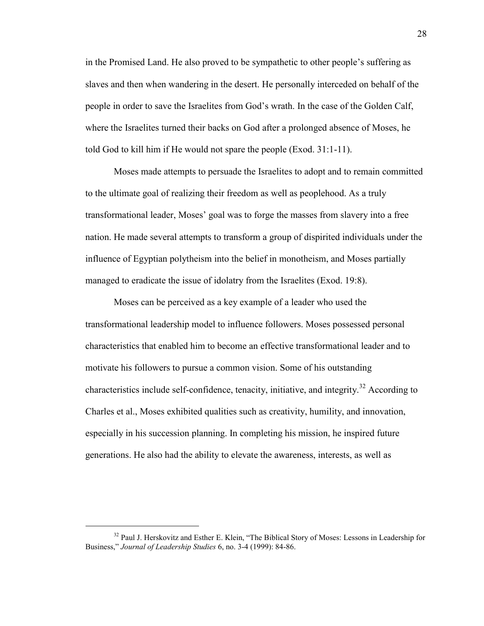in the Promised Land. He also proved to be sympathetic to other people's suffering as slaves and then when wandering in the desert. He personally interceded on behalf of the people in order to save the Israelites from God's wrath. In the case of the Golden Calf, where the Israelites turned their backs on God after a prolonged absence of Moses, he told God to kill him if He would not spare the people (Exod. 31:1-11).

Moses made attempts to persuade the Israelites to adopt and to remain committed to the ultimate goal of realizing their freedom as well as peoplehood. As a truly transformational leader, Moses' goal was to forge the masses from slavery into a free nation. He made several attempts to transform a group of dispirited individuals under the influence of Egyptian polytheism into the belief in monotheism, and Moses partially managed to eradicate the issue of idolatry from the Israelites (Exod. 19:8).

Moses can be perceived as a key example of a leader who used the transformational leadership model to influence followers. Moses possessed personal characteristics that enabled him to become an effective transformational leader and to motivate his followers to pursue a common vision. Some of his outstanding characteristics include self-confidence, tenacity, initiative, and integrity.<sup>32</sup> According to Charles et al., Moses exhibited qualities such as creativity, humility, and innovation, especially in his succession planning. In completing his mission, he inspired future generations. He also had the ability to elevate the awareness, interests, as well as

<sup>&</sup>lt;sup>32</sup> Paul J. Herskovitz and Esther E. Klein, "The Biblical Story of Moses: Lessons in Leadership for Business," *Journal of Leadership Studies* 6, no. 3-4 (1999): 84-86.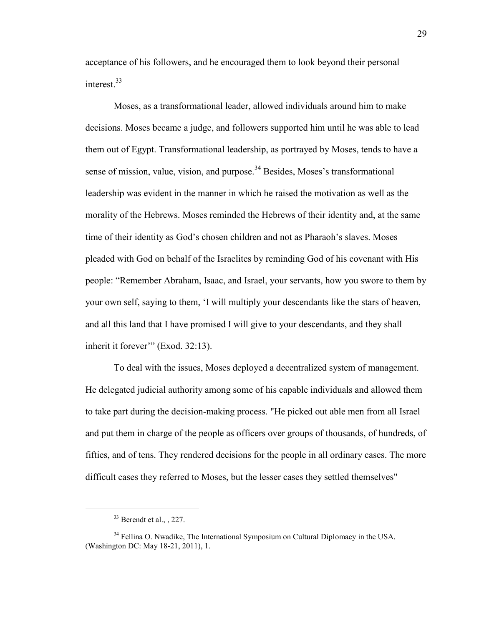acceptance of his followers, and he encouraged them to look beyond their personal interest.<sup>33</sup>

Moses, as a transformational leader, allowed individuals around him to make decisions. Moses became a judge, and followers supported him until he was able to lead them out of Egypt. Transformational leadership, as portrayed by Moses, tends to have a sense of mission, value, vision, and purpose.<sup>34</sup> Besides, Moses's transformational leadership was evident in the manner in which he raised the motivation as well as the morality of the Hebrews. Moses reminded the Hebrews of their identity and, at the same time of their identity as God's chosen children and not as Pharaoh's slaves. Moses pleaded with God on behalf of the Israelites by reminding God of his covenant with His people: "Remember Abraham, Isaac, and Israel, your servants, how you swore to them by your own self, saying to them, 'I will multiply your descendants like the stars of heaven, and all this land that I have promised I will give to your descendants, and they shall inherit it forever" (Exod. 32:13).

To deal with the issues, Moses deployed a decentralized system of management. He delegated judicial authority among some of his capable individuals and allowed them to take part during the decision-making process. "He picked out able men from all Israel and put them in charge of the people as officers over groups of thousands, of hundreds, of fifties, and of tens. They rendered decisions for the people in all ordinary cases. The more difficult cases they referred to Moses, but the lesser cases they settled themselves"

 $33$  Berendt et al.,  $227$ .

<sup>&</sup>lt;sup>34</sup> Fellina O. Nwadike, The International Symposium on Cultural Diplomacy in the USA. (Washington DC: May 18-21, 2011), 1.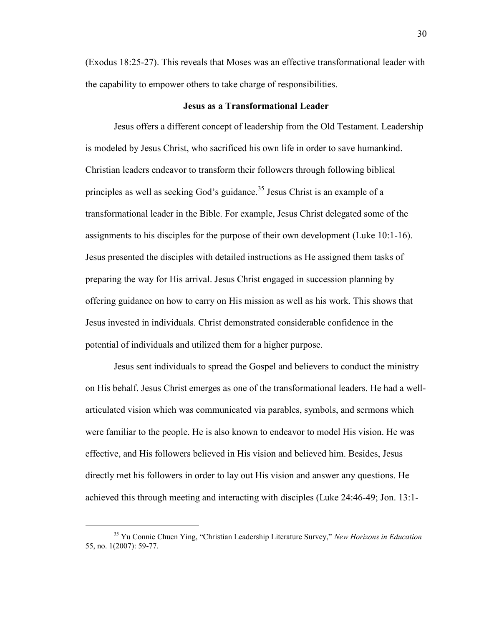(Exodus 18:25-27). This reveals that Moses was an effective transformational leader with the capability to empower others to take charge of responsibilities.

#### **Jesus as a Transformational Leader**

<span id="page-31-0"></span>Jesus offers a different concept of leadership from the Old Testament. Leadership is modeled by Jesus Christ, who sacrificed his own life in order to save humankind. Christian leaders endeavor to transform their followers through following biblical principles as well as seeking God's guidance.<sup>35</sup> Jesus Christ is an example of a transformational leader in the Bible. For example, Jesus Christ delegated some of the assignments to his disciples for the purpose of their own development (Luke 10:1-16). Jesus presented the disciples with detailed instructions as He assigned them tasks of preparing the way for His arrival. Jesus Christ engaged in succession planning by offering guidance on how to carry on His mission as well as his work. This shows that Jesus invested in individuals. Christ demonstrated considerable confidence in the potential of individuals and utilized them for a higher purpose.

Jesus sent individuals to spread the Gospel and believers to conduct the ministry on His behalf. Jesus Christ emerges as one of the transformational leaders. He had a wellarticulated vision which was communicated via parables, symbols, and sermons which were familiar to the people. He is also known to endeavor to model His vision. He was effective, and His followers believed in His vision and believed him. Besides, Jesus directly met his followers in order to lay out His vision and answer any questions. He achieved this through meeting and interacting with disciples (Luke 24:46-49; Jon. 13:1-

<sup>35</sup> Yu Connie Chuen Ying, "Christian Leadership Literature Survey," *New Horizons in Education* 55, no. 1(2007): 59-77.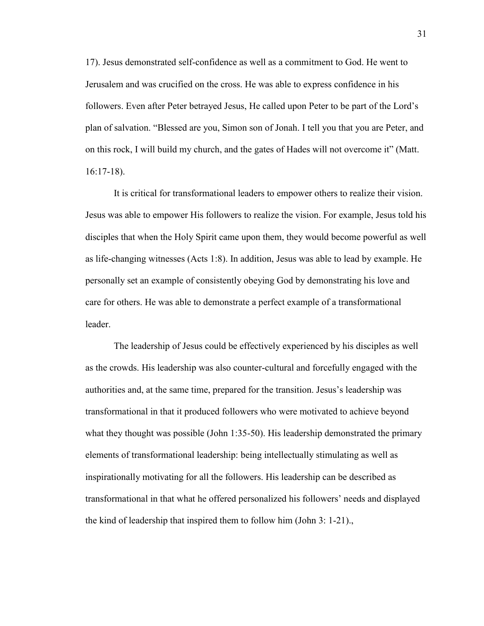17). Jesus demonstrated self-confidence as well as a commitment to God. He went to Jerusalem and was crucified on the cross. He was able to express confidence in his followers. Even after Peter betrayed Jesus, He called upon Peter to be part of the Lord's plan of salvation. "Blessed are you, Simon son of Jonah. I tell you that you are Peter, and on this rock, I will build my church, and the gates of Hades will not overcome it" (Matt. 16:17-18).

It is critical for transformational leaders to empower others to realize their vision. Jesus was able to empower His followers to realize the vision. For example, Jesus told his disciples that when the Holy Spirit came upon them, they would become powerful as well as life-changing witnesses (Acts 1:8). In addition, Jesus was able to lead by example. He personally set an example of consistently obeying God by demonstrating his love and care for others. He was able to demonstrate a perfect example of a transformational leader.

The leadership of Jesus could be effectively experienced by his disciples as well as the crowds. His leadership was also counter-cultural and forcefully engaged with the authorities and, at the same time, prepared for the transition. Jesus's leadership was transformational in that it produced followers who were motivated to achieve beyond what they thought was possible (John 1:35-50). His leadership demonstrated the primary elements of transformational leadership: being intellectually stimulating as well as inspirationally motivating for all the followers. His leadership can be described as transformational in that what he offered personalized his followers' needs and displayed the kind of leadership that inspired them to follow him (John 3: 1-21).,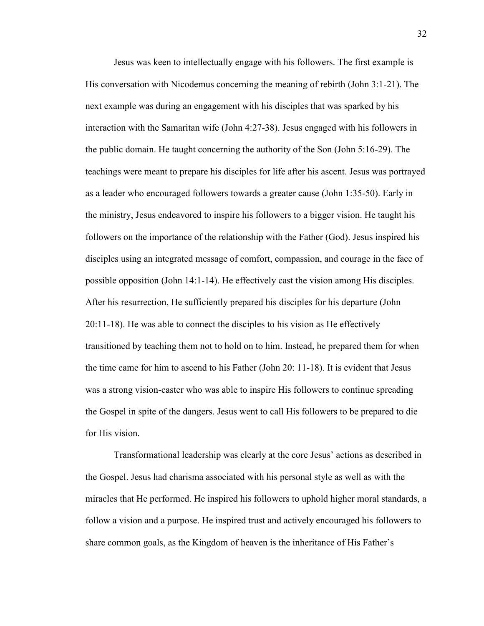Jesus was keen to intellectually engage with his followers. The first example is His conversation with Nicodemus concerning the meaning of rebirth (John 3:1-21). The next example was during an engagement with his disciples that was sparked by his interaction with the Samaritan wife (John 4:27-38). Jesus engaged with his followers in the public domain. He taught concerning the authority of the Son (John 5:16-29). The teachings were meant to prepare his disciples for life after his ascent. Jesus was portrayed as a leader who encouraged followers towards a greater cause (John 1:35-50). Early in the ministry, Jesus endeavored to inspire his followers to a bigger vision. He taught his followers on the importance of the relationship with the Father (God). Jesus inspired his disciples using an integrated message of comfort, compassion, and courage in the face of possible opposition (John 14:1-14). He effectively cast the vision among His disciples. After his resurrection, He sufficiently prepared his disciples for his departure (John 20:11-18). He was able to connect the disciples to his vision as He effectively transitioned by teaching them not to hold on to him. Instead, he prepared them for when the time came for him to ascend to his Father (John 20: 11-18). It is evident that Jesus was a strong vision-caster who was able to inspire His followers to continue spreading the Gospel in spite of the dangers. Jesus went to call His followers to be prepared to die for His vision.

Transformational leadership was clearly at the core Jesus' actions as described in the Gospel. Jesus had charisma associated with his personal style as well as with the miracles that He performed. He inspired his followers to uphold higher moral standards, a follow a vision and a purpose. He inspired trust and actively encouraged his followers to share common goals, as the Kingdom of heaven is the inheritance of His Father's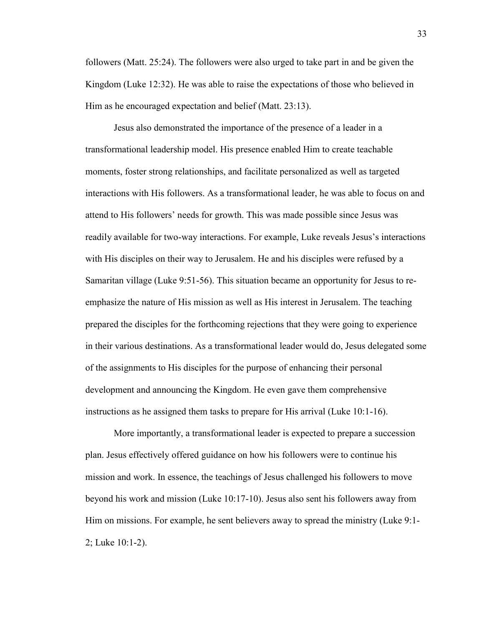followers (Matt. 25:24). The followers were also urged to take part in and be given the Kingdom (Luke 12:32). He was able to raise the expectations of those who believed in Him as he encouraged expectation and belief (Matt. 23:13).

Jesus also demonstrated the importance of the presence of a leader in a transformational leadership model. His presence enabled Him to create teachable moments, foster strong relationships, and facilitate personalized as well as targeted interactions with His followers. As a transformational leader, he was able to focus on and attend to His followers' needs for growth. This was made possible since Jesus was readily available for two-way interactions. For example, Luke reveals Jesus's interactions with His disciples on their way to Jerusalem. He and his disciples were refused by a Samaritan village (Luke 9:51-56). This situation became an opportunity for Jesus to reemphasize the nature of His mission as well as His interest in Jerusalem. The teaching prepared the disciples for the forthcoming rejections that they were going to experience in their various destinations. As a transformational leader would do, Jesus delegated some of the assignments to His disciples for the purpose of enhancing their personal development and announcing the Kingdom. He even gave them comprehensive instructions as he assigned them tasks to prepare for His arrival (Luke 10:1-16).

More importantly, a transformational leader is expected to prepare a succession plan. Jesus effectively offered guidance on how his followers were to continue his mission and work. In essence, the teachings of Jesus challenged his followers to move beyond his work and mission (Luke 10:17-10). Jesus also sent his followers away from Him on missions. For example, he sent believers away to spread the ministry (Luke 9:1- 2; Luke 10:1-2).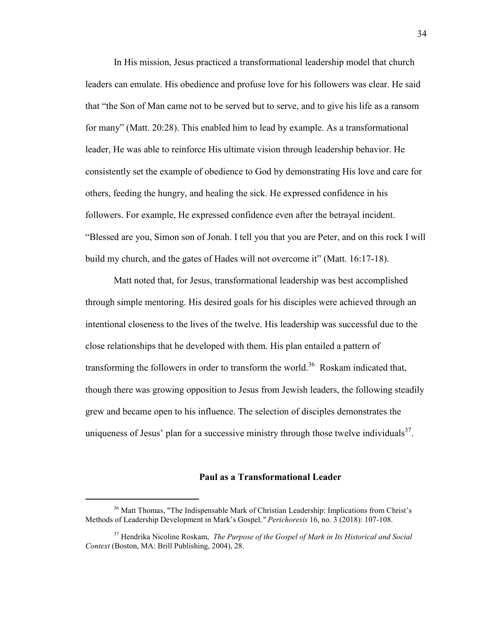In His mission, Jesus practiced a transformational leadership model that church leaders can emulate. His obedience and profuse love for his followers was clear. He said that "the Son of Man came not to be served but to serve, and to give his life as a ransom for many" (Matt. 20:28). This enabled him to lead by example. As a transformational leader, He was able to reinforce His ultimate vision through leadership behavior. He consistently set the example of obedience to God by demonstrating His love and care for others, feeding the hungry, and healing the sick. He expressed confidence in his followers. For example, He expressed confidence even after the betrayal incident. "Blessed are you, Simon son of Jonah. I tell you that you are Peter, and on this rock I will build my church, and the gates of Hades will not overcome it" (Matt. 16:17-18).

Matt noted that, for Jesus, transformational leadership was best accomplished through simple mentoring. His desired goals for his disciples were achieved through an intentional closeness to the lives of the twelve. His leadership was successful due to the close relationships that he developed with them. His plan entailed a pattern of transforming the followers in order to transform the world.<sup>36</sup> Roskam indicated that, though there was growing opposition to Jesus from Jewish leaders, the following steadily grew and became open to his influence. The selection of disciples demonstrates the uniqueness of Jesus' plan for a successive ministry through those twelve individuals $37$ .

#### **Paul as a Transformational Leader**

<span id="page-35-0"></span><sup>&</sup>lt;sup>36</sup> Matt Thomas, "The Indispensable Mark of Christian Leadership: Implications from Christ's Methods of Leadership Development in Mark's Gospel*," Perichoresis* 16, no. 3 (2018): 107-108.

<sup>37</sup> Hendrika Nicoline Roskam, *The Purpose of the Gospel of Mark in Its Historical and Social Context* (Boston, MA: Brill Publishing, 2004), 28.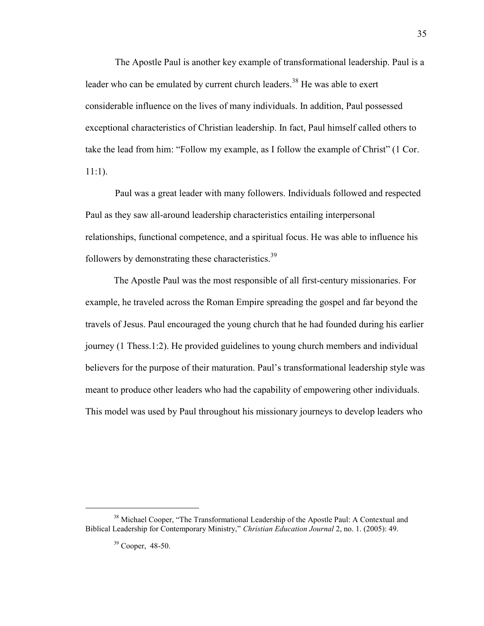The Apostle Paul is another key example of transformational leadership. Paul is a leader who can be emulated by current church leaders.<sup>38</sup> He was able to exert considerable influence on the lives of many individuals. In addition, Paul possessed exceptional characteristics of Christian leadership. In fact, Paul himself called others to take the lead from him: "Follow my example, as I follow the example of Christ" (1 Cor. 11:1).

 Paul was a great leader with many followers. Individuals followed and respected Paul as they saw all-around leadership characteristics entailing interpersonal relationships, functional competence, and a spiritual focus. He was able to influence his followers by demonstrating these characteristics.<sup>39</sup>

The Apostle Paul was the most responsible of all first-century missionaries. For example, he traveled across the Roman Empire spreading the gospel and far beyond the travels of Jesus. Paul encouraged the young church that he had founded during his earlier journey (1 Thess.1:2). He provided guidelines to young church members and individual believers for the purpose of their maturation. Paul's transformational leadership style was meant to produce other leaders who had the capability of empowering other individuals. This model was used by Paul throughout his missionary journeys to develop leaders who

<sup>&</sup>lt;sup>38</sup> Michael Cooper, "The Transformational Leadership of the Apostle Paul: A Contextual and Biblical Leadership for Contemporary Ministry," *Christian Education Journal* 2, no. 1. (2005): 49.

 $39$  Cooper, 48-50.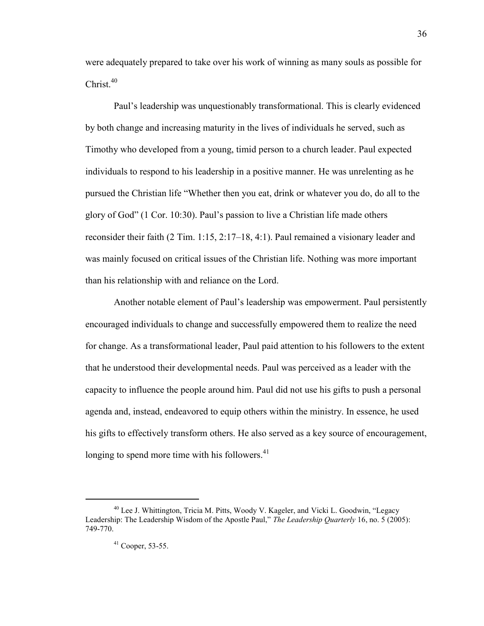were adequately prepared to take over his work of winning as many souls as possible for  $Christ<sup>40</sup>$ 

Paul's leadership was unquestionably transformational. This is clearly evidenced by both change and increasing maturity in the lives of individuals he served, such as Timothy who developed from a young, timid person to a church leader. Paul expected individuals to respond to his leadership in a positive manner. He was unrelenting as he pursued the Christian life "Whether then you eat, drink or whatever you do, do all to the glory of God" (1 Cor. 10:30). Paul's passion to live a Christian life made others reconsider their faith (2 Tim. 1:15, 2:17–18, 4:1). Paul remained a visionary leader and was mainly focused on critical issues of the Christian life. Nothing was more important than his relationship with and reliance on the Lord.

Another notable element of Paul's leadership was empowerment. Paul persistently encouraged individuals to change and successfully empowered them to realize the need for change. As a transformational leader, Paul paid attention to his followers to the extent that he understood their developmental needs. Paul was perceived as a leader with the capacity to influence the people around him. Paul did not use his gifts to push a personal agenda and, instead, endeavored to equip others within the ministry. In essence, he used his gifts to effectively transform others. He also served as a key source of encouragement, longing to spend more time with his followers. $41$ 

 $40$  Lee J. Whittington, Tricia M. Pitts, Woody V. Kageler, and Vicki L. Goodwin, "Legacy Leadership: The Leadership Wisdom of the Apostle Paul," *The Leadership Quarterly* 16, no. 5 (2005): 749-770.

 $41$  Cooper, 53-55.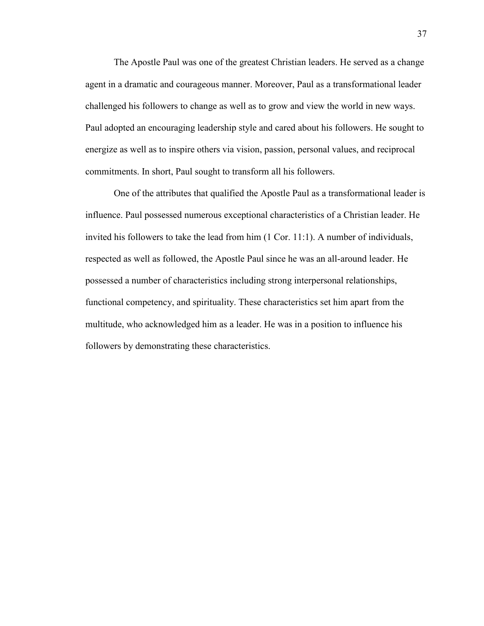The Apostle Paul was one of the greatest Christian leaders. He served as a change agent in a dramatic and courageous manner. Moreover, Paul as a transformational leader challenged his followers to change as well as to grow and view the world in new ways. Paul adopted an encouraging leadership style and cared about his followers. He sought to energize as well as to inspire others via vision, passion, personal values, and reciprocal commitments. In short, Paul sought to transform all his followers.

One of the attributes that qualified the Apostle Paul as a transformational leader is influence. Paul possessed numerous exceptional characteristics of a Christian leader. He invited his followers to take the lead from him (1 Cor. 11:1). A number of individuals, respected as well as followed, the Apostle Paul since he was an all-around leader. He possessed a number of characteristics including strong interpersonal relationships, functional competency, and spirituality. These characteristics set him apart from the multitude, who acknowledged him as a leader. He was in a position to influence his followers by demonstrating these characteristics.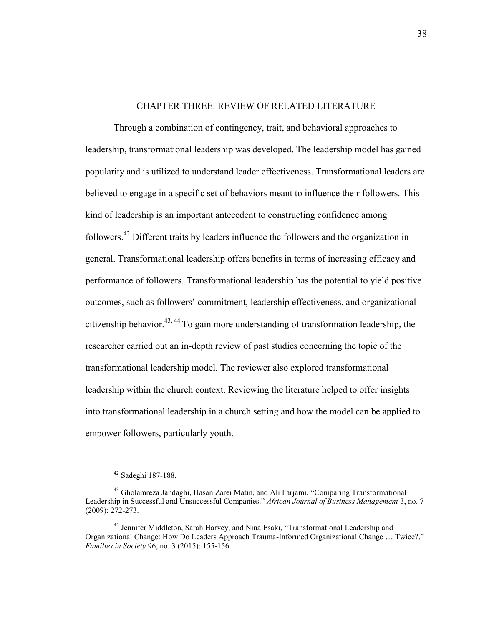## CHAPTER THREE: REVIEW OF RELATED LITERATURE

Through a combination of contingency, trait, and behavioral approaches to leadership, transformational leadership was developed. The leadership model has gained popularity and is utilized to understand leader effectiveness. Transformational leaders are believed to engage in a specific set of behaviors meant to influence their followers. This kind of leadership is an important antecedent to constructing confidence among followers.<sup>42</sup> Different traits by leaders influence the followers and the organization in general. Transformational leadership offers benefits in terms of increasing efficacy and performance of followers. Transformational leadership has the potential to yield positive outcomes, such as followers' commitment, leadership effectiveness, and organizational citizenship behavior.<sup>43, 44</sup> To gain more understanding of transformation leadership, the researcher carried out an in-depth review of past studies concerning the topic of the transformational leadership model. The reviewer also explored transformational leadership within the church context. Reviewing the literature helped to offer insights into transformational leadership in a church setting and how the model can be applied to empower followers, particularly youth.

<sup>42</sup> Sadeghi 187-188.

<sup>43</sup> Gholamreza Jandaghi, Hasan Zarei Matin, and Ali Farjami, "Comparing Transformational Leadership in Successful and Unsuccessful Companies." *African Journal of Business Management* 3, no. 7 (2009): 272-273.

<sup>&</sup>lt;sup>44</sup> Jennifer Middleton, Sarah Harvey, and Nina Esaki, "Transformational Leadership and Organizational Change: How Do Leaders Approach Trauma-Informed Organizational Change … Twice?," *Families in Society* 96, no. 3 (2015): 155-156.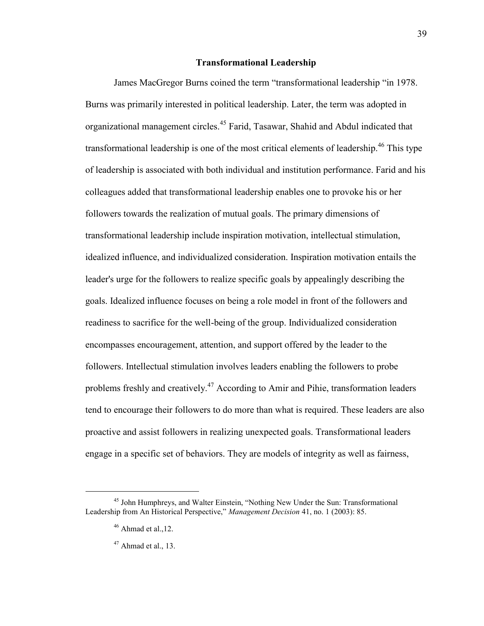## **Transformational Leadership**

James MacGregor Burns coined the term "transformational leadership "in 1978. Burns was primarily interested in political leadership. Later, the term was adopted in organizational management circles.<sup>45</sup> Farid, Tasawar, Shahid and Abdul indicated that transformational leadership is one of the most critical elements of leadership.<sup>46</sup> This type of leadership is associated with both individual and institution performance. Farid and his colleagues added that transformational leadership enables one to provoke his or her followers towards the realization of mutual goals. The primary dimensions of transformational leadership include inspiration motivation, intellectual stimulation, idealized influence, and individualized consideration. Inspiration motivation entails the leader's urge for the followers to realize specific goals by appealingly describing the goals. Idealized influence focuses on being a role model in front of the followers and readiness to sacrifice for the well-being of the group. Individualized consideration encompasses encouragement, attention, and support offered by the leader to the followers. Intellectual stimulation involves leaders enabling the followers to probe problems freshly and creatively.<sup>47</sup> According to Amir and Pihie, transformation leaders tend to encourage their followers to do more than what is required. These leaders are also proactive and assist followers in realizing unexpected goals. Transformational leaders engage in a specific set of behaviors. They are models of integrity as well as fairness,

<sup>45</sup> John Humphreys, and Walter Einstein, "Nothing New Under the Sun: Transformational Leadership from An Historical Perspective," *Management Decision* 41, no. 1 (2003): 85.

 $46$  Ahmad et al., 12.

 $47$  Ahmad et al., 13.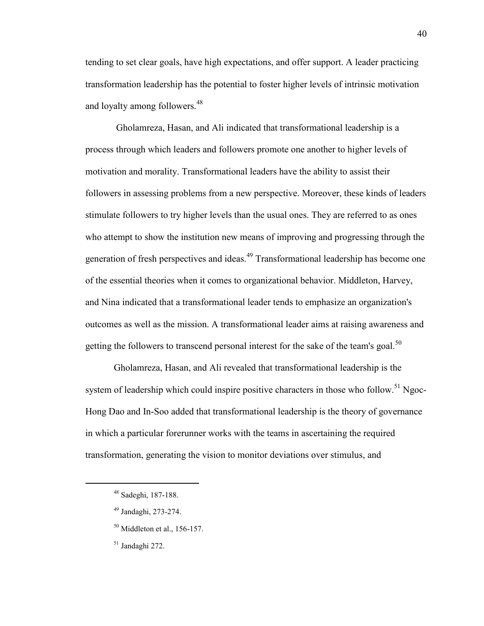tending to set clear goals, have high expectations, and offer support. A leader practicing transformation leadership has the potential to foster higher levels of intrinsic motivation and loyalty among followers.<sup>48</sup>

Gholamreza, Hasan, and Ali indicated that transformational leadership is a process through which leaders and followers promote one another to higher levels of motivation and morality. Transformational leaders have the ability to assist their followers in assessing problems from a new perspective. Moreover, these kinds of leaders stimulate followers to try higher levels than the usual ones. They are referred to as ones who attempt to show the institution new means of improving and progressing through the generation of fresh perspectives and ideas.<sup>49</sup> Transformational leadership has become one of the essential theories when it comes to organizational behavior. Middleton, Harvey, and Nina indicated that a transformational leader tends to emphasize an organization's outcomes as well as the mission. A transformational leader aims at raising awareness and getting the followers to transcend personal interest for the sake of the team's goal.<sup>50</sup>

Gholamreza, Hasan, and Ali revealed that transformational leadership is the system of leadership which could inspire positive characters in those who follow.<sup>51</sup> Ngoc-Hong Dao and In-Soo added that transformational leadership is the theory of governance in which a particular forerunner works with the teams in ascertaining the required transformation, generating the vision to monitor deviations over stimulus, and

- $50$  Middleton et al., 156-157.
- <sup>51</sup> Jandaghi 272.

<sup>48</sup> Sadeghi, 187-188.

<sup>49</sup> Jandaghi, 273-274.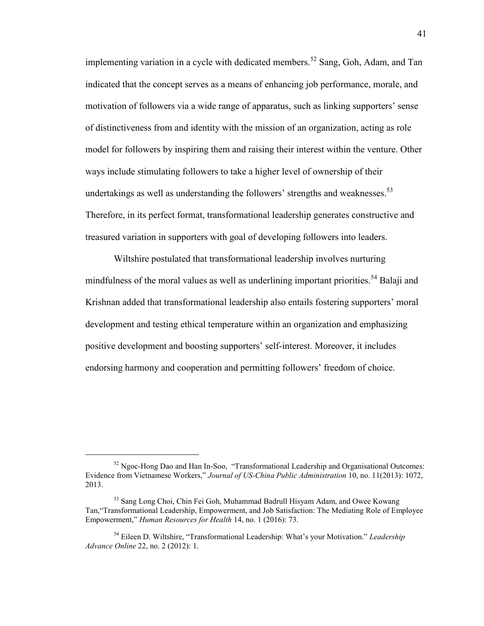implementing variation in a cycle with dedicated members.<sup>52</sup> Sang, Goh, Adam, and Tan indicated that the concept serves as a means of enhancing job performance, morale, and motivation of followers via a wide range of apparatus, such as linking supporters' sense of distinctiveness from and identity with the mission of an organization, acting as role model for followers by inspiring them and raising their interest within the venture. Other ways include stimulating followers to take a higher level of ownership of their undertakings as well as understanding the followers' strengths and weaknesses.<sup>53</sup> Therefore, in its perfect format, transformational leadership generates constructive and treasured variation in supporters with goal of developing followers into leaders.

Wiltshire postulated that transformational leadership involves nurturing mindfulness of the moral values as well as underlining important priorities.<sup>54</sup> Balaji and Krishnan added that transformational leadership also entails fostering supporters' moral development and testing ethical temperature within an organization and emphasizing positive development and boosting supporters' self-interest. Moreover, it includes endorsing harmony and cooperation and permitting followers' freedom of choice.

<sup>52</sup> Ngoc-Hong Dao and Han In-Soo, "Transformational Leadership and Organisational Outcomes: Evidence from Vietnamese Workers," *Journal of US-China Public Administration* 10, no. 11(2013): 1072, 2013.

<sup>53</sup> Sang Long Choi, Chin Fei Goh, Muhammad Badrull Hisyam Adam, and Owee Kowang Tan,"Transformational Leadership, Empowerment, and Job Satisfaction: The Mediating Role of Employee Empowerment," *Human Resources for Health* 14, no. 1 (2016): 73.

<sup>54</sup> Eileen D. Wiltshire, "Transformational Leadership: What's your Motivation." *Leadership Advance Online* 22, no. 2 (2012): 1.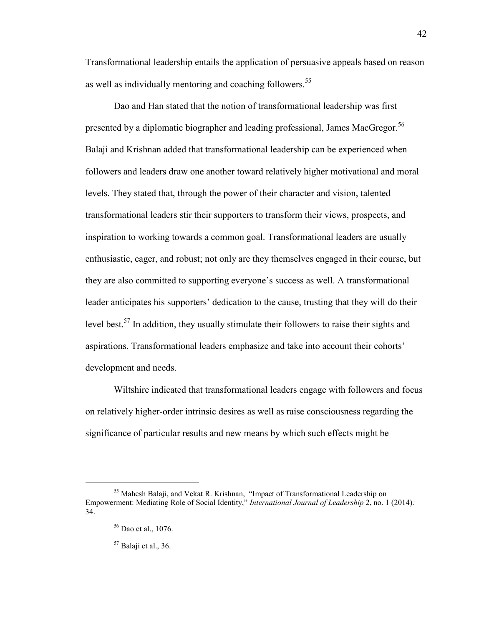Transformational leadership entails the application of persuasive appeals based on reason as well as individually mentoring and coaching followers.<sup>55</sup>

Dao and Han stated that the notion of transformational leadership was first presented by a diplomatic biographer and leading professional, James MacGregor.<sup>56</sup> Balaji and Krishnan added that transformational leadership can be experienced when followers and leaders draw one another toward relatively higher motivational and moral levels. They stated that, through the power of their character and vision, talented transformational leaders stir their supporters to transform their views, prospects, and inspiration to working towards a common goal. Transformational leaders are usually enthusiastic, eager, and robust; not only are they themselves engaged in their course, but they are also committed to supporting everyone's success as well. A transformational leader anticipates his supporters' dedication to the cause, trusting that they will do their level best.<sup>57</sup> In addition, they usually stimulate their followers to raise their sights and aspirations. Transformational leaders emphasize and take into account their cohorts' development and needs.

Wiltshire indicated that transformational leaders engage with followers and focus on relatively higher-order intrinsic desires as well as raise consciousness regarding the significance of particular results and new means by which such effects might be

<sup>55</sup> Mahesh Balaji, and Vekat R. Krishnan, "Impact of Transformational Leadership on Empowerment: Mediating Role of Social Identity," *International Journal of Leadership* 2, no. 1 (2014)*:*  34.

<sup>56</sup> Dao et al., 1076.

 $57$  Balaji et al., 36.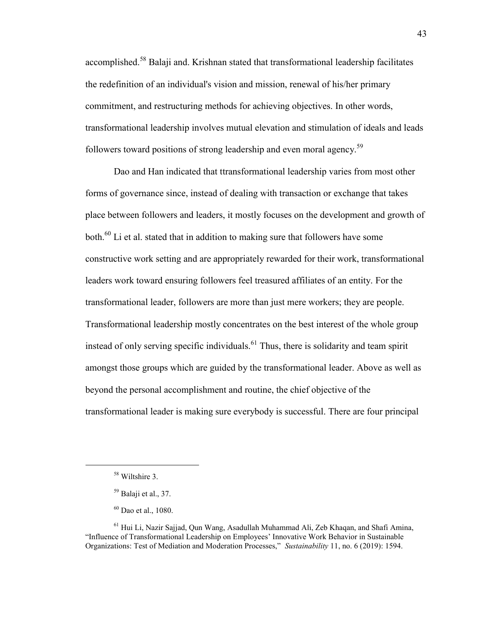accomplished.<sup>58</sup> Balaji and. Krishnan stated that transformational leadership facilitates the redefinition of an individual's vision and mission, renewal of his/her primary commitment, and restructuring methods for achieving objectives. In other words, transformational leadership involves mutual elevation and stimulation of ideals and leads followers toward positions of strong leadership and even moral agency.<sup>59</sup>

Dao and Han indicated that ttransformational leadership varies from most other forms of governance since, instead of dealing with transaction or exchange that takes place between followers and leaders, it mostly focuses on the development and growth of both.<sup>60</sup> Li et al. stated that in addition to making sure that followers have some constructive work setting and are appropriately rewarded for their work, transformational leaders work toward ensuring followers feel treasured affiliates of an entity. For the transformational leader, followers are more than just mere workers; they are people. Transformational leadership mostly concentrates on the best interest of the whole group instead of only serving specific individuals.<sup>61</sup> Thus, there is solidarity and team spirit amongst those groups which are guided by the transformational leader. Above as well as beyond the personal accomplishment and routine, the chief objective of the transformational leader is making sure everybody is successful. There are four principal

<sup>58</sup> Wiltshire 3.

 $59$  Balaji et al., 37.

<sup>60</sup> Dao et al., 1080.

<sup>61</sup> Hui Li, Nazir Sajjad, Qun Wang, Asadullah Muhammad Ali, Zeb Khaqan, and Shafi Amina, "Influence of Transformational Leadership on Employees' Innovative Work Behavior in Sustainable Organizations: Test of Mediation and Moderation Processes," *Sustainability* 11, no. 6 (2019): 1594.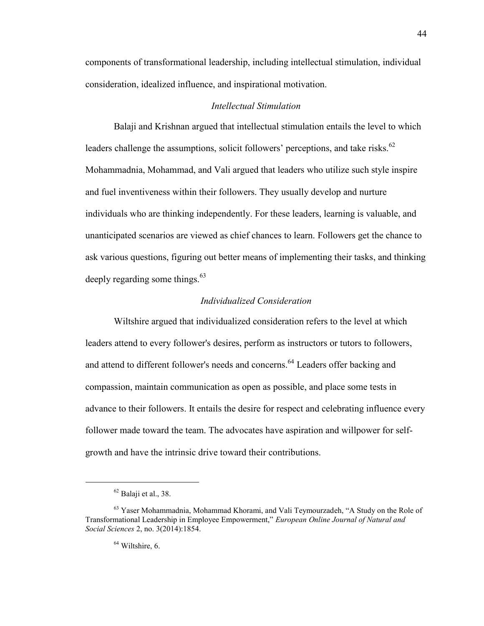components of transformational leadership, including intellectual stimulation, individual consideration, idealized influence, and inspirational motivation.

# *Intellectual Stimulation*

Balaji and Krishnan argued that intellectual stimulation entails the level to which leaders challenge the assumptions, solicit followers' perceptions, and take risks.<sup>62</sup> Mohammadnia, Mohammad, and Vali argued that leaders who utilize such style inspire and fuel inventiveness within their followers. They usually develop and nurture individuals who are thinking independently. For these leaders, learning is valuable, and unanticipated scenarios are viewed as chief chances to learn. Followers get the chance to ask various questions, figuring out better means of implementing their tasks, and thinking deeply regarding some things.  $63$ 

# *Individualized Consideration*

Wiltshire argued that individualized consideration refers to the level at which leaders attend to every follower's desires, perform as instructors or tutors to followers, and attend to different follower's needs and concerns.<sup>64</sup> Leaders offer backing and compassion, maintain communication as open as possible, and place some tests in advance to their followers. It entails the desire for respect and celebrating influence every follower made toward the team. The advocates have aspiration and willpower for selfgrowth and have the intrinsic drive toward their contributions.

 $62$  Balaji et al., 38.

<sup>&</sup>lt;sup>63</sup> Yaser Mohammadnia, Mohammad Khorami, and Vali Teymourzadeh, "A Study on the Role of Transformational Leadership in Employee Empowerment," *European Online Journal of Natural and Social Sciences* 2, no. 3(2014):1854.

 $64$  Wiltshire, 6.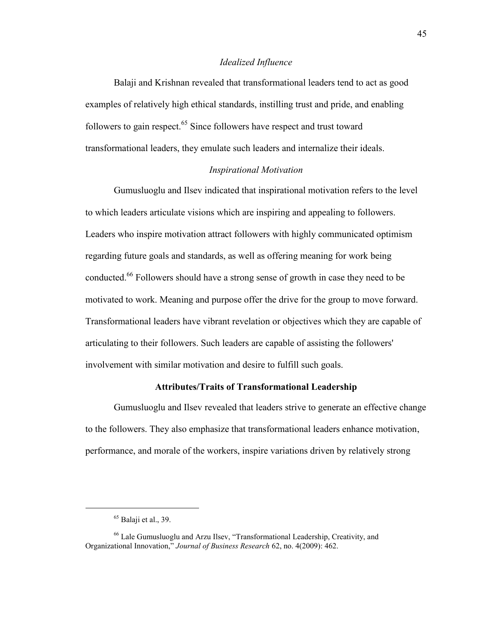## *Idealized Influence*

Balaji and Krishnan revealed that transformational leaders tend to act as good examples of relatively high ethical standards, instilling trust and pride, and enabling followers to gain respect. $65$  Since followers have respect and trust toward transformational leaders, they emulate such leaders and internalize their ideals.

## *Inspirational Motivation*

Gumusluoglu and Ilsev indicated that inspirational motivation refers to the level to which leaders articulate visions which are inspiring and appealing to followers. Leaders who inspire motivation attract followers with highly communicated optimism regarding future goals and standards, as well as offering meaning for work being conducted.<sup>66</sup> Followers should have a strong sense of growth in case they need to be motivated to work. Meaning and purpose offer the drive for the group to move forward. Transformational leaders have vibrant revelation or objectives which they are capable of articulating to their followers. Such leaders are capable of assisting the followers' involvement with similar motivation and desire to fulfill such goals.

# **Attributes/Traits of Transformational Leadership**

Gumusluoglu and Ilsev revealed that leaders strive to generate an effective change to the followers. They also emphasize that transformational leaders enhance motivation, performance, and morale of the workers, inspire variations driven by relatively strong

 $65$  Balaji et al., 39.

<sup>66</sup> Lale Gumusluoglu and Arzu Ilsev, "Transformational Leadership, Creativity, and Organizational Innovation," *Journal of Business Research* 62, no. 4(2009): 462.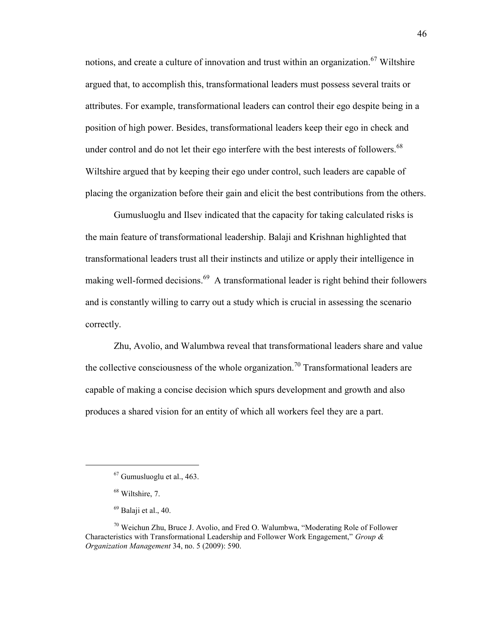notions, and create a culture of innovation and trust within an organization.<sup>67</sup> Wiltshire argued that, to accomplish this, transformational leaders must possess several traits or attributes. For example, transformational leaders can control their ego despite being in a position of high power. Besides, transformational leaders keep their ego in check and under control and do not let their ego interfere with the best interests of followers.<sup>68</sup> Wiltshire argued that by keeping their ego under control, such leaders are capable of placing the organization before their gain and elicit the best contributions from the others.

Gumusluoglu and Ilsev indicated that the capacity for taking calculated risks is the main feature of transformational leadership. Balaji and Krishnan highlighted that transformational leaders trust all their instincts and utilize or apply their intelligence in making well-formed decisions.<sup>69</sup> A transformational leader is right behind their followers and is constantly willing to carry out a study which is crucial in assessing the scenario correctly.

Zhu, Avolio, and Walumbwa reveal that transformational leaders share and value the collective consciousness of the whole organization.<sup>70</sup> Transformational leaders are capable of making a concise decision which spurs development and growth and also produces a shared vision for an entity of which all workers feel they are a part.

 $67$  Gumusluoglu et al., 463.

<sup>68</sup> Wiltshire, 7.

 $69$  Balaii et al., 40.

 $70$  Weichun Zhu, Bruce J. Avolio, and Fred O. Walumbwa, "Moderating Role of Follower Characteristics with Transformational Leadership and Follower Work Engagement," *Group & Organization Management* 34, no. 5 (2009): 590.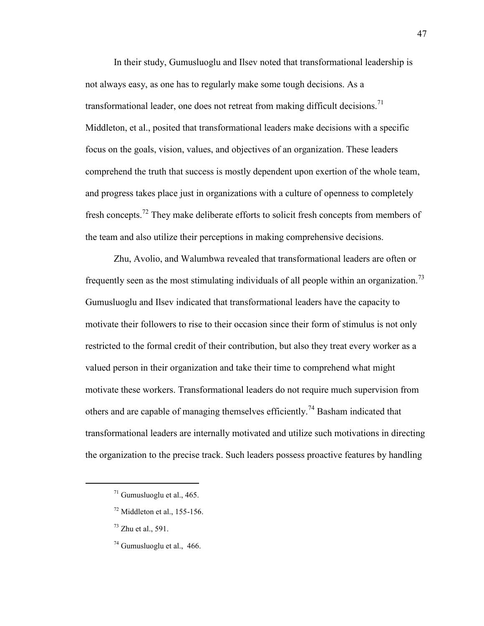In their study, Gumusluoglu and Ilsev noted that transformational leadership is not always easy, as one has to regularly make some tough decisions. As a transformational leader, one does not retreat from making difficult decisions.<sup>71</sup> Middleton, et al., posited that transformational leaders make decisions with a specific focus on the goals, vision, values, and objectives of an organization. These leaders comprehend the truth that success is mostly dependent upon exertion of the whole team, and progress takes place just in organizations with a culture of openness to completely fresh concepts.<sup>72</sup> They make deliberate efforts to solicit fresh concepts from members of the team and also utilize their perceptions in making comprehensive decisions.

Zhu, Avolio, and Walumbwa revealed that transformational leaders are often or frequently seen as the most stimulating individuals of all people within an organization.<sup>73</sup> Gumusluoglu and Ilsev indicated that transformational leaders have the capacity to motivate their followers to rise to their occasion since their form of stimulus is not only restricted to the formal credit of their contribution, but also they treat every worker as a valued person in their organization and take their time to comprehend what might motivate these workers. Transformational leaders do not require much supervision from others and are capable of managing themselves efficiently.<sup>74</sup> Basham indicated that transformational leaders are internally motivated and utilize such motivations in directing the organization to the precise track. Such leaders possess proactive features by handling

 $71$  Gumusluoglu et al., 465.

 $72$  Middleton et al., 155-156.

 $^{73}$  Zhu et al., 591.

 $74$  Gumusluoglu et al., 466.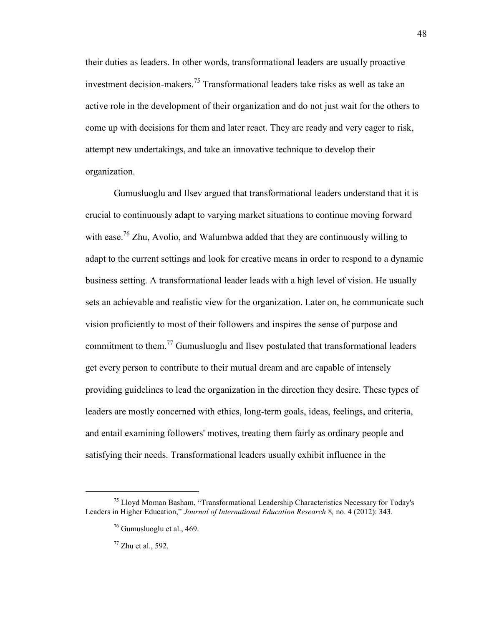their duties as leaders. In other words, transformational leaders are usually proactive investment decision-makers.<sup>75</sup> Transformational leaders take risks as well as take an active role in the development of their organization and do not just wait for the others to come up with decisions for them and later react. They are ready and very eager to risk, attempt new undertakings, and take an innovative technique to develop their organization.

Gumusluoglu and Ilsev argued that transformational leaders understand that it is crucial to continuously adapt to varying market situations to continue moving forward with ease.<sup>76</sup> Zhu, Avolio, and Walumbwa added that they are continuously willing to adapt to the current settings and look for creative means in order to respond to a dynamic business setting. A transformational leader leads with a high level of vision. He usually sets an achievable and realistic view for the organization. Later on, he communicate such vision proficiently to most of their followers and inspires the sense of purpose and commitment to them.<sup>77</sup> Gumusluoglu and Ilsev postulated that transformational leaders get every person to contribute to their mutual dream and are capable of intensely providing guidelines to lead the organization in the direction they desire. These types of leaders are mostly concerned with ethics, long-term goals, ideas, feelings, and criteria, and entail examining followers' motives, treating them fairly as ordinary people and satisfying their needs. Transformational leaders usually exhibit influence in the

<sup>75</sup> Lloyd Moman Basham, "Transformational Leadership Characteristics Necessary for Today's Leaders in Higher Education," *Journal of International Education Research* 8*,* no. 4 (2012): 343.

 $76$  Gumusluoglu et al., 469.

 $77$  Zhu et al., 592.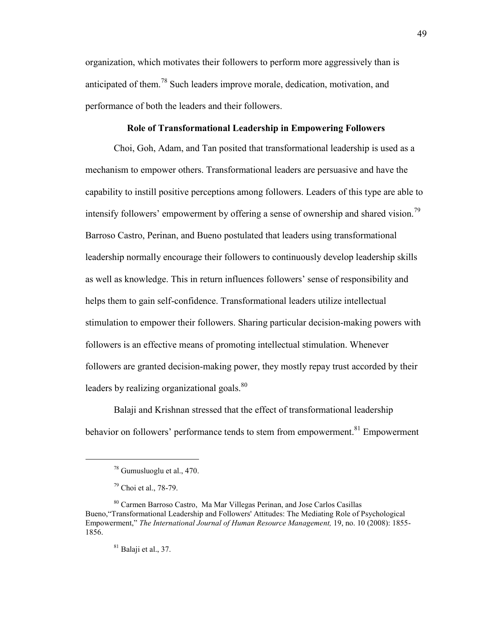organization, which motivates their followers to perform more aggressively than is anticipated of them.<sup>78</sup> Such leaders improve morale, dedication, motivation, and performance of both the leaders and their followers.

## **Role of Transformational Leadership in Empowering Followers**

Choi, Goh, Adam, and Tan posited that transformational leadership is used as a mechanism to empower others. Transformational leaders are persuasive and have the capability to instill positive perceptions among followers. Leaders of this type are able to intensify followers' empowerment by offering a sense of ownership and shared vision.<sup>79</sup> Barroso Castro, Perinan, and Bueno postulated that leaders using transformational leadership normally encourage their followers to continuously develop leadership skills as well as knowledge. This in return influences followers' sense of responsibility and helps them to gain self-confidence. Transformational leaders utilize intellectual stimulation to empower their followers. Sharing particular decision-making powers with followers is an effective means of promoting intellectual stimulation. Whenever followers are granted decision-making power, they mostly repay trust accorded by their leaders by realizing organizational goals.<sup>80</sup>

Balaji and Krishnan stressed that the effect of transformational leadership behavior on followers' performance tends to stem from empowerment.<sup>81</sup> Empowerment

 $\overline{a}$ 

 $81$  Balaji et al., 37.

<sup>78</sup> Gumusluoglu et al., 470.

<sup>79</sup> Choi et al., 78-79.

<sup>80</sup> Carmen Barroso Castro, Ma Mar Villegas Perinan, and Jose Carlos Casillas Bueno,"Transformational Leadership and Followers' Attitudes: The Mediating Role of Psychological Empowerment," *The International Journal of Human Resource Management,* 19, no. 10 (2008): 1855- 1856.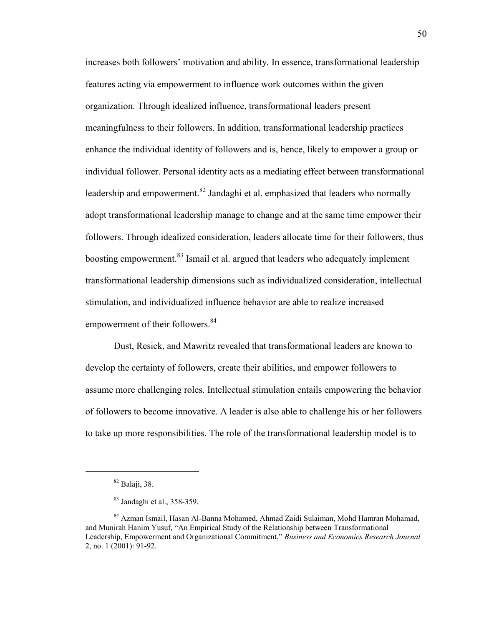increases both followers' motivation and ability. In essence, transformational leadership features acting via empowerment to influence work outcomes within the given organization. Through idealized influence, transformational leaders present meaningfulness to their followers. In addition, transformational leadership practices enhance the individual identity of followers and is, hence, likely to empower a group or individual follower. Personal identity acts as a mediating effect between transformational leadership and empowerment. $82$  Jandaghi et al. emphasized that leaders who normally adopt transformational leadership manage to change and at the same time empower their followers. Through idealized consideration, leaders allocate time for their followers, thus boosting empowerment.<sup>83</sup> Ismail et al. argued that leaders who adequately implement transformational leadership dimensions such as individualized consideration, intellectual stimulation, and individualized influence behavior are able to realize increased empowerment of their followers.<sup>84</sup>

Dust, Resick, and Mawritz revealed that transformational leaders are known to develop the certainty of followers, create their abilities, and empower followers to assume more challenging roles. Intellectual stimulation entails empowering the behavior of followers to become innovative. A leader is also able to challenge his or her followers to take up more responsibilities. The role of the transformational leadership model is to

<sup>82</sup> Balaji, 38.

<sup>83</sup> Jandaghi et al., 358-359.

<sup>84</sup> Azman Ismail, Hasan Al-Banna Mohamed, Ahmad Zaidi Sulaiman, Mohd Hamran Mohamad, and Munirah Hanim Yusuf, "An Empirical Study of the Relationship between Transformational Leadership, Empowerment and Organizational Commitment," *Business and Economics Research Journal* 2, no. 1 (2001): 91-92.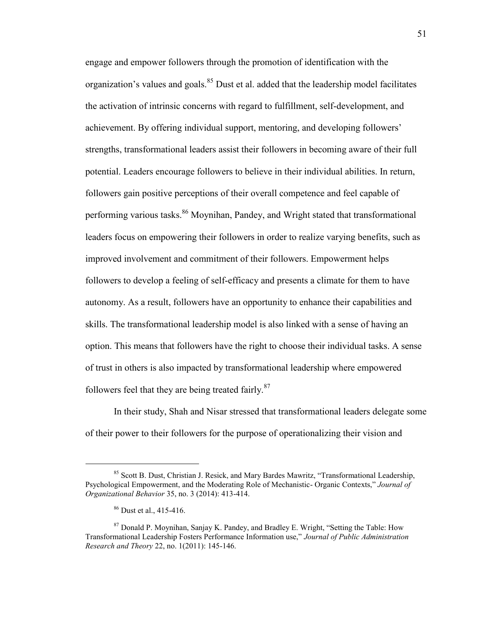engage and empower followers through the promotion of identification with the organization's values and goals.<sup>85</sup> Dust et al. added that the leadership model facilitates the activation of intrinsic concerns with regard to fulfillment, self-development, and achievement. By offering individual support, mentoring, and developing followers' strengths, transformational leaders assist their followers in becoming aware of their full potential. Leaders encourage followers to believe in their individual abilities. In return, followers gain positive perceptions of their overall competence and feel capable of performing various tasks.<sup>86</sup> Moynihan, Pandey, and Wright stated that transformational leaders focus on empowering their followers in order to realize varying benefits, such as improved involvement and commitment of their followers. Empowerment helps followers to develop a feeling of self-efficacy and presents a climate for them to have autonomy. As a result, followers have an opportunity to enhance their capabilities and skills. The transformational leadership model is also linked with a sense of having an option. This means that followers have the right to choose their individual tasks. A sense of trust in others is also impacted by transformational leadership where empowered followers feel that they are being treated fairly. $87$ 

In their study, Shah and Nisar stressed that transformational leaders delegate some of their power to their followers for the purpose of operationalizing their vision and

<sup>&</sup>lt;sup>85</sup> Scott B. Dust, Christian J. Resick, and Mary Bardes Mawritz, "Transformational Leadership, Psychological Empowerment, and the Moderating Role of Mechanistic- Organic Contexts," *Journal of Organizational Behavior* 35, no. 3 (2014): 413-414.

<sup>86</sup> Dust et al., 415-416.

<sup>87</sup> Donald P. Moynihan, Sanjay K. Pandey, and Bradley E. Wright, "Setting the Table: How Transformational Leadership Fosters Performance Information use," *Journal of Public Administration Research and Theory* 22, no. 1(2011): 145-146.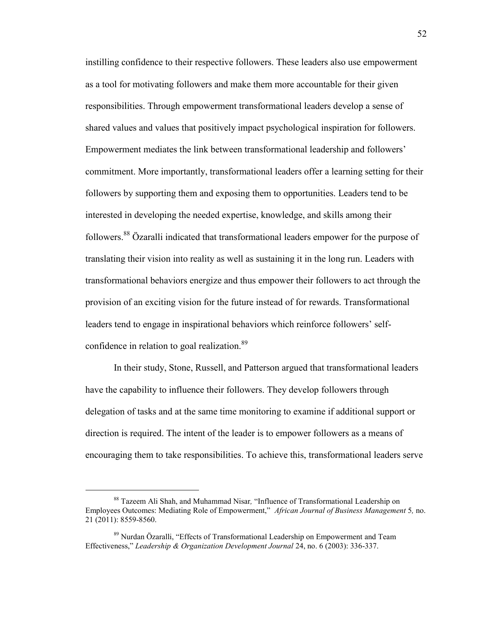instilling confidence to their respective followers. These leaders also use empowerment as a tool for motivating followers and make them more accountable for their given responsibilities. Through empowerment transformational leaders develop a sense of shared values and values that positively impact psychological inspiration for followers. Empowerment mediates the link between transformational leadership and followers' commitment. More importantly, transformational leaders offer a learning setting for their followers by supporting them and exposing them to opportunities. Leaders tend to be interested in developing the needed expertise, knowledge, and skills among their followers.<sup>88</sup> Özaralli indicated that transformational leaders empower for the purpose of translating their vision into reality as well as sustaining it in the long run. Leaders with transformational behaviors energize and thus empower their followers to act through the provision of an exciting vision for the future instead of for rewards. Transformational leaders tend to engage in inspirational behaviors which reinforce followers' selfconfidence in relation to goal realization.<sup>89</sup>

In their study, Stone, Russell, and Patterson argued that transformational leaders have the capability to influence their followers. They develop followers through delegation of tasks and at the same time monitoring to examine if additional support or direction is required. The intent of the leader is to empower followers as a means of encouraging them to take responsibilities. To achieve this, transformational leaders serve

<sup>88</sup> Tazeem Ali Shah, and Muhammad Nisar*,* "Influence of Transformational Leadership on Employees Outcomes: Mediating Role of Empowerment," *African Journal of Business Management* 5*,* no. 21 (2011): 8559-8560.

<sup>89</sup> Nurdan Özaralli, "Effects of Transformational Leadership on Empowerment and Team Effectiveness," *Leadership & Organization Development Journal* 24, no. 6 (2003): 336-337.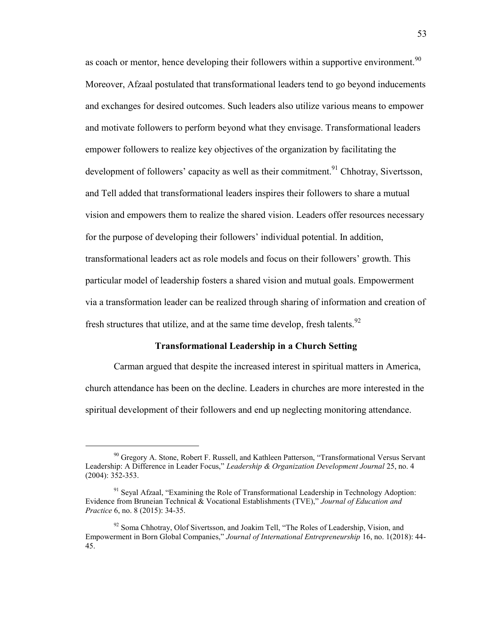as coach or mentor, hence developing their followers within a supportive environment.  $90$ Moreover, Afzaal postulated that transformational leaders tend to go beyond inducements and exchanges for desired outcomes. Such leaders also utilize various means to empower and motivate followers to perform beyond what they envisage. Transformational leaders empower followers to realize key objectives of the organization by facilitating the development of followers' capacity as well as their commitment.<sup>91</sup> Chhotray, Sivertsson, and Tell added that transformational leaders inspires their followers to share a mutual vision and empowers them to realize the shared vision. Leaders offer resources necessary for the purpose of developing their followers' individual potential. In addition, transformational leaders act as role models and focus on their followers' growth. This particular model of leadership fosters a shared vision and mutual goals. Empowerment via a transformation leader can be realized through sharing of information and creation of fresh structures that utilize, and at the same time develop, fresh talents.  $92$ 

## **Transformational Leadership in a Church Setting**

Carman argued that despite the increased interest in spiritual matters in America, church attendance has been on the decline. Leaders in churches are more interested in the spiritual development of their followers and end up neglecting monitoring attendance.

<sup>&</sup>lt;sup>90</sup> Gregory A. Stone, Robert F. Russell, and Kathleen Patterson, "Transformational Versus Servant Leadership: A Difference in Leader Focus," *Leadership & Organization Development Journal* 25, no. 4 (2004): 352-353.

 $91$  Seyal Afzaal, "Examining the Role of Transformational Leadership in Technology Adoption: Evidence from Bruneian Technical & Vocational Establishments (TVE)," *Journal of Education and Practice* 6, no. 8 (2015): 34-35.

 $92$  Soma Chhotray, Olof Sivertsson, and Joakim Tell, "The Roles of Leadership, Vision, and Empowerment in Born Global Companies," *Journal of International Entrepreneurship* 16, no. 1(2018): 44- 45.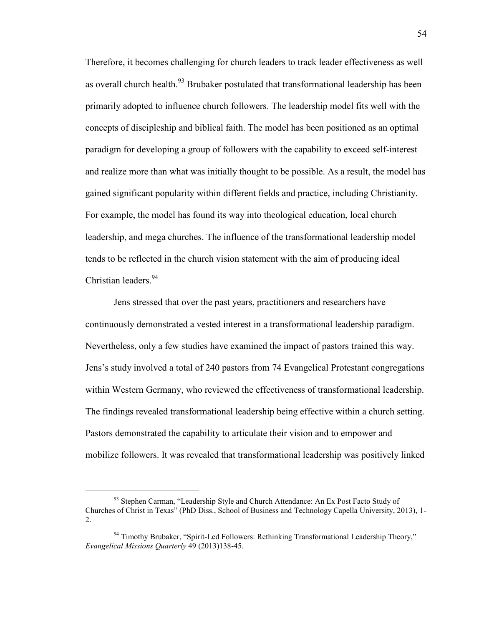Therefore, it becomes challenging for church leaders to track leader effectiveness as well as overall church health.<sup>93</sup> Brubaker postulated that transformational leadership has been primarily adopted to influence church followers. The leadership model fits well with the concepts of discipleship and biblical faith. The model has been positioned as an optimal paradigm for developing a group of followers with the capability to exceed self-interest and realize more than what was initially thought to be possible. As a result, the model has gained significant popularity within different fields and practice, including Christianity. For example, the model has found its way into theological education, local church leadership, and mega churches. The influence of the transformational leadership model tends to be reflected in the church vision statement with the aim of producing ideal Christian leaders.<sup>94</sup>

Jens stressed that over the past years, practitioners and researchers have continuously demonstrated a vested interest in a transformational leadership paradigm. Nevertheless, only a few studies have examined the impact of pastors trained this way. Jens's study involved a total of 240 pastors from 74 Evangelical Protestant congregations within Western Germany, who reviewed the effectiveness of transformational leadership. The findings revealed transformational leadership being effective within a church setting. Pastors demonstrated the capability to articulate their vision and to empower and mobilize followers. It was revealed that transformational leadership was positively linked

<sup>93</sup> Stephen Carman, "Leadership Style and Church Attendance: An Ex Post Facto Study of Churches of Christ in Texas" (PhD Diss., School of Business and Technology Capella University, 2013), 1- 2.

<sup>&</sup>lt;sup>94</sup> Timothy Brubaker, "Spirit-Led Followers: Rethinking Transformational Leadership Theory," *Evangelical Missions Quarterly* 49 (2013)138-45.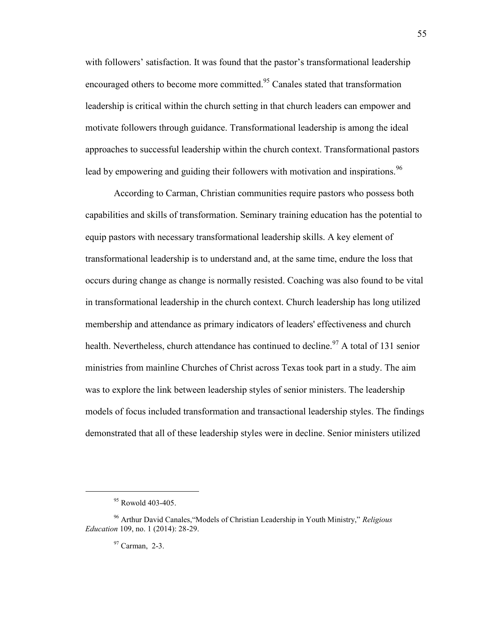with followers' satisfaction. It was found that the pastor's transformational leadership encouraged others to become more committed.<sup>95</sup> Canales stated that transformation leadership is critical within the church setting in that church leaders can empower and motivate followers through guidance. Transformational leadership is among the ideal approaches to successful leadership within the church context. Transformational pastors lead by empowering and guiding their followers with motivation and inspirations.<sup>96</sup>

According to Carman, Christian communities require pastors who possess both capabilities and skills of transformation. Seminary training education has the potential to equip pastors with necessary transformational leadership skills. A key element of transformational leadership is to understand and, at the same time, endure the loss that occurs during change as change is normally resisted. Coaching was also found to be vital in transformational leadership in the church context. Church leadership has long utilized membership and attendance as primary indicators of leaders' effectiveness and church health. Nevertheless, church attendance has continued to decline.<sup>97</sup> A total of 131 senior ministries from mainline Churches of Christ across Texas took part in a study. The aim was to explore the link between leadership styles of senior ministers. The leadership models of focus included transformation and transactional leadership styles. The findings demonstrated that all of these leadership styles were in decline. Senior ministers utilized

<sup>&</sup>lt;sup>95</sup> Rowold 403-405.

<sup>96</sup> Arthur David Canales,"Models of Christian Leadership in Youth Ministry," *Religious Education* 109, no. 1 (2014): 28-29.

 $97$  Carman, 2-3.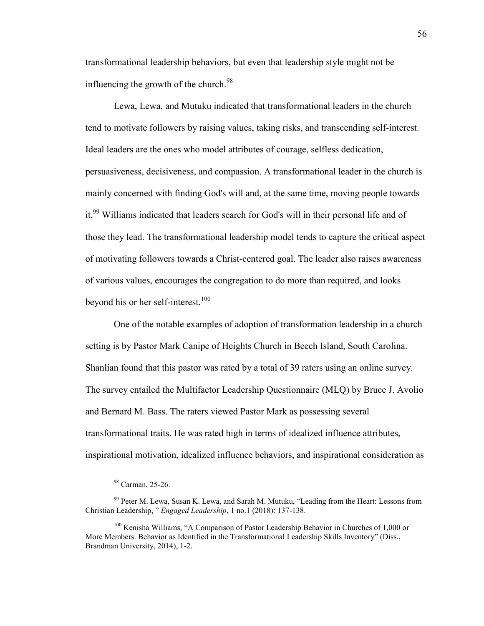transformational leadership behaviors, but even that leadership style might not be influencing the growth of the church. $98$ 

Lewa, Lewa, and Mutuku indicated that transformational leaders in the church tend to motivate followers by raising values, taking risks, and transcending self-interest. Ideal leaders are the ones who model attributes of courage, selfless dedication, persuasiveness, decisiveness, and compassion. A transformational leader in the church is mainly concerned with finding God's will and, at the same time, moving people towards it.<sup>99</sup> Williams indicated that leaders search for God's will in their personal life and of those they lead. The transformational leadership model tends to capture the critical aspect of motivating followers towards a Christ-centered goal. The leader also raises awareness of various values, encourages the congregation to do more than required, and looks beyond his or her self-interest.<sup>100</sup>

One of the notable examples of adoption of transformation leadership in a church setting is by Pastor Mark Canipe of Heights Church in Beech Island, South Carolina. Shanlian found that this pastor was rated by a total of 39 raters using an online survey. The survey entailed the Multifactor Leadership Questionnaire (MLQ) by Bruce J. Avolio and Bernard M. Bass. The raters viewed Pastor Mark as possessing several transformational traits. He was rated high in terms of idealized influence attributes, inspirational motivation, idealized influence behaviors, and inspirational consideration as

<sup>98</sup> Carman, 25-26.

<sup>&</sup>lt;sup>99</sup> Peter M. Lewa, Susan K. Lewa, and Sarah M. Mutuku, "Leading from the Heart: Lessons from Christian Leadership, " *Engaged Leadership*, 1 no.1 (2018): 137-138.

<sup>&</sup>lt;sup>100</sup> Kenisha Williams, "A Comparison of Pastor Leadership Behavior in Churches of 1,000 or More Members. Behavior as Identified in the Transformational Leadership Skills Inventory" (Diss., Brandman University, 2014), 1-2.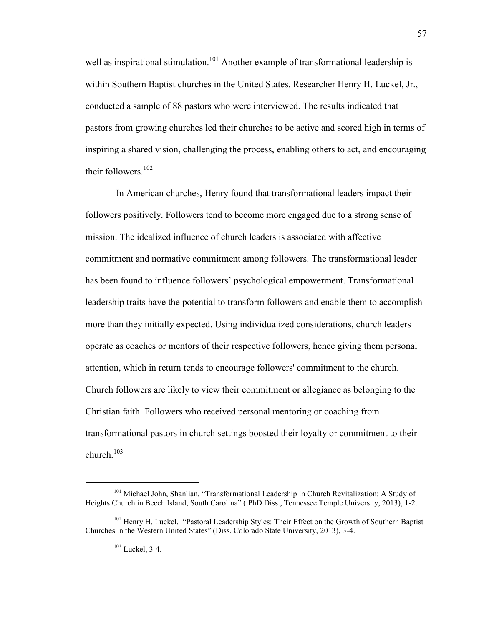well as inspirational stimulation.<sup>101</sup> Another example of transformational leadership is within Southern Baptist churches in the United States. Researcher Henry H. Luckel, Jr., conducted a sample of 88 pastors who were interviewed. The results indicated that pastors from growing churches led their churches to be active and scored high in terms of inspiring a shared vision, challenging the process, enabling others to act, and encouraging their followers. $102$ 

 In American churches, Henry found that transformational leaders impact their followers positively. Followers tend to become more engaged due to a strong sense of mission. The idealized influence of church leaders is associated with affective commitment and normative commitment among followers. The transformational leader has been found to influence followers' psychological empowerment. Transformational leadership traits have the potential to transform followers and enable them to accomplish more than they initially expected. Using individualized considerations, church leaders operate as coaches or mentors of their respective followers, hence giving them personal attention, which in return tends to encourage followers' commitment to the church. Church followers are likely to view their commitment or allegiance as belonging to the Christian faith. Followers who received personal mentoring or coaching from transformational pastors in church settings boosted their loyalty or commitment to their church. $103$ 

<sup>&</sup>lt;sup>101</sup> Michael John, Shanlian, "Transformational Leadership in Church Revitalization: A Study of Heights Church in Beech Island, South Carolina" ( PhD Diss., Tennessee Temple University, 2013), 1-2.

<sup>&</sup>lt;sup>102</sup> Henry H. Luckel, "Pastoral Leadership Styles: Their Effect on the Growth of Southern Baptist Churches in the Western United States" (Diss. Colorado State University, 2013), 3-4.

<sup>103</sup> Luckel, 3-4.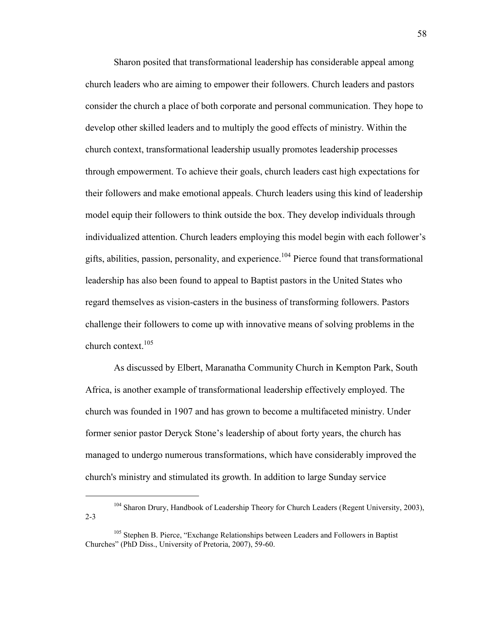Sharon posited that transformational leadership has considerable appeal among church leaders who are aiming to empower their followers. Church leaders and pastors consider the church a place of both corporate and personal communication. They hope to develop other skilled leaders and to multiply the good effects of ministry. Within the church context, transformational leadership usually promotes leadership processes through empowerment. To achieve their goals, church leaders cast high expectations for their followers and make emotional appeals. Church leaders using this kind of leadership model equip their followers to think outside the box. They develop individuals through individualized attention. Church leaders employing this model begin with each follower's gifts, abilities, passion, personality, and experience.<sup>104</sup> Pierce found that transformational leadership has also been found to appeal to Baptist pastors in the United States who regard themselves as vision-casters in the business of transforming followers. Pastors challenge their followers to come up with innovative means of solving problems in the church context. $105$ 

As discussed by Elbert, Maranatha Community Church in Kempton Park, South Africa, is another example of transformational leadership effectively employed. The church was founded in 1907 and has grown to become a multifaceted ministry. Under former senior pastor Deryck Stone's leadership of about forty years, the church has managed to undergo numerous transformations, which have considerably improved the church's ministry and stimulated its growth. In addition to large Sunday service

<sup>&</sup>lt;sup>104</sup> Sharon Drury, Handbook of Leadership Theory for Church Leaders (Regent University, 2003), 2-3

<sup>&</sup>lt;sup>105</sup> Stephen B. Pierce, "Exchange Relationships between Leaders and Followers in Baptist Churches" (PhD Diss., University of Pretoria, 2007), 59-60.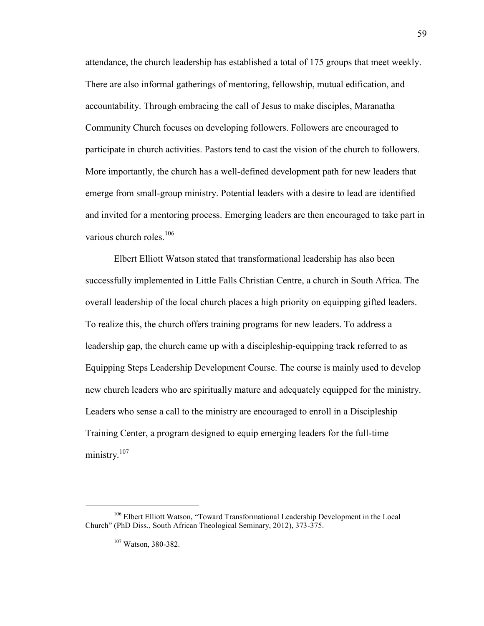attendance, the church leadership has established a total of 175 groups that meet weekly. There are also informal gatherings of mentoring, fellowship, mutual edification, and accountability. Through embracing the call of Jesus to make disciples, Maranatha Community Church focuses on developing followers. Followers are encouraged to participate in church activities. Pastors tend to cast the vision of the church to followers. More importantly, the church has a well-defined development path for new leaders that emerge from small-group ministry. Potential leaders with a desire to lead are identified and invited for a mentoring process. Emerging leaders are then encouraged to take part in various church roles. $106$ 

Elbert Elliott Watson stated that transformational leadership has also been successfully implemented in Little Falls Christian Centre, a church in South Africa. The overall leadership of the local church places a high priority on equipping gifted leaders. To realize this, the church offers training programs for new leaders. To address a leadership gap, the church came up with a discipleship-equipping track referred to as Equipping Steps Leadership Development Course. The course is mainly used to develop new church leaders who are spiritually mature and adequately equipped for the ministry. Leaders who sense a call to the ministry are encouraged to enroll in a Discipleship Training Center, a program designed to equip emerging leaders for the full-time ministry.<sup>107</sup>

<sup>&</sup>lt;sup>106</sup> Elbert Elliott Watson, "Toward Transformational Leadership Development in the Local Church" (PhD Diss., South African Theological Seminary, 2012), 373-375.

<sup>107</sup> Watson, 380-382.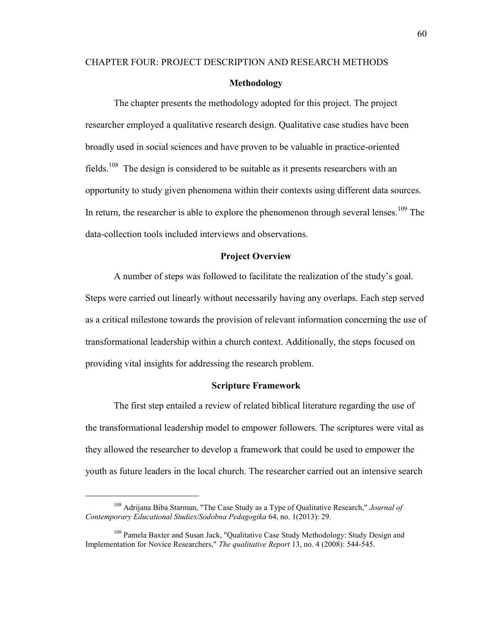# CHAPTER FOUR: PROJECT DESCRIPTION AND RESEARCH METHODS **Methodology**

The chapter presents the methodology adopted for this project. The project researcher employed a qualitative research design. Qualitative case studies have been broadly used in social sciences and have proven to be valuable in practice-oriented fields.<sup>108</sup> The design is considered to be suitable as it presents researchers with an opportunity to study given phenomena within their contexts using different data sources. In return, the researcher is able to explore the phenomenon through several lenses.<sup>109</sup> The data-collection tools included interviews and observations.

## **Project Overview**

A number of steps was followed to facilitate the realization of the study's goal. Steps were carried out linearly without necessarily having any overlaps. Each step served as a critical milestone towards the provision of relevant information concerning the use of transformational leadership within a church context. Additionally, the steps focused on providing vital insights for addressing the research problem.

#### **Scripture Framework**

The first step entailed a review of related biblical literature regarding the use of the transformational leadership model to empower followers. The scriptures were vital as they allowed the researcher to develop a framework that could be used to empower the youth as future leaders in the local church. The researcher carried out an intensive search

<sup>108</sup> Adrijana Biba Starman, "The Case Study as a Type of Qualitative Research," *Journal of Contemporary Educational Studies/Sodobna Pedagogika* 64, no. 1(2013): 29.

<sup>&</sup>lt;sup>109</sup> Pamela Baxter and Susan Jack, "Qualitative Case Study Methodology: Study Design and Implementation for Novice Researchers," *The qualitative Report* 13, no. 4 (2008): 544-545.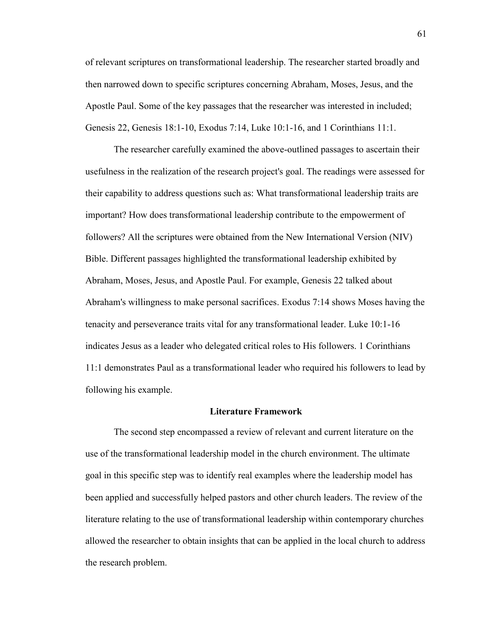of relevant scriptures on transformational leadership. The researcher started broadly and then narrowed down to specific scriptures concerning Abraham, Moses, Jesus, and the Apostle Paul. Some of the key passages that the researcher was interested in included; Genesis 22, Genesis 18:1-10, Exodus 7:14, Luke 10:1-16, and 1 Corinthians 11:1.

The researcher carefully examined the above-outlined passages to ascertain their usefulness in the realization of the research project's goal. The readings were assessed for their capability to address questions such as: What transformational leadership traits are important? How does transformational leadership contribute to the empowerment of followers? All the scriptures were obtained from the New International Version (NIV) Bible. Different passages highlighted the transformational leadership exhibited by Abraham, Moses, Jesus, and Apostle Paul. For example, Genesis 22 talked about Abraham's willingness to make personal sacrifices. Exodus 7:14 shows Moses having the tenacity and perseverance traits vital for any transformational leader. Luke 10:1-16 indicates Jesus as a leader who delegated critical roles to His followers. 1 Corinthians 11:1 demonstrates Paul as a transformational leader who required his followers to lead by following his example.

#### **Literature Framework**

The second step encompassed a review of relevant and current literature on the use of the transformational leadership model in the church environment. The ultimate goal in this specific step was to identify real examples where the leadership model has been applied and successfully helped pastors and other church leaders. The review of the literature relating to the use of transformational leadership within contemporary churches allowed the researcher to obtain insights that can be applied in the local church to address the research problem.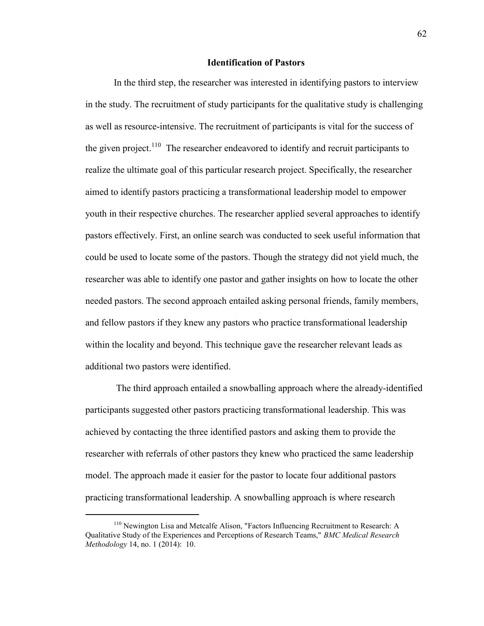## **Identification of Pastors**

In the third step, the researcher was interested in identifying pastors to interview in the study. The recruitment of study participants for the qualitative study is challenging as well as resource-intensive. The recruitment of participants is vital for the success of the given project.<sup>110</sup> The researcher endeavored to identify and recruit participants to realize the ultimate goal of this particular research project. Specifically, the researcher aimed to identify pastors practicing a transformational leadership model to empower youth in their respective churches. The researcher applied several approaches to identify pastors effectively. First, an online search was conducted to seek useful information that could be used to locate some of the pastors. Though the strategy did not yield much, the researcher was able to identify one pastor and gather insights on how to locate the other needed pastors. The second approach entailed asking personal friends, family members, and fellow pastors if they knew any pastors who practice transformational leadership within the locality and beyond. This technique gave the researcher relevant leads as additional two pastors were identified.

The third approach entailed a snowballing approach where the already-identified participants suggested other pastors practicing transformational leadership. This was achieved by contacting the three identified pastors and asking them to provide the researcher with referrals of other pastors they knew who practiced the same leadership model. The approach made it easier for the pastor to locate four additional pastors practicing transformational leadership. A snowballing approach is where research

 $110$  Newington Lisa and Metcalfe Alison, "Factors Influencing Recruitment to Research: A Qualitative Study of the Experiences and Perceptions of Research Teams," *BMC Medical Research Methodology* 14, no. 1 (2014): 10.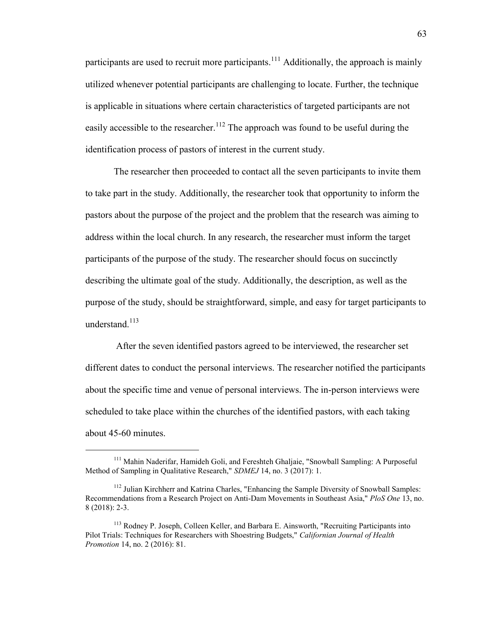participants are used to recruit more participants.<sup>111</sup> Additionally, the approach is mainly utilized whenever potential participants are challenging to locate. Further, the technique is applicable in situations where certain characteristics of targeted participants are not easily accessible to the researcher.<sup>112</sup> The approach was found to be useful during the identification process of pastors of interest in the current study.

The researcher then proceeded to contact all the seven participants to invite them to take part in the study. Additionally, the researcher took that opportunity to inform the pastors about the purpose of the project and the problem that the research was aiming to address within the local church. In any research, the researcher must inform the target participants of the purpose of the study. The researcher should focus on succinctly describing the ultimate goal of the study. Additionally, the description, as well as the purpose of the study, should be straightforward, simple, and easy for target participants to understand. $^{113}$ 

After the seven identified pastors agreed to be interviewed, the researcher set different dates to conduct the personal interviews. The researcher notified the participants about the specific time and venue of personal interviews. The in-person interviews were scheduled to take place within the churches of the identified pastors, with each taking about 45-60 minutes.

<sup>&</sup>lt;sup>111</sup> Mahin Naderifar, Hamideh Goli, and Fereshteh Ghaljaie, "Snowball Sampling: A Purposeful Method of Sampling in Qualitative Research," *SDMEJ* 14, no. 3 (2017): 1.

<sup>&</sup>lt;sup>112</sup> Julian Kirchherr and Katrina Charles, "Enhancing the Sample Diversity of Snowball Samples: Recommendations from a Research Project on Anti-Dam Movements in Southeast Asia," *PloS One* 13, no. 8 (2018): 2-3.

<sup>&</sup>lt;sup>113</sup> Rodney P. Joseph, Colleen Keller, and Barbara E. Ainsworth, "Recruiting Participants into Pilot Trials: Techniques for Researchers with Shoestring Budgets," *Californian Journal of Health Promotion* 14, no. 2 (2016): 81.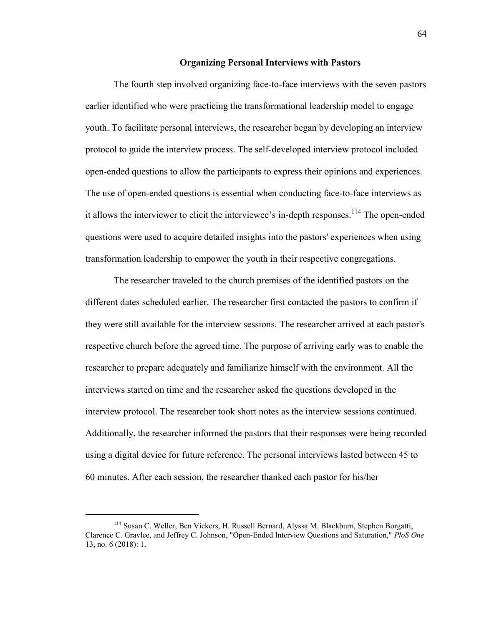## **Organizing Personal Interviews with Pastors**

The fourth step involved organizing face-to-face interviews with the seven pastors earlier identified who were practicing the transformational leadership model to engage youth. To facilitate personal interviews, the researcher began by developing an interview protocol to guide the interview process. The self-developed interview protocol included open-ended questions to allow the participants to express their opinions and experiences. The use of open-ended questions is essential when conducting face-to-face interviews as it allows the interviewer to elicit the interviewee's in-depth responses.<sup>114</sup> The open-ended questions were used to acquire detailed insights into the pastors' experiences when using transformation leadership to empower the youth in their respective congregations.

The researcher traveled to the church premises of the identified pastors on the different dates scheduled earlier. The researcher first contacted the pastors to confirm if they were still available for the interview sessions. The researcher arrived at each pastor's respective church before the agreed time. The purpose of arriving early was to enable the researcher to prepare adequately and familiarize himself with the environment. All the interviews started on time and the researcher asked the questions developed in the interview protocol. The researcher took short notes as the interview sessions continued. Additionally, the researcher informed the pastors that their responses were being recorded using a digital device for future reference. The personal interviews lasted between 45 to 60 minutes. After each session, the researcher thanked each pastor for his/her

<sup>114</sup> Susan C. Weller, Ben Vickers, H. Russell Bernard, Alyssa M. Blackburn, Stephen Borgatti, Clarence C. Gravlee, and Jeffrey C. Johnson, "Open-Ended Interview Questions and Saturation," *PloS One*  13, no. 6 (2018): 1.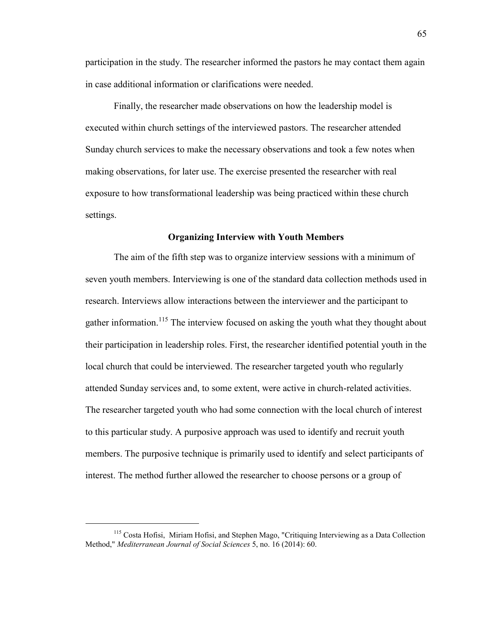participation in the study. The researcher informed the pastors he may contact them again in case additional information or clarifications were needed.

Finally, the researcher made observations on how the leadership model is executed within church settings of the interviewed pastors. The researcher attended Sunday church services to make the necessary observations and took a few notes when making observations, for later use. The exercise presented the researcher with real exposure to how transformational leadership was being practiced within these church settings.

## **Organizing Interview with Youth Members**

The aim of the fifth step was to organize interview sessions with a minimum of seven youth members. Interviewing is one of the standard data collection methods used in research. Interviews allow interactions between the interviewer and the participant to gather information.<sup>115</sup> The interview focused on asking the youth what they thought about their participation in leadership roles. First, the researcher identified potential youth in the local church that could be interviewed. The researcher targeted youth who regularly attended Sunday services and, to some extent, were active in church-related activities. The researcher targeted youth who had some connection with the local church of interest to this particular study. A purposive approach was used to identify and recruit youth members. The purposive technique is primarily used to identify and select participants of interest. The method further allowed the researcher to choose persons or a group of

<sup>115</sup> Costa Hofisi, Miriam Hofisi, and Stephen Mago, "Critiquing Interviewing as a Data Collection Method," *Mediterranean Journal of Social Sciences* 5, no. 16 (2014): 60.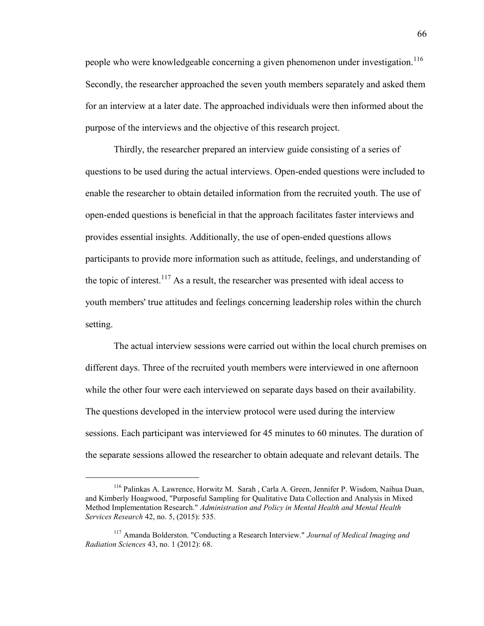people who were knowledgeable concerning a given phenomenon under investigation.<sup>116</sup> Secondly, the researcher approached the seven youth members separately and asked them for an interview at a later date. The approached individuals were then informed about the purpose of the interviews and the objective of this research project.

Thirdly, the researcher prepared an interview guide consisting of a series of questions to be used during the actual interviews. Open-ended questions were included to enable the researcher to obtain detailed information from the recruited youth. The use of open-ended questions is beneficial in that the approach facilitates faster interviews and provides essential insights. Additionally, the use of open-ended questions allows participants to provide more information such as attitude, feelings, and understanding of the topic of interest.<sup>117</sup> As a result, the researcher was presented with ideal access to youth members' true attitudes and feelings concerning leadership roles within the church setting.

The actual interview sessions were carried out within the local church premises on different days. Three of the recruited youth members were interviewed in one afternoon while the other four were each interviewed on separate days based on their availability. The questions developed in the interview protocol were used during the interview sessions. Each participant was interviewed for 45 minutes to 60 minutes. The duration of the separate sessions allowed the researcher to obtain adequate and relevant details. The

<sup>116</sup> Palinkas A. Lawrence, Horwitz M. Sarah , Carla A. Green, Jennifer P. Wisdom, Naihua Duan, and Kimberly Hoagwood, "Purposeful Sampling for Qualitative Data Collection and Analysis in Mixed Method Implementation Research." *Administration and Policy in Mental Health and Mental Health Services Research* 42, no. 5, (2015): 535.

<sup>117</sup> Amanda Bolderston. "Conducting a Research Interview." *Journal of Medical Imaging and Radiation Sciences* 43, no. 1 (2012): 68.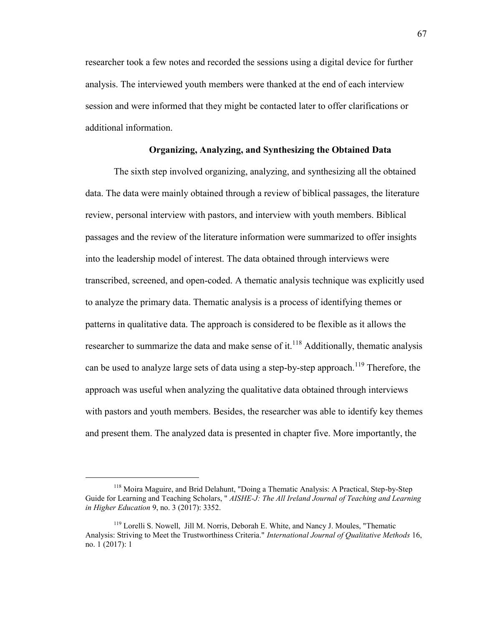researcher took a few notes and recorded the sessions using a digital device for further analysis. The interviewed youth members were thanked at the end of each interview session and were informed that they might be contacted later to offer clarifications or additional information.

## **Organizing, Analyzing, and Synthesizing the Obtained Data**

The sixth step involved organizing, analyzing, and synthesizing all the obtained data. The data were mainly obtained through a review of biblical passages, the literature review, personal interview with pastors, and interview with youth members. Biblical passages and the review of the literature information were summarized to offer insights into the leadership model of interest. The data obtained through interviews were transcribed, screened, and open-coded. A thematic analysis technique was explicitly used to analyze the primary data. Thematic analysis is a process of identifying themes or patterns in qualitative data. The approach is considered to be flexible as it allows the researcher to summarize the data and make sense of it.<sup>118</sup> Additionally, thematic analysis can be used to analyze large sets of data using a step-by-step approach.<sup>119</sup> Therefore, the approach was useful when analyzing the qualitative data obtained through interviews with pastors and youth members. Besides, the researcher was able to identify key themes and present them. The analyzed data is presented in chapter five. More importantly, the

<sup>118</sup> Moira Maguire, and Brid Delahunt, "Doing a Thematic Analysis: A Practical, Step-by-Step Guide for Learning and Teaching Scholars, " *AISHE-J: The All Ireland Journal of Teaching and Learning in Higher Education* 9, no. 3 (2017): 3352.

<sup>&</sup>lt;sup>119</sup> Lorelli S. Nowell, Jill M. Norris, Deborah E. White, and Nancy J. Moules, "Thematic Analysis: Striving to Meet the Trustworthiness Criteria." *International Journal of Qualitative Methods* 16, no. 1 (2017): 1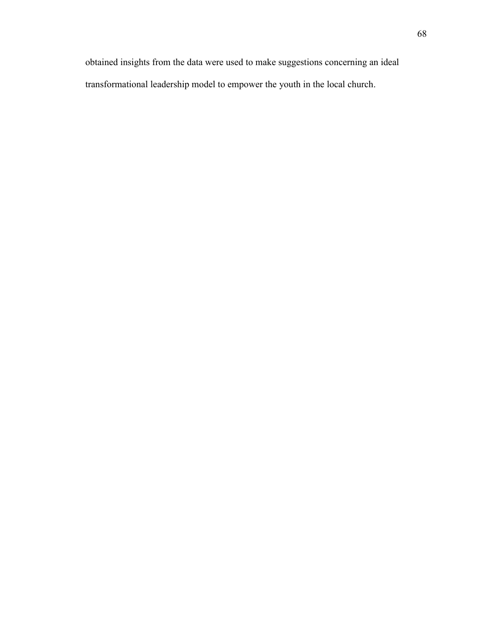obtained insights from the data were used to make suggestions concerning an ideal transformational leadership model to empower the youth in the local church.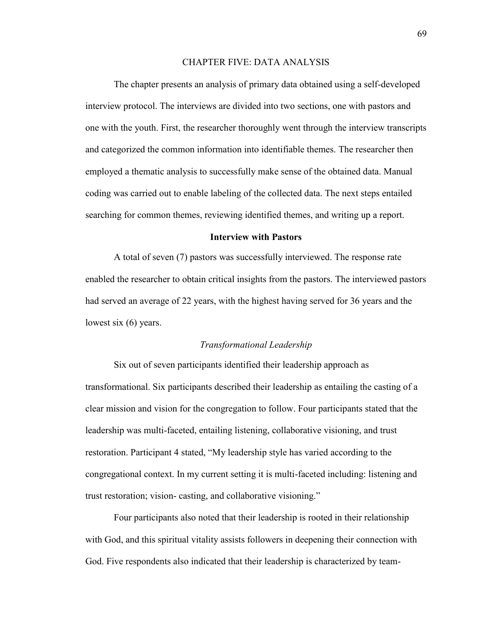## CHAPTER FIVE: DATA ANALYSIS

The chapter presents an analysis of primary data obtained using a self-developed interview protocol. The interviews are divided into two sections, one with pastors and one with the youth. First, the researcher thoroughly went through the interview transcripts and categorized the common information into identifiable themes. The researcher then employed a thematic analysis to successfully make sense of the obtained data. Manual coding was carried out to enable labeling of the collected data. The next steps entailed searching for common themes, reviewing identified themes, and writing up a report.

## **Interview with Pastors**

A total of seven (7) pastors was successfully interviewed. The response rate enabled the researcher to obtain critical insights from the pastors. The interviewed pastors had served an average of 22 years, with the highest having served for 36 years and the lowest six (6) years.

## *Transformational Leadership*

Six out of seven participants identified their leadership approach as transformational. Six participants described their leadership as entailing the casting of a clear mission and vision for the congregation to follow. Four participants stated that the leadership was multi-faceted, entailing listening, collaborative visioning, and trust restoration. Participant 4 stated, "My leadership style has varied according to the congregational context. In my current setting it is multi-faceted including: listening and trust restoration; vision- casting, and collaborative visioning."

Four participants also noted that their leadership is rooted in their relationship with God, and this spiritual vitality assists followers in deepening their connection with God. Five respondents also indicated that their leadership is characterized by team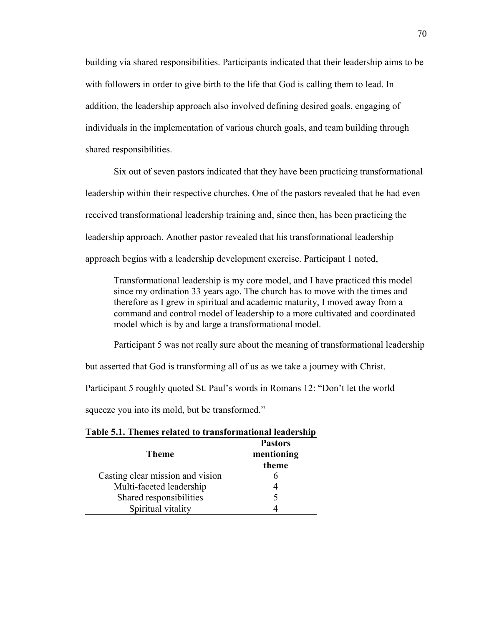building via shared responsibilities. Participants indicated that their leadership aims to be with followers in order to give birth to the life that God is calling them to lead. In addition, the leadership approach also involved defining desired goals, engaging of individuals in the implementation of various church goals, and team building through shared responsibilities.

Six out of seven pastors indicated that they have been practicing transformational leadership within their respective churches. One of the pastors revealed that he had even received transformational leadership training and, since then, has been practicing the leadership approach. Another pastor revealed that his transformational leadership approach begins with a leadership development exercise. Participant 1 noted,

Transformational leadership is my core model, and I have practiced this model since my ordination 33 years ago. The church has to move with the times and therefore as I grew in spiritual and academic maturity, I moved away from a command and control model of leadership to a more cultivated and coordinated model which is by and large a transformational model.

Participant 5 was not really sure about the meaning of transformational leadership

but asserted that God is transforming all of us as we take a journey with Christ.

Participant 5 roughly quoted St. Paul's words in Romans 12: "Don't let the world

squeeze you into its mold, but be transformed."

## **Table 5.1. Themes related to transformational leadership**

| <b>Theme</b>                     | <b>Pastors</b><br>mentioning<br>theme |
|----------------------------------|---------------------------------------|
| Casting clear mission and vision |                                       |
| Multi-faceted leadership         |                                       |
| Shared responsibilities          | $\overline{\mathcal{L}}$              |
| Spiritual vitality               |                                       |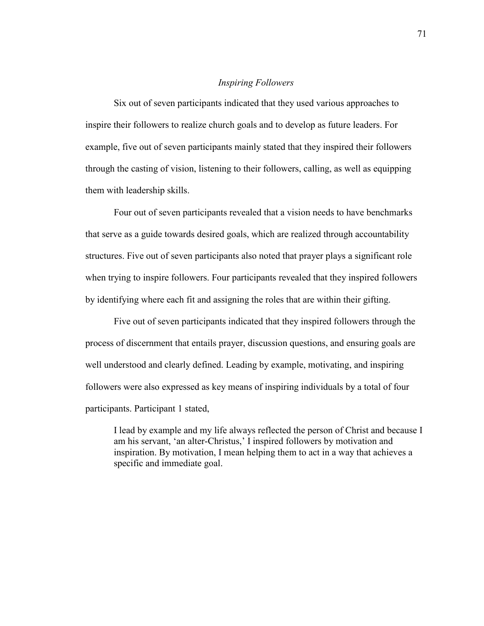# *Inspiring Followers*

Six out of seven participants indicated that they used various approaches to inspire their followers to realize church goals and to develop as future leaders. For example, five out of seven participants mainly stated that they inspired their followers through the casting of vision, listening to their followers, calling, as well as equipping them with leadership skills.

Four out of seven participants revealed that a vision needs to have benchmarks that serve as a guide towards desired goals, which are realized through accountability structures. Five out of seven participants also noted that prayer plays a significant role when trying to inspire followers. Four participants revealed that they inspired followers by identifying where each fit and assigning the roles that are within their gifting.

Five out of seven participants indicated that they inspired followers through the process of discernment that entails prayer, discussion questions, and ensuring goals are well understood and clearly defined. Leading by example, motivating, and inspiring followers were also expressed as key means of inspiring individuals by a total of four participants. Participant 1 stated,

I lead by example and my life always reflected the person of Christ and because I am his servant, 'an alter-Christus,' I inspired followers by motivation and inspiration. By motivation, I mean helping them to act in a way that achieves a specific and immediate goal.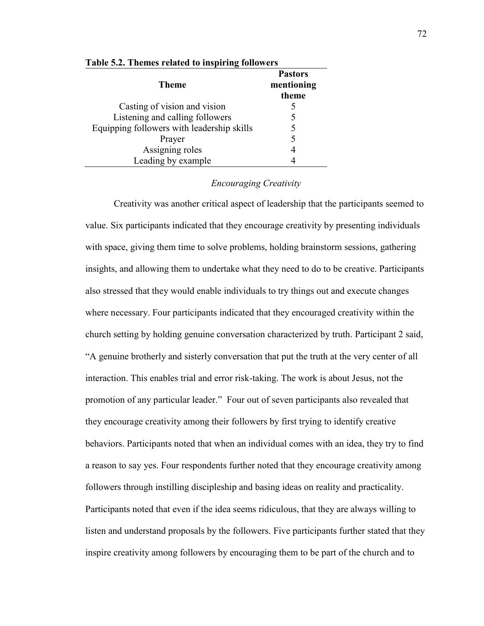| <b>Theme</b>                               | <b>Pastors</b><br>mentioning<br>theme |
|--------------------------------------------|---------------------------------------|
| Casting of vision and vision               |                                       |
| Listening and calling followers            |                                       |
| Equipping followers with leadership skills |                                       |
| Prayer                                     |                                       |
| Assigning roles                            |                                       |
| Leading by example                         |                                       |

#### **Table 5.2. Themes related to inspiring followers**

# *Encouraging Creativity*

Creativity was another critical aspect of leadership that the participants seemed to value. Six participants indicated that they encourage creativity by presenting individuals with space, giving them time to solve problems, holding brainstorm sessions, gathering insights, and allowing them to undertake what they need to do to be creative. Participants also stressed that they would enable individuals to try things out and execute changes where necessary. Four participants indicated that they encouraged creativity within the church setting by holding genuine conversation characterized by truth. Participant 2 said, "A genuine brotherly and sisterly conversation that put the truth at the very center of all interaction. This enables trial and error risk-taking. The work is about Jesus, not the promotion of any particular leader." Four out of seven participants also revealed that they encourage creativity among their followers by first trying to identify creative behaviors. Participants noted that when an individual comes with an idea, they try to find a reason to say yes. Four respondents further noted that they encourage creativity among followers through instilling discipleship and basing ideas on reality and practicality. Participants noted that even if the idea seems ridiculous, that they are always willing to listen and understand proposals by the followers. Five participants further stated that they inspire creativity among followers by encouraging them to be part of the church and to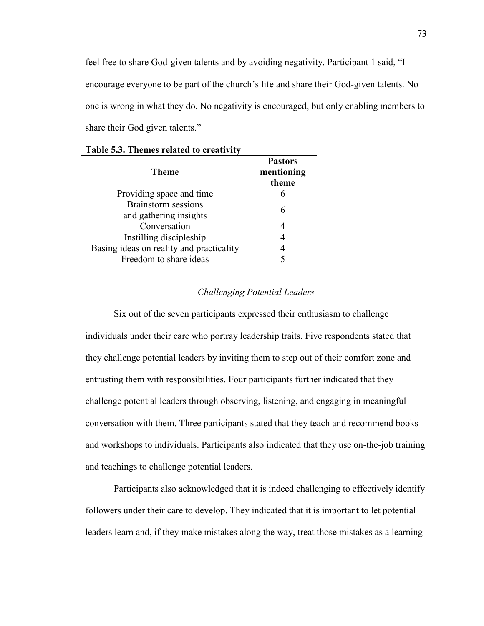feel free to share God-given talents and by avoiding negativity. Participant 1 said, "I encourage everyone to be part of the church's life and share their God-given talents. No one is wrong in what they do. No negativity is encouraged, but only enabling members to share their God given talents."

| Theme                                                | <b>Pastors</b><br>mentioning<br>theme |
|------------------------------------------------------|---------------------------------------|
| Providing space and time                             | 6                                     |
| <b>Brainstorm</b> sessions<br>and gathering insights | 6                                     |
| Conversation                                         | 4                                     |
| Instilling discipleship                              | 4                                     |
| Basing ideas on reality and practicality             |                                       |
| Freedom to share ideas                               |                                       |

## *Challenging Potential Leaders*

Six out of the seven participants expressed their enthusiasm to challenge individuals under their care who portray leadership traits. Five respondents stated that they challenge potential leaders by inviting them to step out of their comfort zone and entrusting them with responsibilities. Four participants further indicated that they challenge potential leaders through observing, listening, and engaging in meaningful conversation with them. Three participants stated that they teach and recommend books and workshops to individuals. Participants also indicated that they use on-the-job training and teachings to challenge potential leaders.

Participants also acknowledged that it is indeed challenging to effectively identify followers under their care to develop. They indicated that it is important to let potential leaders learn and, if they make mistakes along the way, treat those mistakes as a learning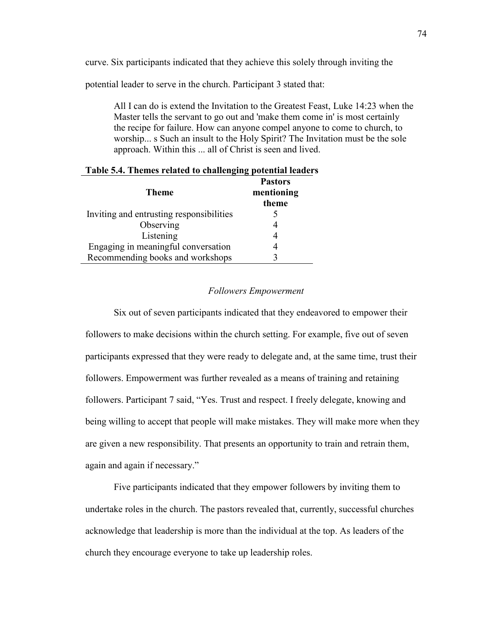curve. Six participants indicated that they achieve this solely through inviting the

potential leader to serve in the church. Participant 3 stated that:

All I can do is extend the Invitation to the Greatest Feast, Luke 14:23 when the Master tells the servant to go out and 'make them come in' is most certainly the recipe for failure. How can anyone compel anyone to come to church, to worship... s Such an insult to the Holy Spirit? The Invitation must be the sole approach. Within this ... all of Christ is seen and lived.

| <b>Theme</b>                             | <b>Pastors</b><br>mentioning<br>theme |
|------------------------------------------|---------------------------------------|
| Inviting and entrusting responsibilities |                                       |
| Observing                                |                                       |
| Listening                                |                                       |
| Engaging in meaningful conversation      |                                       |
| Recommending books and workshops         |                                       |

#### **Table 5.4. Themes related to challenging potential leaders**

## *Followers Empowerment*

Six out of seven participants indicated that they endeavored to empower their followers to make decisions within the church setting. For example, five out of seven participants expressed that they were ready to delegate and, at the same time, trust their followers. Empowerment was further revealed as a means of training and retaining followers. Participant 7 said, "Yes. Trust and respect. I freely delegate, knowing and being willing to accept that people will make mistakes. They will make more when they are given a new responsibility. That presents an opportunity to train and retrain them, again and again if necessary."

Five participants indicated that they empower followers by inviting them to undertake roles in the church. The pastors revealed that, currently, successful churches acknowledge that leadership is more than the individual at the top. As leaders of the church they encourage everyone to take up leadership roles.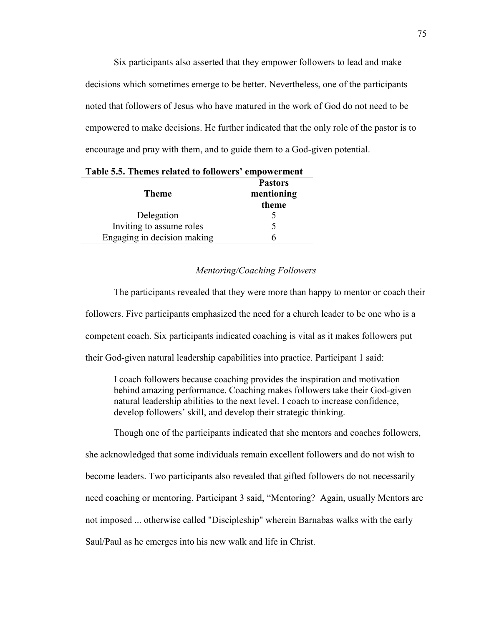Six participants also asserted that they empower followers to lead and make decisions which sometimes emerge to be better. Nevertheless, one of the participants noted that followers of Jesus who have matured in the work of God do not need to be empowered to make decisions. He further indicated that the only role of the pastor is to encourage and pray with them, and to guide them to a God-given potential.

| <b>Theme</b>                | <b>Pastors</b><br>mentioning<br>theme |
|-----------------------------|---------------------------------------|
| Delegation                  |                                       |
| Inviting to assume roles    |                                       |
| Engaging in decision making |                                       |

|  |  |  |  |  | Table 5.5. Themes related to followers' empowerment |
|--|--|--|--|--|-----------------------------------------------------|
|--|--|--|--|--|-----------------------------------------------------|

# *Mentoring/Coaching Followers*

The participants revealed that they were more than happy to mentor or coach their followers. Five participants emphasized the need for a church leader to be one who is a competent coach. Six participants indicated coaching is vital as it makes followers put their God-given natural leadership capabilities into practice. Participant 1 said:

I coach followers because coaching provides the inspiration and motivation behind amazing performance. Coaching makes followers take their God-given natural leadership abilities to the next level. I coach to increase confidence, develop followers' skill, and develop their strategic thinking.

Though one of the participants indicated that she mentors and coaches followers,

she acknowledged that some individuals remain excellent followers and do not wish to become leaders. Two participants also revealed that gifted followers do not necessarily need coaching or mentoring. Participant 3 said, "Mentoring? Again, usually Mentors are not imposed ... otherwise called "Discipleship" wherein Barnabas walks with the early Saul/Paul as he emerges into his new walk and life in Christ.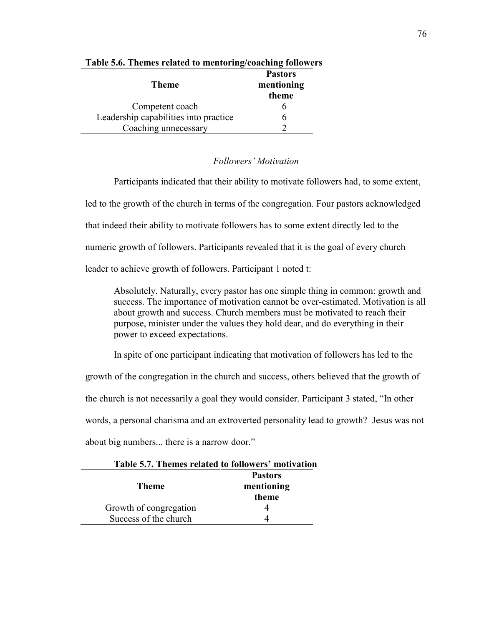| Theme                                 | <b>Pastors</b><br>mentioning<br>theme |
|---------------------------------------|---------------------------------------|
| Competent coach                       |                                       |
| Leadership capabilities into practice |                                       |
| Coaching unnecessary                  |                                       |

# **Table 5.6. Themes related to mentoring/coaching followers**

# *Followers' Motivation*

Participants indicated that their ability to motivate followers had, to some extent, led to the growth of the church in terms of the congregation. Four pastors acknowledged that indeed their ability to motivate followers has to some extent directly led to the numeric growth of followers. Participants revealed that it is the goal of every church leader to achieve growth of followers. Participant 1 noted t:

Absolutely. Naturally, every pastor has one simple thing in common: growth and success. The importance of motivation cannot be over-estimated. Motivation is all about growth and success. Church members must be motivated to reach their purpose, minister under the values they hold dear, and do everything in their power to exceed expectations.

In spite of one participant indicating that motivation of followers has led to the

growth of the congregation in the church and success, others believed that the growth of

the church is not necessarily a goal they would consider. Participant 3 stated, "In other

words, a personal charisma and an extroverted personality lead to growth? Jesus was not

about big numbers... there is a narrow door."

| таріс знатисніся гениса плинямстя північаня |
|---------------------------------------------|
| <b>Pastors</b>                              |
| mentioning                                  |
| theme                                       |
|                                             |
|                                             |
|                                             |

**Table 5.7. Themes related to followers' motivation**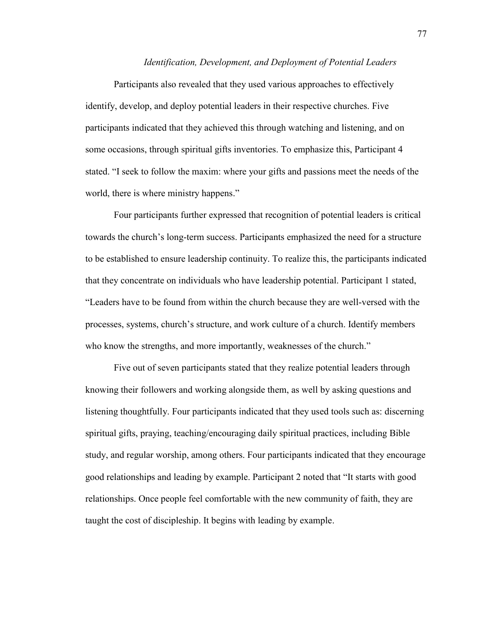#### *Identification, Development, and Deployment of Potential Leaders*

Participants also revealed that they used various approaches to effectively identify, develop, and deploy potential leaders in their respective churches. Five participants indicated that they achieved this through watching and listening, and on some occasions, through spiritual gifts inventories. To emphasize this, Participant 4 stated. "I seek to follow the maxim: where your gifts and passions meet the needs of the world, there is where ministry happens."

Four participants further expressed that recognition of potential leaders is critical towards the church's long-term success. Participants emphasized the need for a structure to be established to ensure leadership continuity. To realize this, the participants indicated that they concentrate on individuals who have leadership potential. Participant 1 stated, "Leaders have to be found from within the church because they are well-versed with the processes, systems, church's structure, and work culture of a church. Identify members who know the strengths, and more importantly, weaknesses of the church."

Five out of seven participants stated that they realize potential leaders through knowing their followers and working alongside them, as well by asking questions and listening thoughtfully. Four participants indicated that they used tools such as: discerning spiritual gifts, praying, teaching/encouraging daily spiritual practices, including Bible study, and regular worship, among others. Four participants indicated that they encourage good relationships and leading by example. Participant 2 noted that "It starts with good relationships. Once people feel comfortable with the new community of faith, they are taught the cost of discipleship. It begins with leading by example.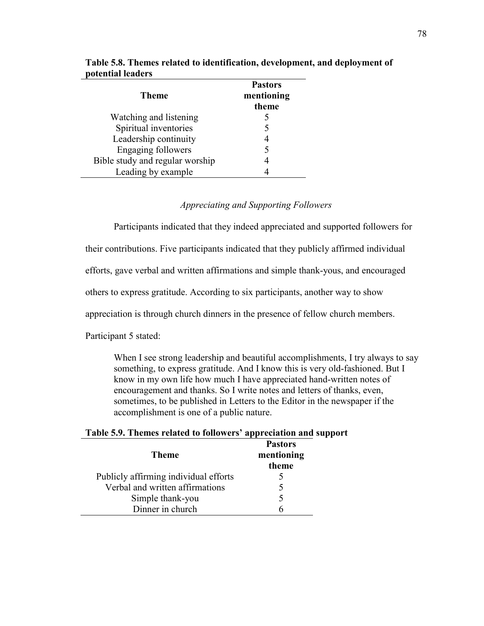| <b>Theme</b>                    | <b>Pastors</b><br>mentioning<br>theme |
|---------------------------------|---------------------------------------|
| Watching and listening          |                                       |
| Spiritual inventories           |                                       |
| Leadership continuity           |                                       |
| <b>Engaging followers</b>       |                                       |
| Bible study and regular worship |                                       |
| Leading by example              |                                       |

**Table 5.8. Themes related to identification, development, and deployment of potential leaders** 

# *Appreciating and Supporting Followers*

Participants indicated that they indeed appreciated and supported followers for

their contributions. Five participants indicated that they publicly affirmed individual

efforts, gave verbal and written affirmations and simple thank-yous, and encouraged

others to express gratitude. According to six participants, another way to show

appreciation is through church dinners in the presence of fellow church members.

Participant 5 stated:

When I see strong leadership and beautiful accomplishments, I try always to say something, to express gratitude. And I know this is very old-fashioned. But I know in my own life how much I have appreciated hand-written notes of encouragement and thanks. So I write notes and letters of thanks, even, sometimes, to be published in Letters to the Editor in the newspaper if the accomplishment is one of a public nature.

# **Table 5.9. Themes related to followers' appreciation and support**

| <b>Theme</b>                          | <b>Pastors</b><br>mentioning<br>theme |
|---------------------------------------|---------------------------------------|
| Publicly affirming individual efforts |                                       |
| Verbal and written affirmations       |                                       |
| Simple thank-you                      |                                       |
| Dinner in church                      |                                       |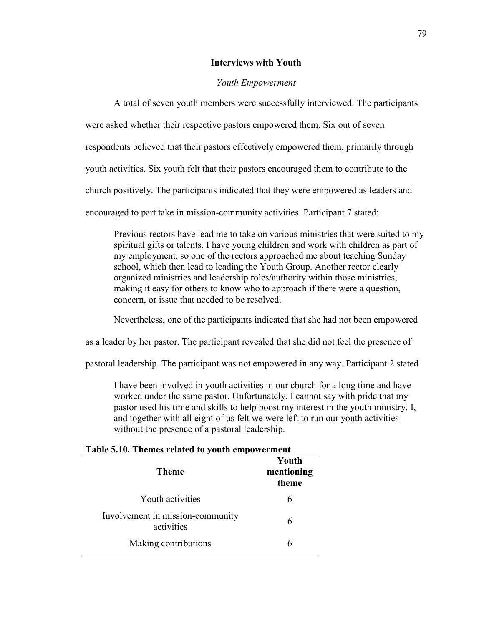#### **Interviews with Youth**

# *Youth Empowerment*

A total of seven youth members were successfully interviewed. The participants were asked whether their respective pastors empowered them. Six out of seven respondents believed that their pastors effectively empowered them, primarily through youth activities. Six youth felt that their pastors encouraged them to contribute to the church positively. The participants indicated that they were empowered as leaders and encouraged to part take in mission-community activities. Participant 7 stated:

Previous rectors have lead me to take on various ministries that were suited to my spiritual gifts or talents. I have young children and work with children as part of my employment, so one of the rectors approached me about teaching Sunday school, which then lead to leading the Youth Group. Another rector clearly organized ministries and leadership roles/authority within those ministries, making it easy for others to know who to approach if there were a question, concern, or issue that needed to be resolved.

Nevertheless, one of the participants indicated that she had not been empowered

as a leader by her pastor. The participant revealed that she did not feel the presence of

pastoral leadership. The participant was not empowered in any way. Participant 2 stated

I have been involved in youth activities in our church for a long time and have worked under the same pastor. Unfortunately, I cannot say with pride that my pastor used his time and skills to help boost my interest in the youth ministry. I, and together with all eight of us felt we were left to run our youth activities without the presence of a pastoral leadership.

# **Table 5.10. Themes related to youth empowerment**

| <b>Theme</b>                                   | Youth<br>mentioning<br>theme |
|------------------------------------------------|------------------------------|
| Youth activities                               | 6                            |
| Involvement in mission-community<br>activities | 6                            |
| Making contributions                           | 6                            |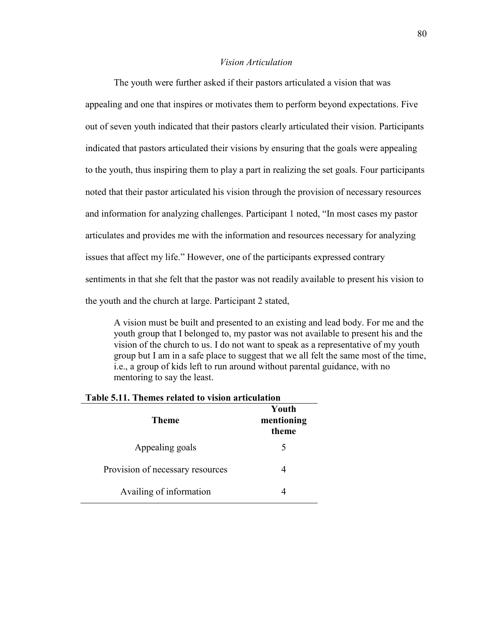# *Vision Articulation*

The youth were further asked if their pastors articulated a vision that was appealing and one that inspires or motivates them to perform beyond expectations. Five out of seven youth indicated that their pastors clearly articulated their vision. Participants indicated that pastors articulated their visions by ensuring that the goals were appealing to the youth, thus inspiring them to play a part in realizing the set goals. Four participants noted that their pastor articulated his vision through the provision of necessary resources and information for analyzing challenges. Participant 1 noted, "In most cases my pastor articulates and provides me with the information and resources necessary for analyzing issues that affect my life." However, one of the participants expressed contrary sentiments in that she felt that the pastor was not readily available to present his vision to the youth and the church at large. Participant 2 stated,

A vision must be built and presented to an existing and lead body. For me and the youth group that I belonged to, my pastor was not available to present his and the vision of the church to us. I do not want to speak as a representative of my youth group but I am in a safe place to suggest that we all felt the same most of the time, i.e., a group of kids left to run around without parental guidance, with no mentoring to say the least.

| <b>Theme</b>                     | Youth<br>mentioning<br>theme |
|----------------------------------|------------------------------|
| Appealing goals                  | 5                            |
| Provision of necessary resources |                              |
| Availing of information          |                              |

# **Table 5.11. Themes related to vision articulation**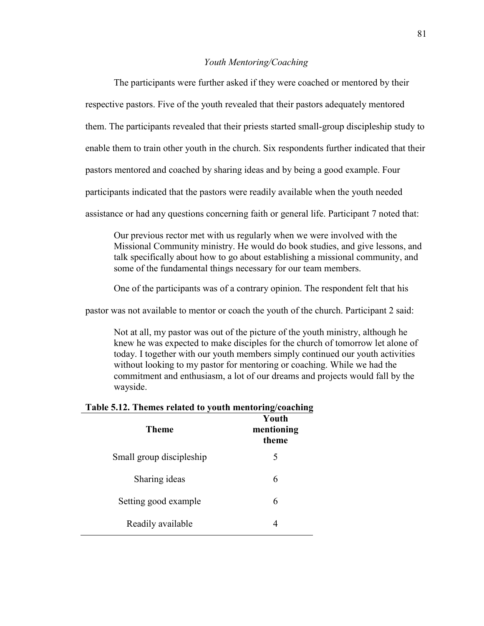# *Youth Mentoring/Coaching*

The participants were further asked if they were coached or mentored by their respective pastors. Five of the youth revealed that their pastors adequately mentored them. The participants revealed that their priests started small-group discipleship study to enable them to train other youth in the church. Six respondents further indicated that their pastors mentored and coached by sharing ideas and by being a good example. Four participants indicated that the pastors were readily available when the youth needed assistance or had any questions concerning faith or general life. Participant 7 noted that:

Our previous rector met with us regularly when we were involved with the Missional Community ministry. He would do book studies, and give lessons, and talk specifically about how to go about establishing a missional community, and some of the fundamental things necessary for our team members.

One of the participants was of a contrary opinion. The respondent felt that his

pastor was not available to mentor or coach the youth of the church. Participant 2 said:

Not at all, my pastor was out of the picture of the youth ministry, although he knew he was expected to make disciples for the church of tomorrow let alone of today. I together with our youth members simply continued our youth activities without looking to my pastor for mentoring or coaching. While we had the commitment and enthusiasm, a lot of our dreams and projects would fall by the wayside.

#### **Table 5.12. Themes related to youth mentoring/coaching**

| Theme                    | Youth<br>mentioning<br>theme |
|--------------------------|------------------------------|
| Small group discipleship | 5                            |
| Sharing ideas            | 6                            |
| Setting good example     | 6                            |
| Readily available        | 4                            |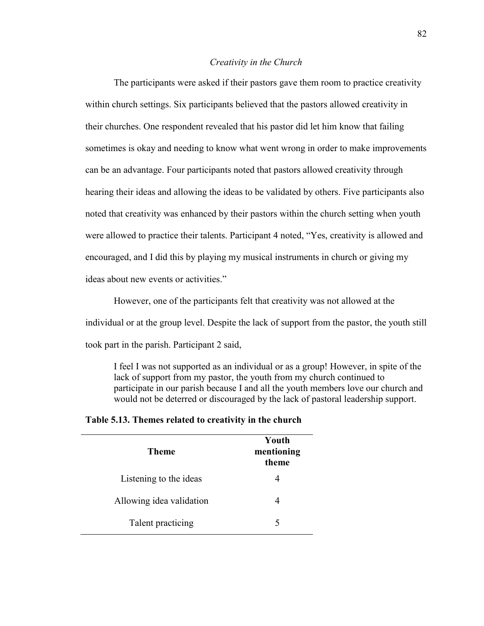## *Creativity in the Church*

The participants were asked if their pastors gave them room to practice creativity within church settings. Six participants believed that the pastors allowed creativity in their churches. One respondent revealed that his pastor did let him know that failing sometimes is okay and needing to know what went wrong in order to make improvements can be an advantage. Four participants noted that pastors allowed creativity through hearing their ideas and allowing the ideas to be validated by others. Five participants also noted that creativity was enhanced by their pastors within the church setting when youth were allowed to practice their talents. Participant 4 noted, "Yes, creativity is allowed and encouraged, and I did this by playing my musical instruments in church or giving my ideas about new events or activities."

However, one of the participants felt that creativity was not allowed at the individual or at the group level. Despite the lack of support from the pastor, the youth still took part in the parish. Participant 2 said,

I feel I was not supported as an individual or as a group! However, in spite of the lack of support from my pastor, the youth from my church continued to participate in our parish because I and all the youth members love our church and would not be deterred or discouraged by the lack of pastoral leadership support.

| Table 5.13. Themes related to creativity in the church |  |  |  |  |
|--------------------------------------------------------|--|--|--|--|
|                                                        |  |  |  |  |

| Theme                    | Youth<br>mentioning<br>theme |
|--------------------------|------------------------------|
| Listening to the ideas   |                              |
| Allowing idea validation |                              |
| Talent practicing        |                              |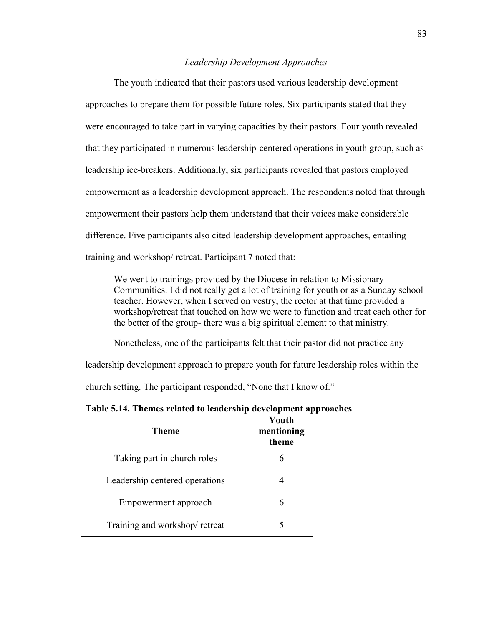# *Leadership Development Approaches*

The youth indicated that their pastors used various leadership development approaches to prepare them for possible future roles. Six participants stated that they were encouraged to take part in varying capacities by their pastors. Four youth revealed that they participated in numerous leadership-centered operations in youth group, such as leadership ice-breakers. Additionally, six participants revealed that pastors employed empowerment as a leadership development approach. The respondents noted that through empowerment their pastors help them understand that their voices make considerable difference. Five participants also cited leadership development approaches, entailing training and workshop/ retreat. Participant 7 noted that:

We went to trainings provided by the Diocese in relation to Missionary Communities. I did not really get a lot of training for youth or as a Sunday school teacher. However, when I served on vestry, the rector at that time provided a workshop/retreat that touched on how we were to function and treat each other for the better of the group- there was a big spiritual element to that ministry.

Nonetheless, one of the participants felt that their pastor did not practice any

leadership development approach to prepare youth for future leadership roles within the

church setting. The participant responded, "None that I know of."

## **Table 5.14. Themes related to leadership development approaches**

| Theme                          | Youth<br>mentioning<br>theme |
|--------------------------------|------------------------------|
| Taking part in church roles    | 6                            |
| Leadership centered operations |                              |
| Empowerment approach           | 6                            |
| Training and workshop/retreat  | 5                            |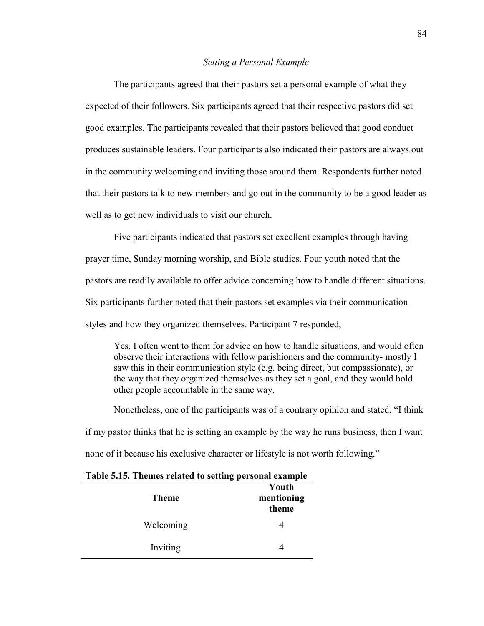#### *Setting a Personal Example*

The participants agreed that their pastors set a personal example of what they expected of their followers. Six participants agreed that their respective pastors did set good examples. The participants revealed that their pastors believed that good conduct produces sustainable leaders. Four participants also indicated their pastors are always out in the community welcoming and inviting those around them. Respondents further noted that their pastors talk to new members and go out in the community to be a good leader as well as to get new individuals to visit our church.

Five participants indicated that pastors set excellent examples through having prayer time, Sunday morning worship, and Bible studies. Four youth noted that the pastors are readily available to offer advice concerning how to handle different situations. Six participants further noted that their pastors set examples via their communication styles and how they organized themselves. Participant 7 responded,

Yes. I often went to them for advice on how to handle situations, and would often observe their interactions with fellow parishioners and the community- mostly I saw this in their communication style (e.g. being direct, but compassionate), or the way that they organized themselves as they set a goal, and they would hold other people accountable in the same way.

Nonetheless, one of the participants was of a contrary opinion and stated, "I think if my pastor thinks that he is setting an example by the way he runs business, then I want none of it because his exclusive character or lifestyle is not worth following."

| Table 3.13. Themes related to setting personal example |            |
|--------------------------------------------------------|------------|
|                                                        | Youth      |
| <b>Theme</b>                                           | mentioning |
|                                                        | theme      |
| Welcoming                                              |            |
| Inviting                                               |            |

# **Table 5.15. Themes related to setting personal example**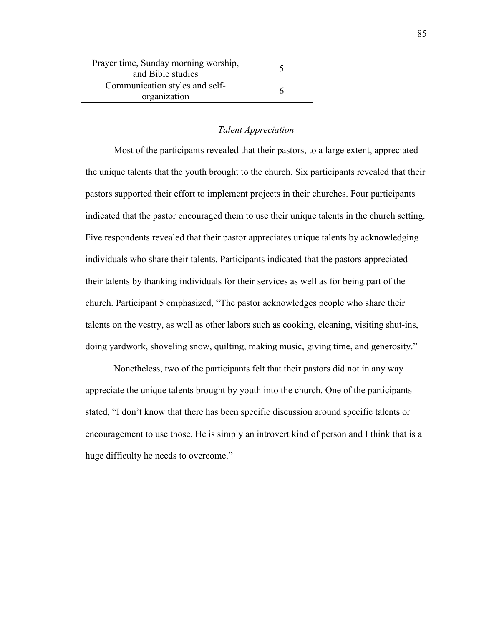| Prayer time, Sunday morning worship,<br>and Bible studies |   |
|-----------------------------------------------------------|---|
| Communication styles and self-<br>organization            | h |

## *Talent Appreciation*

Most of the participants revealed that their pastors, to a large extent, appreciated the unique talents that the youth brought to the church. Six participants revealed that their pastors supported their effort to implement projects in their churches. Four participants indicated that the pastor encouraged them to use their unique talents in the church setting. Five respondents revealed that their pastor appreciates unique talents by acknowledging individuals who share their talents. Participants indicated that the pastors appreciated their talents by thanking individuals for their services as well as for being part of the church. Participant 5 emphasized, "The pastor acknowledges people who share their talents on the vestry, as well as other labors such as cooking, cleaning, visiting shut-ins, doing yardwork, shoveling snow, quilting, making music, giving time, and generosity."

Nonetheless, two of the participants felt that their pastors did not in any way appreciate the unique talents brought by youth into the church. One of the participants stated, "I don't know that there has been specific discussion around specific talents or encouragement to use those. He is simply an introvert kind of person and I think that is a huge difficulty he needs to overcome."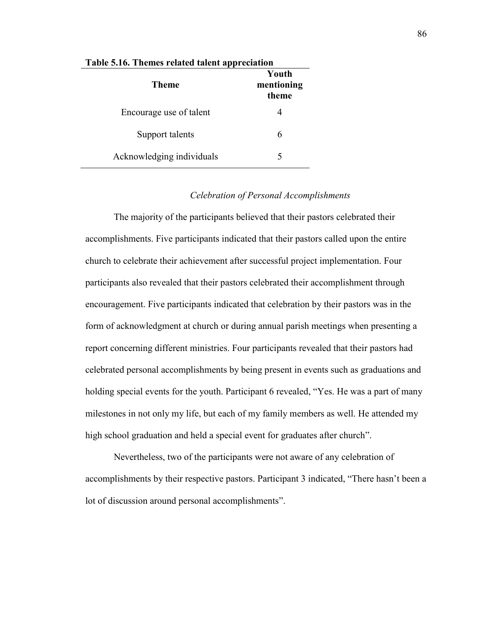| <b>Theme</b>              | Youth<br>mentioning<br>theme |
|---------------------------|------------------------------|
| Encourage use of talent   |                              |
| Support talents           |                              |
| Acknowledging individuals |                              |

#### **Table 5.16. Themes related talent appreciation**

# *Celebration of Personal Accomplishments*

The majority of the participants believed that their pastors celebrated their accomplishments. Five participants indicated that their pastors called upon the entire church to celebrate their achievement after successful project implementation. Four participants also revealed that their pastors celebrated their accomplishment through encouragement. Five participants indicated that celebration by their pastors was in the form of acknowledgment at church or during annual parish meetings when presenting a report concerning different ministries. Four participants revealed that their pastors had celebrated personal accomplishments by being present in events such as graduations and holding special events for the youth. Participant 6 revealed, "Yes. He was a part of many milestones in not only my life, but each of my family members as well. He attended my high school graduation and held a special event for graduates after church".

Nevertheless, two of the participants were not aware of any celebration of accomplishments by their respective pastors. Participant 3 indicated, "There hasn't been a lot of discussion around personal accomplishments".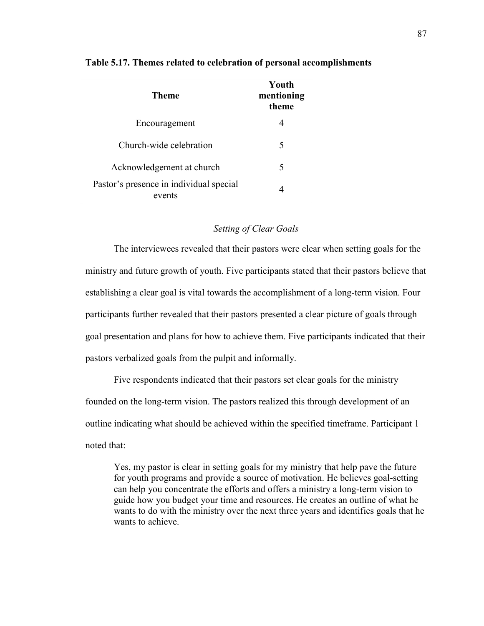| Theme                                             | Youth<br>mentioning<br>theme |
|---------------------------------------------------|------------------------------|
| Encouragement                                     | 4                            |
| Church-wide celebration                           | 5                            |
| Acknowledgement at church                         | 5                            |
| Pastor's presence in individual special<br>events | 4                            |

#### **Table 5.17. Themes related to celebration of personal accomplishments**

## *Setting of Clear Goals*

The interviewees revealed that their pastors were clear when setting goals for the ministry and future growth of youth. Five participants stated that their pastors believe that establishing a clear goal is vital towards the accomplishment of a long-term vision. Four participants further revealed that their pastors presented a clear picture of goals through goal presentation and plans for how to achieve them. Five participants indicated that their pastors verbalized goals from the pulpit and informally.

Five respondents indicated that their pastors set clear goals for the ministry founded on the long-term vision. The pastors realized this through development of an outline indicating what should be achieved within the specified timeframe. Participant 1 noted that:

Yes, my pastor is clear in setting goals for my ministry that help pave the future for youth programs and provide a source of motivation. He believes goal-setting can help you concentrate the efforts and offers a ministry a long-term vision to guide how you budget your time and resources. He creates an outline of what he wants to do with the ministry over the next three years and identifies goals that he wants to achieve.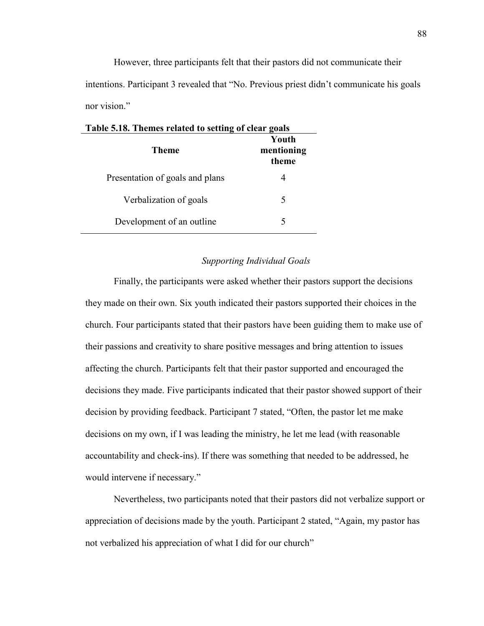However, three participants felt that their pastors did not communicate their intentions. Participant 3 revealed that "No. Previous priest didn't communicate his goals nor vision."

| Table 5.18. Themes related to setting of clear goals |                              |  |
|------------------------------------------------------|------------------------------|--|
| <b>Theme</b>                                         | Youth<br>mentioning<br>theme |  |
| Presentation of goals and plans                      | 4                            |  |
| Verbalization of goals                               | 5                            |  |
| Development of an outline                            | 5                            |  |

# *Supporting Individual Goals*

Finally, the participants were asked whether their pastors support the decisions they made on their own. Six youth indicated their pastors supported their choices in the church. Four participants stated that their pastors have been guiding them to make use of their passions and creativity to share positive messages and bring attention to issues affecting the church. Participants felt that their pastor supported and encouraged the decisions they made. Five participants indicated that their pastor showed support of their decision by providing feedback. Participant 7 stated, "Often, the pastor let me make decisions on my own, if I was leading the ministry, he let me lead (with reasonable accountability and check-ins). If there was something that needed to be addressed, he would intervene if necessary."

Nevertheless, two participants noted that their pastors did not verbalize support or appreciation of decisions made by the youth. Participant 2 stated, "Again, my pastor has not verbalized his appreciation of what I did for our church"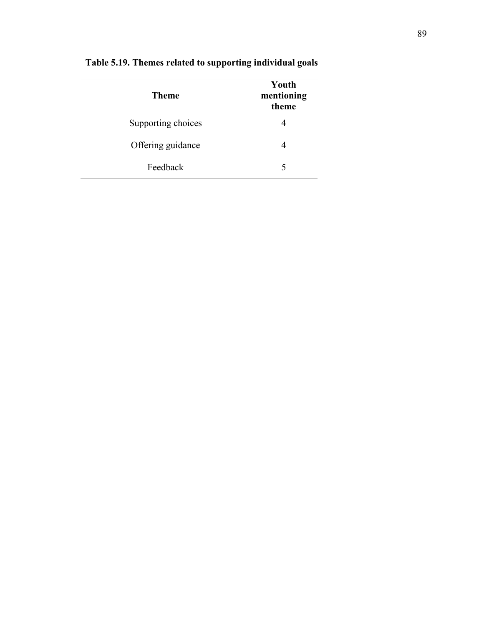| Theme              | Youth<br>mentioning<br>theme |
|--------------------|------------------------------|
| Supporting choices | 4                            |
| Offering guidance  | 4                            |
| Feedback           | 5                            |

# **Table 5.19. Themes related to supporting individual goals**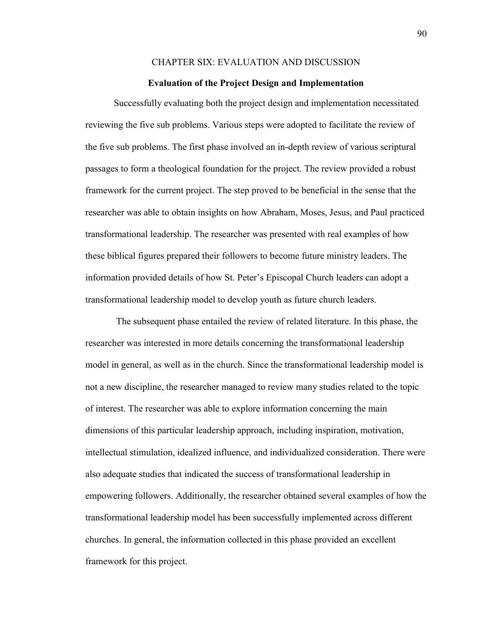# CHAPTER SIX: EVALUATION AND DISCUSSION

#### **Evaluation of the Project Design and Implementation**

Successfully evaluating both the project design and implementation necessitated reviewing the five sub problems. Various steps were adopted to facilitate the review of the five sub problems. The first phase involved an in-depth review of various scriptural passages to form a theological foundation for the project. The review provided a robust framework for the current project. The step proved to be beneficial in the sense that the researcher was able to obtain insights on how Abraham, Moses, Jesus, and Paul practiced transformational leadership. The researcher was presented with real examples of how these biblical figures prepared their followers to become future ministry leaders. The information provided details of how St. Peter's Episcopal Church leaders can adopt a transformational leadership model to develop youth as future church leaders.

 The subsequent phase entailed the review of related literature. In this phase, the researcher was interested in more details concerning the transformational leadership model in general, as well as in the church. Since the transformational leadership model is not a new discipline, the researcher managed to review many studies related to the topic of interest. The researcher was able to explore information concerning the main dimensions of this particular leadership approach, including inspiration, motivation, intellectual stimulation, idealized influence, and individualized consideration. There were also adequate studies that indicated the success of transformational leadership in empowering followers. Additionally, the researcher obtained several examples of how the transformational leadership model has been successfully implemented across different churches. In general, the information collected in this phase provided an excellent framework for this project.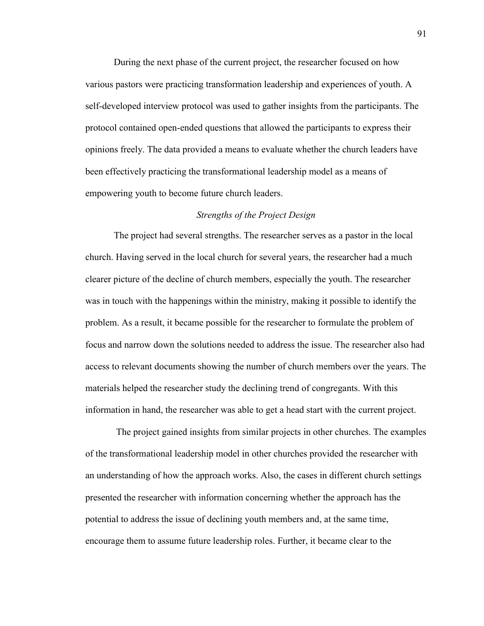During the next phase of the current project, the researcher focused on how various pastors were practicing transformation leadership and experiences of youth. A self-developed interview protocol was used to gather insights from the participants. The protocol contained open-ended questions that allowed the participants to express their opinions freely. The data provided a means to evaluate whether the church leaders have been effectively practicing the transformational leadership model as a means of empowering youth to become future church leaders.

# *Strengths of the Project Design*

The project had several strengths. The researcher serves as a pastor in the local church. Having served in the local church for several years, the researcher had a much clearer picture of the decline of church members, especially the youth. The researcher was in touch with the happenings within the ministry, making it possible to identify the problem. As a result, it became possible for the researcher to formulate the problem of focus and narrow down the solutions needed to address the issue. The researcher also had access to relevant documents showing the number of church members over the years. The materials helped the researcher study the declining trend of congregants. With this information in hand, the researcher was able to get a head start with the current project.

 The project gained insights from similar projects in other churches. The examples of the transformational leadership model in other churches provided the researcher with an understanding of how the approach works. Also, the cases in different church settings presented the researcher with information concerning whether the approach has the potential to address the issue of declining youth members and, at the same time, encourage them to assume future leadership roles. Further, it became clear to the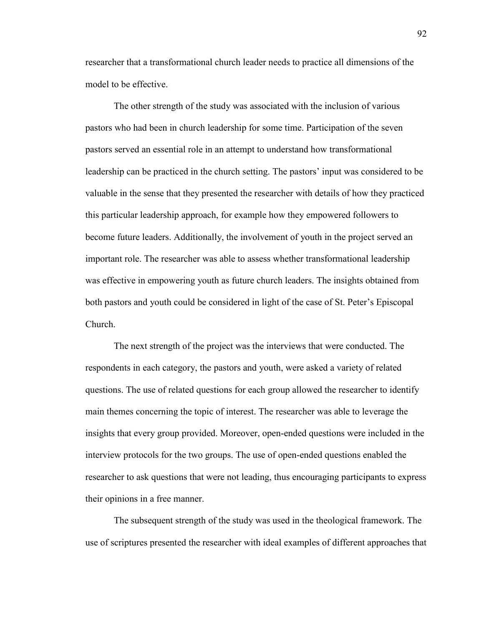researcher that a transformational church leader needs to practice all dimensions of the model to be effective.

The other strength of the study was associated with the inclusion of various pastors who had been in church leadership for some time. Participation of the seven pastors served an essential role in an attempt to understand how transformational leadership can be practiced in the church setting. The pastors' input was considered to be valuable in the sense that they presented the researcher with details of how they practiced this particular leadership approach, for example how they empowered followers to become future leaders. Additionally, the involvement of youth in the project served an important role. The researcher was able to assess whether transformational leadership was effective in empowering youth as future church leaders. The insights obtained from both pastors and youth could be considered in light of the case of St. Peter's Episcopal Church.

The next strength of the project was the interviews that were conducted. The respondents in each category, the pastors and youth, were asked a variety of related questions. The use of related questions for each group allowed the researcher to identify main themes concerning the topic of interest. The researcher was able to leverage the insights that every group provided. Moreover, open-ended questions were included in the interview protocols for the two groups. The use of open-ended questions enabled the researcher to ask questions that were not leading, thus encouraging participants to express their opinions in a free manner.

The subsequent strength of the study was used in the theological framework. The use of scriptures presented the researcher with ideal examples of different approaches that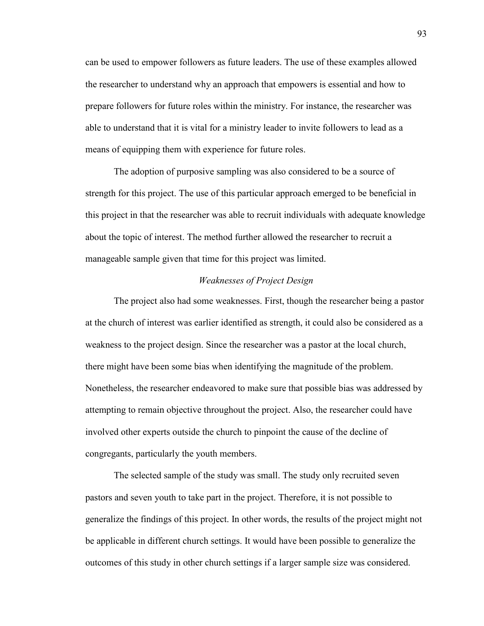can be used to empower followers as future leaders. The use of these examples allowed the researcher to understand why an approach that empowers is essential and how to prepare followers for future roles within the ministry. For instance, the researcher was able to understand that it is vital for a ministry leader to invite followers to lead as a means of equipping them with experience for future roles.

The adoption of purposive sampling was also considered to be a source of strength for this project. The use of this particular approach emerged to be beneficial in this project in that the researcher was able to recruit individuals with adequate knowledge about the topic of interest. The method further allowed the researcher to recruit a manageable sample given that time for this project was limited.

# *Weaknesses of Project Design*

The project also had some weaknesses. First, though the researcher being a pastor at the church of interest was earlier identified as strength, it could also be considered as a weakness to the project design. Since the researcher was a pastor at the local church, there might have been some bias when identifying the magnitude of the problem. Nonetheless, the researcher endeavored to make sure that possible bias was addressed by attempting to remain objective throughout the project. Also, the researcher could have involved other experts outside the church to pinpoint the cause of the decline of congregants, particularly the youth members.

The selected sample of the study was small. The study only recruited seven pastors and seven youth to take part in the project. Therefore, it is not possible to generalize the findings of this project. In other words, the results of the project might not be applicable in different church settings. It would have been possible to generalize the outcomes of this study in other church settings if a larger sample size was considered.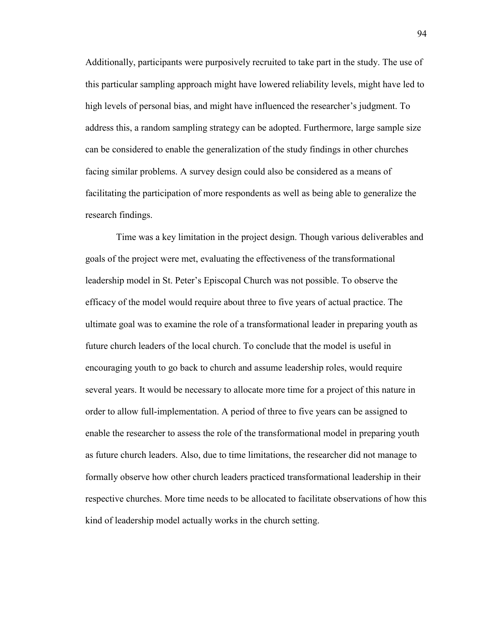Additionally, participants were purposively recruited to take part in the study. The use of this particular sampling approach might have lowered reliability levels, might have led to high levels of personal bias, and might have influenced the researcher's judgment. To address this, a random sampling strategy can be adopted. Furthermore, large sample size can be considered to enable the generalization of the study findings in other churches facing similar problems. A survey design could also be considered as a means of facilitating the participation of more respondents as well as being able to generalize the research findings.

 Time was a key limitation in the project design. Though various deliverables and goals of the project were met, evaluating the effectiveness of the transformational leadership model in St. Peter's Episcopal Church was not possible. To observe the efficacy of the model would require about three to five years of actual practice. The ultimate goal was to examine the role of a transformational leader in preparing youth as future church leaders of the local church. To conclude that the model is useful in encouraging youth to go back to church and assume leadership roles, would require several years. It would be necessary to allocate more time for a project of this nature in order to allow full-implementation. A period of three to five years can be assigned to enable the researcher to assess the role of the transformational model in preparing youth as future church leaders. Also, due to time limitations, the researcher did not manage to formally observe how other church leaders practiced transformational leadership in their respective churches. More time needs to be allocated to facilitate observations of how this kind of leadership model actually works in the church setting.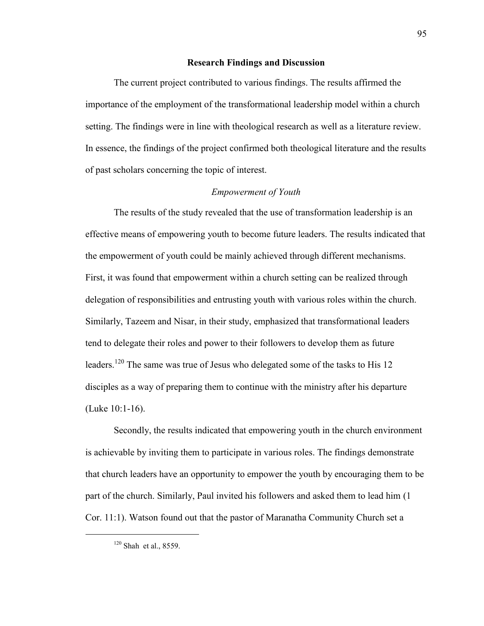# **Research Findings and Discussion**

The current project contributed to various findings. The results affirmed the importance of the employment of the transformational leadership model within a church setting. The findings were in line with theological research as well as a literature review. In essence, the findings of the project confirmed both theological literature and the results of past scholars concerning the topic of interest.

#### *Empowerment of Youth*

The results of the study revealed that the use of transformation leadership is an effective means of empowering youth to become future leaders. The results indicated that the empowerment of youth could be mainly achieved through different mechanisms. First, it was found that empowerment within a church setting can be realized through delegation of responsibilities and entrusting youth with various roles within the church. Similarly, Tazeem and Nisar, in their study, emphasized that transformational leaders tend to delegate their roles and power to their followers to develop them as future leaders.<sup>120</sup> The same was true of Jesus who delegated some of the tasks to His 12 disciples as a way of preparing them to continue with the ministry after his departure (Luke 10:1-16).

Secondly, the results indicated that empowering youth in the church environment is achievable by inviting them to participate in various roles. The findings demonstrate that church leaders have an opportunity to empower the youth by encouraging them to be part of the church. Similarly, Paul invited his followers and asked them to lead him (1 Cor. 11:1). Watson found out that the pastor of Maranatha Community Church set a

 $120$  Shah et al., 8559.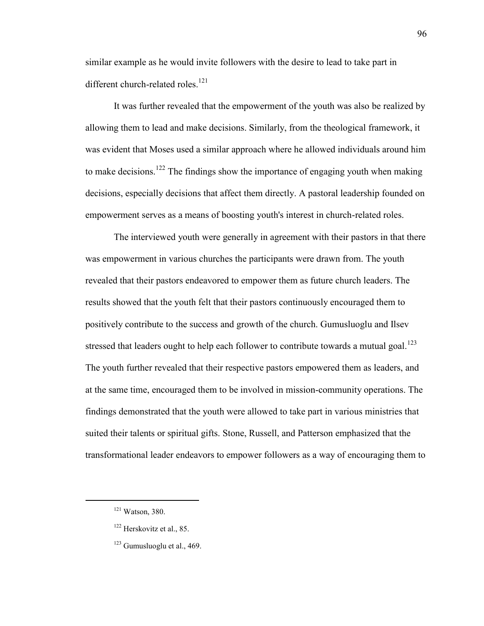similar example as he would invite followers with the desire to lead to take part in different church-related roles.<sup>121</sup>

It was further revealed that the empowerment of the youth was also be realized by allowing them to lead and make decisions. Similarly, from the theological framework, it was evident that Moses used a similar approach where he allowed individuals around him to make decisions.<sup>122</sup> The findings show the importance of engaging youth when making decisions, especially decisions that affect them directly. A pastoral leadership founded on empowerment serves as a means of boosting youth's interest in church-related roles.

The interviewed youth were generally in agreement with their pastors in that there was empowerment in various churches the participants were drawn from. The youth revealed that their pastors endeavored to empower them as future church leaders. The results showed that the youth felt that their pastors continuously encouraged them to positively contribute to the success and growth of the church. Gumusluoglu and Ilsev stressed that leaders ought to help each follower to contribute towards a mutual goal.<sup>123</sup> The youth further revealed that their respective pastors empowered them as leaders, and at the same time, encouraged them to be involved in mission-community operations. The findings demonstrated that the youth were allowed to take part in various ministries that suited their talents or spiritual gifts. Stone, Russell, and Patterson emphasized that the transformational leader endeavors to empower followers as a way of encouraging them to

<sup>121</sup> Watson, 380.

<sup>&</sup>lt;sup>122</sup> Herskovitz et al., 85.

 $123$  Gumusluoglu et al., 469.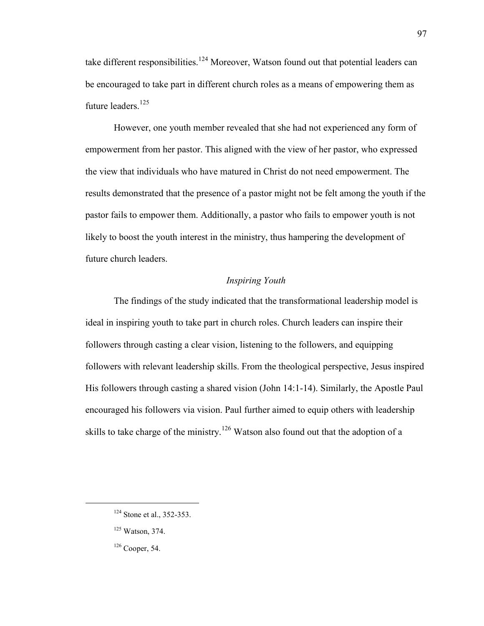take different responsibilities.<sup>124</sup> Moreover, Watson found out that potential leaders can be encouraged to take part in different church roles as a means of empowering them as future leaders.<sup>125</sup>

However, one youth member revealed that she had not experienced any form of empowerment from her pastor. This aligned with the view of her pastor, who expressed the view that individuals who have matured in Christ do not need empowerment. The results demonstrated that the presence of a pastor might not be felt among the youth if the pastor fails to empower them. Additionally, a pastor who fails to empower youth is not likely to boost the youth interest in the ministry, thus hampering the development of future church leaders.

# *Inspiring Youth*

The findings of the study indicated that the transformational leadership model is ideal in inspiring youth to take part in church roles. Church leaders can inspire their followers through casting a clear vision, listening to the followers, and equipping followers with relevant leadership skills. From the theological perspective, Jesus inspired His followers through casting a shared vision (John 14:1-14). Similarly, the Apostle Paul encouraged his followers via vision. Paul further aimed to equip others with leadership skills to take charge of the ministry.<sup>126</sup> Watson also found out that the adoption of a

<sup>&</sup>lt;sup>124</sup> Stone et al., 352-353.

<sup>125</sup> Watson, 374.

<sup>126</sup> Cooper, 54.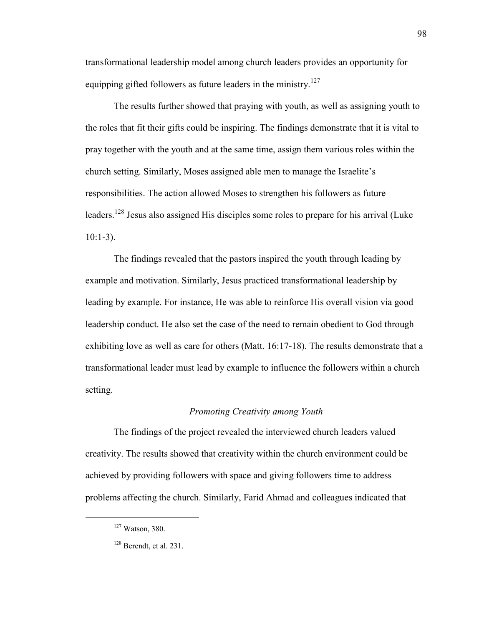transformational leadership model among church leaders provides an opportunity for equipping gifted followers as future leaders in the ministry.<sup>127</sup>

The results further showed that praying with youth, as well as assigning youth to the roles that fit their gifts could be inspiring. The findings demonstrate that it is vital to pray together with the youth and at the same time, assign them various roles within the church setting. Similarly, Moses assigned able men to manage the Israelite's responsibilities. The action allowed Moses to strengthen his followers as future leaders.<sup>128</sup> Jesus also assigned His disciples some roles to prepare for his arrival (Luke  $10:1-3$ ).

The findings revealed that the pastors inspired the youth through leading by example and motivation. Similarly, Jesus practiced transformational leadership by leading by example. For instance, He was able to reinforce His overall vision via good leadership conduct. He also set the case of the need to remain obedient to God through exhibiting love as well as care for others (Matt. 16:17-18). The results demonstrate that a transformational leader must lead by example to influence the followers within a church setting.

# *Promoting Creativity among Youth*

The findings of the project revealed the interviewed church leaders valued creativity. The results showed that creativity within the church environment could be achieved by providing followers with space and giving followers time to address problems affecting the church. Similarly, Farid Ahmad and colleagues indicated that

<sup>127</sup> Watson, 380.

 $128$  Berendt, et al. 231.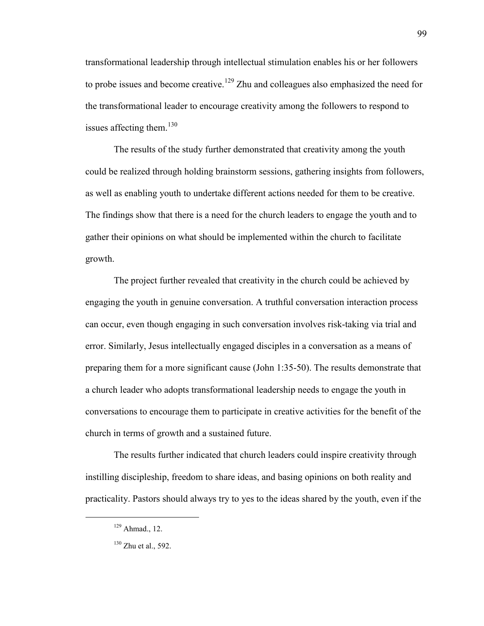transformational leadership through intellectual stimulation enables his or her followers to probe issues and become creative.<sup>129</sup> Zhu and colleagues also emphasized the need for the transformational leader to encourage creativity among the followers to respond to issues affecting them. $130$ 

The results of the study further demonstrated that creativity among the youth could be realized through holding brainstorm sessions, gathering insights from followers, as well as enabling youth to undertake different actions needed for them to be creative. The findings show that there is a need for the church leaders to engage the youth and to gather their opinions on what should be implemented within the church to facilitate growth.

The project further revealed that creativity in the church could be achieved by engaging the youth in genuine conversation. A truthful conversation interaction process can occur, even though engaging in such conversation involves risk-taking via trial and error. Similarly, Jesus intellectually engaged disciples in a conversation as a means of preparing them for a more significant cause (John 1:35-50). The results demonstrate that a church leader who adopts transformational leadership needs to engage the youth in conversations to encourage them to participate in creative activities for the benefit of the church in terms of growth and a sustained future.

The results further indicated that church leaders could inspire creativity through instilling discipleship, freedom to share ideas, and basing opinions on both reality and practicality. Pastors should always try to yes to the ideas shared by the youth, even if the

 $129$  Ahmad., 12.

 $130$  Zhu et al., 592.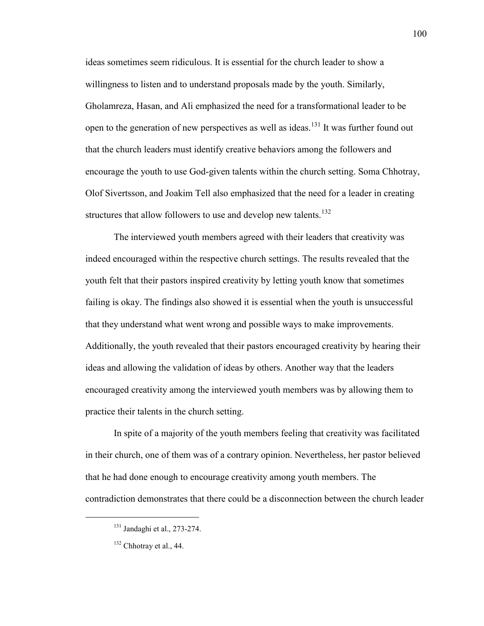ideas sometimes seem ridiculous. It is essential for the church leader to show a willingness to listen and to understand proposals made by the youth. Similarly, Gholamreza, Hasan, and Ali emphasized the need for a transformational leader to be open to the generation of new perspectives as well as ideas.<sup>131</sup> It was further found out that the church leaders must identify creative behaviors among the followers and encourage the youth to use God-given talents within the church setting. Soma Chhotray, Olof Sivertsson, and Joakim Tell also emphasized that the need for a leader in creating structures that allow followers to use and develop new talents.<sup>132</sup>

The interviewed youth members agreed with their leaders that creativity was indeed encouraged within the respective church settings. The results revealed that the youth felt that their pastors inspired creativity by letting youth know that sometimes failing is okay. The findings also showed it is essential when the youth is unsuccessful that they understand what went wrong and possible ways to make improvements. Additionally, the youth revealed that their pastors encouraged creativity by hearing their ideas and allowing the validation of ideas by others. Another way that the leaders encouraged creativity among the interviewed youth members was by allowing them to practice their talents in the church setting.

In spite of a majority of the youth members feeling that creativity was facilitated in their church, one of them was of a contrary opinion. Nevertheless, her pastor believed that he had done enough to encourage creativity among youth members. The contradiction demonstrates that there could be a disconnection between the church leader

 $131$  Jandaghi et al., 273-274.

<sup>&</sup>lt;sup>132</sup> Chhotray et al., 44.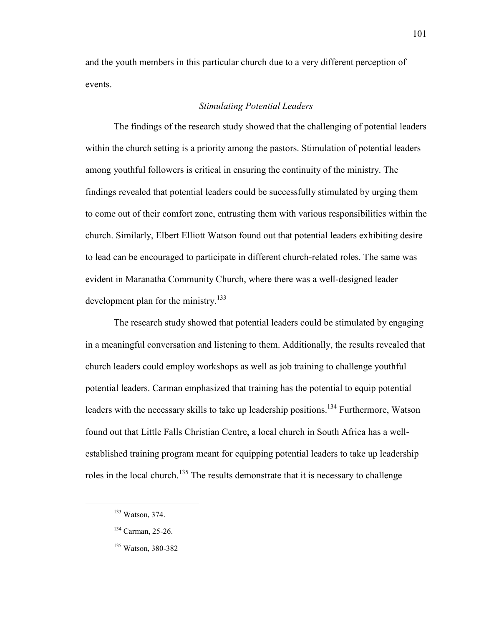and the youth members in this particular church due to a very different perception of events.

# *Stimulating Potential Leaders*

The findings of the research study showed that the challenging of potential leaders within the church setting is a priority among the pastors. Stimulation of potential leaders among youthful followers is critical in ensuring the continuity of the ministry. The findings revealed that potential leaders could be successfully stimulated by urging them to come out of their comfort zone, entrusting them with various responsibilities within the church. Similarly, Elbert Elliott Watson found out that potential leaders exhibiting desire to lead can be encouraged to participate in different church-related roles. The same was evident in Maranatha Community Church, where there was a well-designed leader development plan for the ministry.<sup>133</sup>

The research study showed that potential leaders could be stimulated by engaging in a meaningful conversation and listening to them. Additionally, the results revealed that church leaders could employ workshops as well as job training to challenge youthful potential leaders. Carman emphasized that training has the potential to equip potential leaders with the necessary skills to take up leadership positions.<sup>134</sup> Furthermore, Watson found out that Little Falls Christian Centre, a local church in South Africa has a wellestablished training program meant for equipping potential leaders to take up leadership roles in the local church.<sup>135</sup> The results demonstrate that it is necessary to challenge

<sup>133</sup> Watson, 374.

<sup>134</sup> Carman, 25-26.

<sup>135</sup> Watson, 380-382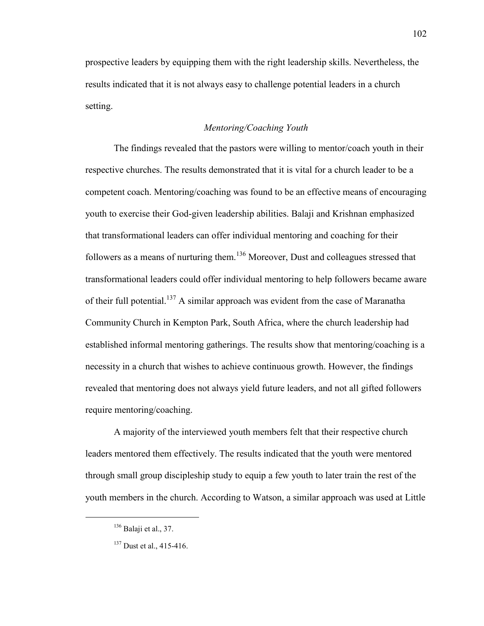prospective leaders by equipping them with the right leadership skills. Nevertheless, the results indicated that it is not always easy to challenge potential leaders in a church setting.

# *Mentoring/Coaching Youth*

The findings revealed that the pastors were willing to mentor/coach youth in their respective churches. The results demonstrated that it is vital for a church leader to be a competent coach. Mentoring/coaching was found to be an effective means of encouraging youth to exercise their God-given leadership abilities. Balaji and Krishnan emphasized that transformational leaders can offer individual mentoring and coaching for their followers as a means of nurturing them.<sup>136</sup> Moreover, Dust and colleagues stressed that transformational leaders could offer individual mentoring to help followers became aware of their full potential.<sup>137</sup> A similar approach was evident from the case of Maranatha Community Church in Kempton Park, South Africa, where the church leadership had established informal mentoring gatherings. The results show that mentoring/coaching is a necessity in a church that wishes to achieve continuous growth. However, the findings revealed that mentoring does not always yield future leaders, and not all gifted followers require mentoring/coaching.

A majority of the interviewed youth members felt that their respective church leaders mentored them effectively. The results indicated that the youth were mentored through small group discipleship study to equip a few youth to later train the rest of the youth members in the church. According to Watson, a similar approach was used at Little

 $136$  Balaji et al., 37.

<sup>&</sup>lt;sup>137</sup> Dust et al., 415-416.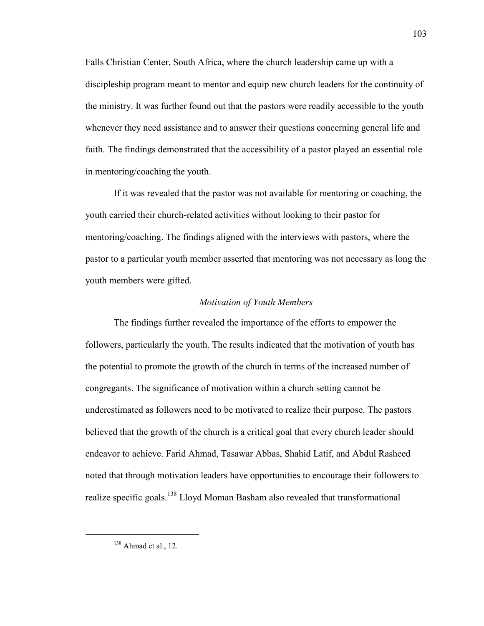Falls Christian Center, South Africa, where the church leadership came up with a discipleship program meant to mentor and equip new church leaders for the continuity of the ministry. It was further found out that the pastors were readily accessible to the youth whenever they need assistance and to answer their questions concerning general life and faith. The findings demonstrated that the accessibility of a pastor played an essential role in mentoring/coaching the youth.

If it was revealed that the pastor was not available for mentoring or coaching, the youth carried their church-related activities without looking to their pastor for mentoring/coaching. The findings aligned with the interviews with pastors, where the pastor to a particular youth member asserted that mentoring was not necessary as long the youth members were gifted.

# *Motivation of Youth Members*

The findings further revealed the importance of the efforts to empower the followers, particularly the youth. The results indicated that the motivation of youth has the potential to promote the growth of the church in terms of the increased number of congregants. The significance of motivation within a church setting cannot be underestimated as followers need to be motivated to realize their purpose. The pastors believed that the growth of the church is a critical goal that every church leader should endeavor to achieve. Farid Ahmad, Tasawar Abbas, Shahid Latif, and Abdul Rasheed noted that through motivation leaders have opportunities to encourage their followers to realize specific goals.<sup>138</sup> Lloyd Moman Basham also revealed that transformational

 $138$  Ahmad et al., 12.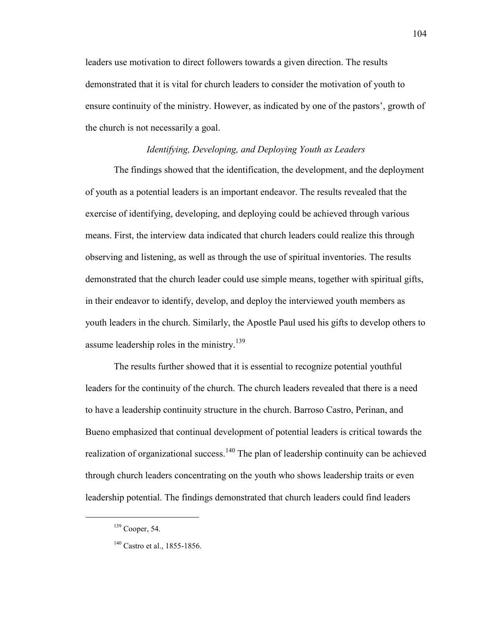leaders use motivation to direct followers towards a given direction. The results demonstrated that it is vital for church leaders to consider the motivation of youth to ensure continuity of the ministry. However, as indicated by one of the pastors', growth of the church is not necessarily a goal.

#### *Identifying, Developing, and Deploying Youth as Leaders*

The findings showed that the identification, the development, and the deployment of youth as a potential leaders is an important endeavor. The results revealed that the exercise of identifying, developing, and deploying could be achieved through various means. First, the interview data indicated that church leaders could realize this through observing and listening, as well as through the use of spiritual inventories. The results demonstrated that the church leader could use simple means, together with spiritual gifts, in their endeavor to identify, develop, and deploy the interviewed youth members as youth leaders in the church. Similarly, the Apostle Paul used his gifts to develop others to assume leadership roles in the ministry.<sup>139</sup>

The results further showed that it is essential to recognize potential youthful leaders for the continuity of the church. The church leaders revealed that there is a need to have a leadership continuity structure in the church. Barroso Castro, Perinan, and Bueno emphasized that continual development of potential leaders is critical towards the realization of organizational success.<sup>140</sup> The plan of leadership continuity can be achieved through church leaders concentrating on the youth who shows leadership traits or even leadership potential. The findings demonstrated that church leaders could find leaders

 $139$  Cooper, 54.

<sup>&</sup>lt;sup>140</sup> Castro et al., 1855-1856.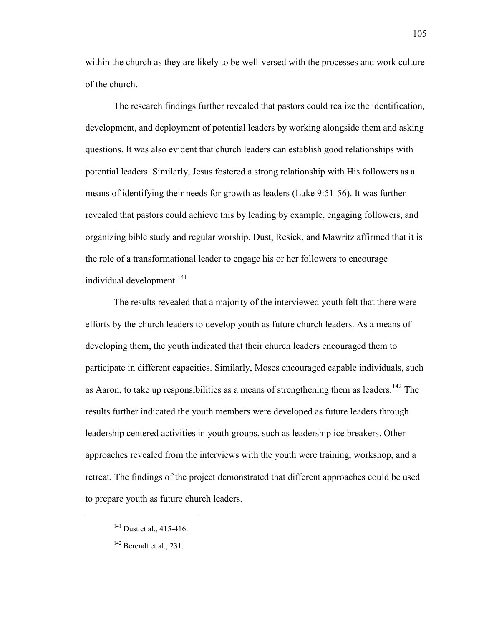within the church as they are likely to be well-versed with the processes and work culture of the church.

The research findings further revealed that pastors could realize the identification, development, and deployment of potential leaders by working alongside them and asking questions. It was also evident that church leaders can establish good relationships with potential leaders. Similarly, Jesus fostered a strong relationship with His followers as a means of identifying their needs for growth as leaders (Luke 9:51-56). It was further revealed that pastors could achieve this by leading by example, engaging followers, and organizing bible study and regular worship. Dust, Resick, and Mawritz affirmed that it is the role of a transformational leader to engage his or her followers to encourage individual development.<sup>141</sup>

The results revealed that a majority of the interviewed youth felt that there were efforts by the church leaders to develop youth as future church leaders. As a means of developing them, the youth indicated that their church leaders encouraged them to participate in different capacities. Similarly, Moses encouraged capable individuals, such as Aaron, to take up responsibilities as a means of strengthening them as leaders.<sup>142</sup> The results further indicated the youth members were developed as future leaders through leadership centered activities in youth groups, such as leadership ice breakers. Other approaches revealed from the interviews with the youth were training, workshop, and a retreat. The findings of the project demonstrated that different approaches could be used to prepare youth as future church leaders.

 $141$  Dust et al., 415-416.

<sup>&</sup>lt;sup>142</sup> Berendt et al., 231.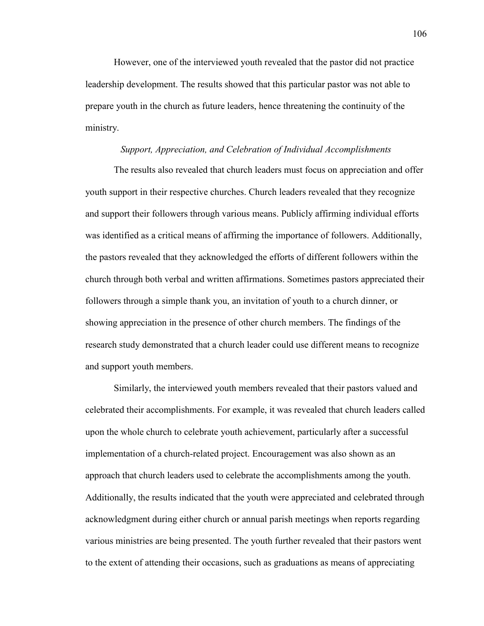However, one of the interviewed youth revealed that the pastor did not practice leadership development. The results showed that this particular pastor was not able to prepare youth in the church as future leaders, hence threatening the continuity of the ministry.

#### *Support, Appreciation, and Celebration of Individual Accomplishments*

The results also revealed that church leaders must focus on appreciation and offer youth support in their respective churches. Church leaders revealed that they recognize and support their followers through various means. Publicly affirming individual efforts was identified as a critical means of affirming the importance of followers. Additionally, the pastors revealed that they acknowledged the efforts of different followers within the church through both verbal and written affirmations. Sometimes pastors appreciated their followers through a simple thank you, an invitation of youth to a church dinner, or showing appreciation in the presence of other church members. The findings of the research study demonstrated that a church leader could use different means to recognize and support youth members.

Similarly, the interviewed youth members revealed that their pastors valued and celebrated their accomplishments. For example, it was revealed that church leaders called upon the whole church to celebrate youth achievement, particularly after a successful implementation of a church-related project. Encouragement was also shown as an approach that church leaders used to celebrate the accomplishments among the youth. Additionally, the results indicated that the youth were appreciated and celebrated through acknowledgment during either church or annual parish meetings when reports regarding various ministries are being presented. The youth further revealed that their pastors went to the extent of attending their occasions, such as graduations as means of appreciating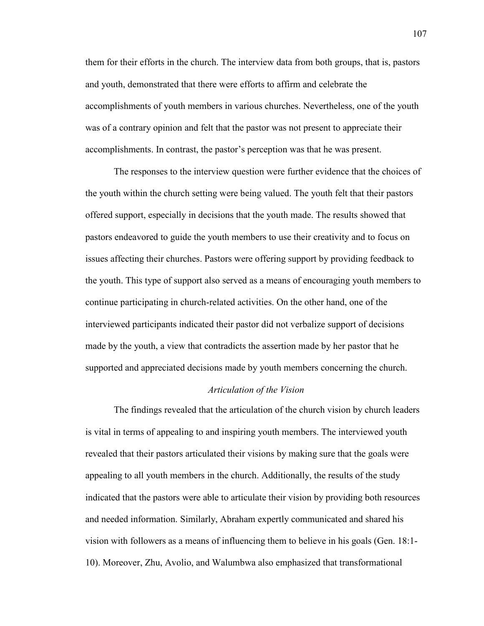them for their efforts in the church. The interview data from both groups, that is, pastors and youth, demonstrated that there were efforts to affirm and celebrate the accomplishments of youth members in various churches. Nevertheless, one of the youth was of a contrary opinion and felt that the pastor was not present to appreciate their accomplishments. In contrast, the pastor's perception was that he was present.

The responses to the interview question were further evidence that the choices of the youth within the church setting were being valued. The youth felt that their pastors offered support, especially in decisions that the youth made. The results showed that pastors endeavored to guide the youth members to use their creativity and to focus on issues affecting their churches. Pastors were offering support by providing feedback to the youth. This type of support also served as a means of encouraging youth members to continue participating in church-related activities. On the other hand, one of the interviewed participants indicated their pastor did not verbalize support of decisions made by the youth, a view that contradicts the assertion made by her pastor that he supported and appreciated decisions made by youth members concerning the church.

#### *Articulation of the Vision*

The findings revealed that the articulation of the church vision by church leaders is vital in terms of appealing to and inspiring youth members. The interviewed youth revealed that their pastors articulated their visions by making sure that the goals were appealing to all youth members in the church. Additionally, the results of the study indicated that the pastors were able to articulate their vision by providing both resources and needed information. Similarly, Abraham expertly communicated and shared his vision with followers as a means of influencing them to believe in his goals (Gen. 18:1- 10). Moreover, Zhu, Avolio, and Walumbwa also emphasized that transformational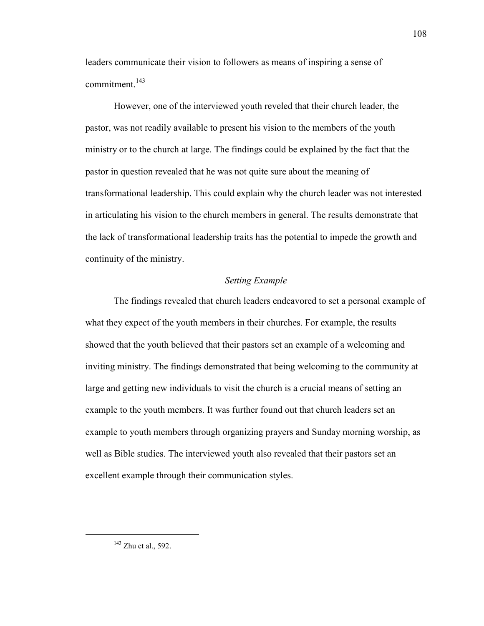leaders communicate their vision to followers as means of inspiring a sense of  $commitment.<sup>143</sup>$ 

However, one of the interviewed youth reveled that their church leader, the pastor, was not readily available to present his vision to the members of the youth ministry or to the church at large. The findings could be explained by the fact that the pastor in question revealed that he was not quite sure about the meaning of transformational leadership. This could explain why the church leader was not interested in articulating his vision to the church members in general. The results demonstrate that the lack of transformational leadership traits has the potential to impede the growth and continuity of the ministry.

# *Setting Example*

The findings revealed that church leaders endeavored to set a personal example of what they expect of the youth members in their churches. For example, the results showed that the youth believed that their pastors set an example of a welcoming and inviting ministry. The findings demonstrated that being welcoming to the community at large and getting new individuals to visit the church is a crucial means of setting an example to the youth members. It was further found out that church leaders set an example to youth members through organizing prayers and Sunday morning worship, as well as Bible studies. The interviewed youth also revealed that their pastors set an excellent example through their communication styles.

 $\overline{a}$ 

 $143$  Zhu et al., 592.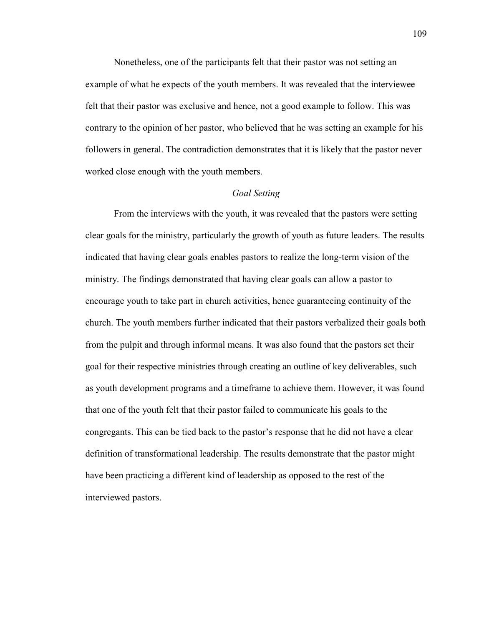Nonetheless, one of the participants felt that their pastor was not setting an example of what he expects of the youth members. It was revealed that the interviewee felt that their pastor was exclusive and hence, not a good example to follow. This was contrary to the opinion of her pastor, who believed that he was setting an example for his followers in general. The contradiction demonstrates that it is likely that the pastor never worked close enough with the youth members.

## *Goal Setting*

From the interviews with the youth, it was revealed that the pastors were setting clear goals for the ministry, particularly the growth of youth as future leaders. The results indicated that having clear goals enables pastors to realize the long-term vision of the ministry. The findings demonstrated that having clear goals can allow a pastor to encourage youth to take part in church activities, hence guaranteeing continuity of the church. The youth members further indicated that their pastors verbalized their goals both from the pulpit and through informal means. It was also found that the pastors set their goal for their respective ministries through creating an outline of key deliverables, such as youth development programs and a timeframe to achieve them. However, it was found that one of the youth felt that their pastor failed to communicate his goals to the congregants. This can be tied back to the pastor's response that he did not have a clear definition of transformational leadership. The results demonstrate that the pastor might have been practicing a different kind of leadership as opposed to the rest of the interviewed pastors.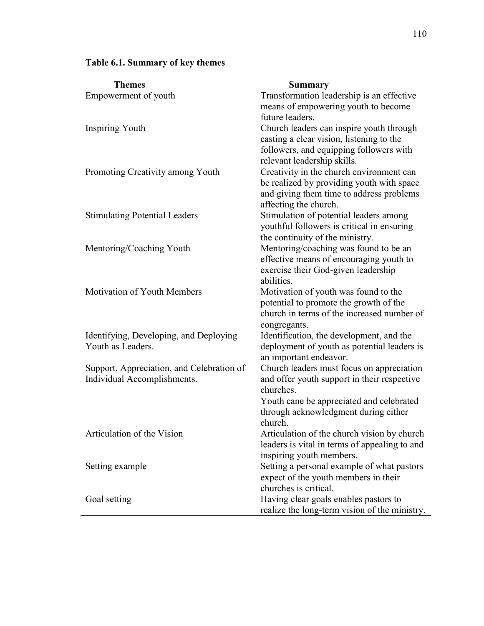| <b>Themes</b>                                  | <b>Summary</b>                                                                                                     |
|------------------------------------------------|--------------------------------------------------------------------------------------------------------------------|
| Empowerment of youth<br><b>Inspiring Youth</b> | Transformation leadership is an effective<br>means of empowering youth to become                                   |
|                                                | future leaders.<br>Church leaders can inspire youth through                                                        |
|                                                | casting a clear vision, listening to the<br>followers, and equipping followers with<br>relevant leadership skills. |
| Promoting Creativity among Youth               | Creativity in the church environment can                                                                           |
|                                                | be realized by providing youth with space<br>and giving them time to address problems<br>affecting the church.     |
| <b>Stimulating Potential Leaders</b>           | Stimulation of potential leaders among                                                                             |
|                                                | youthful followers is critical in ensuring                                                                         |
|                                                | the continuity of the ministry.                                                                                    |
| Mentoring/Coaching Youth                       | Mentoring/coaching was found to be an                                                                              |
|                                                | effective means of encouraging youth to                                                                            |
|                                                | exercise their God-given leadership                                                                                |
| Motivation of Youth Members                    | abilities.<br>Motivation of youth was found to the                                                                 |
|                                                | potential to promote the growth of the                                                                             |
|                                                | church in terms of the increased number of                                                                         |
|                                                | congregants.                                                                                                       |
| Identifying, Developing, and Deploying         | Identification, the development, and the                                                                           |
| Youth as Leaders.                              | deployment of youth as potential leaders is<br>an important endeavor.                                              |
| Support, Appreciation, and Celebration of      | Church leaders must focus on appreciation                                                                          |
| Individual Accomplishments.                    | and offer youth support in their respective<br>churches.                                                           |
|                                                | Youth cane be appreciated and celebrated                                                                           |
|                                                | through acknowledgment during either<br>church.                                                                    |
| Articulation of the Vision                     | Articulation of the church vision by church                                                                        |
|                                                | leaders is vital in terms of appealing to and                                                                      |
|                                                | inspiring youth members.                                                                                           |
| Setting example                                | Setting a personal example of what pastors<br>expect of the youth members in their                                 |
|                                                | churches is critical.                                                                                              |
| Goal setting                                   | Having clear goals enables pastors to                                                                              |
|                                                | realize the long-term vision of the ministry.                                                                      |

# **Table 6.1. Summary of key themes**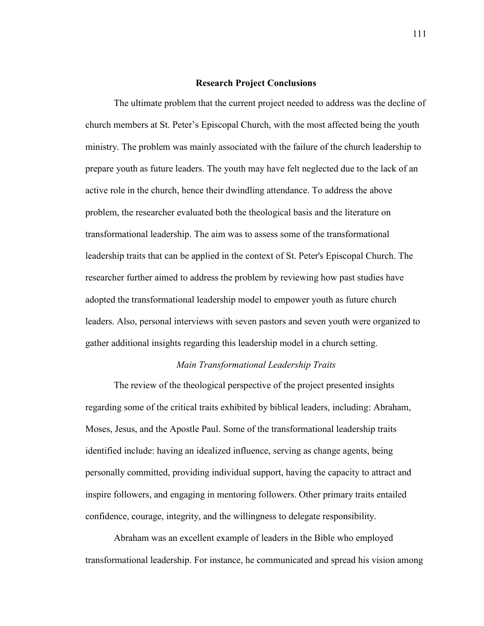#### **Research Project Conclusions**

The ultimate problem that the current project needed to address was the decline of church members at St. Peter's Episcopal Church, with the most affected being the youth ministry. The problem was mainly associated with the failure of the church leadership to prepare youth as future leaders. The youth may have felt neglected due to the lack of an active role in the church, hence their dwindling attendance. To address the above problem, the researcher evaluated both the theological basis and the literature on transformational leadership. The aim was to assess some of the transformational leadership traits that can be applied in the context of St. Peter's Episcopal Church. The researcher further aimed to address the problem by reviewing how past studies have adopted the transformational leadership model to empower youth as future church leaders. Also, personal interviews with seven pastors and seven youth were organized to gather additional insights regarding this leadership model in a church setting.

### *Main Transformational Leadership Traits*

The review of the theological perspective of the project presented insights regarding some of the critical traits exhibited by biblical leaders, including: Abraham, Moses, Jesus, and the Apostle Paul. Some of the transformational leadership traits identified include: having an idealized influence, serving as change agents, being personally committed, providing individual support, having the capacity to attract and inspire followers, and engaging in mentoring followers. Other primary traits entailed confidence, courage, integrity, and the willingness to delegate responsibility.

Abraham was an excellent example of leaders in the Bible who employed transformational leadership. For instance, he communicated and spread his vision among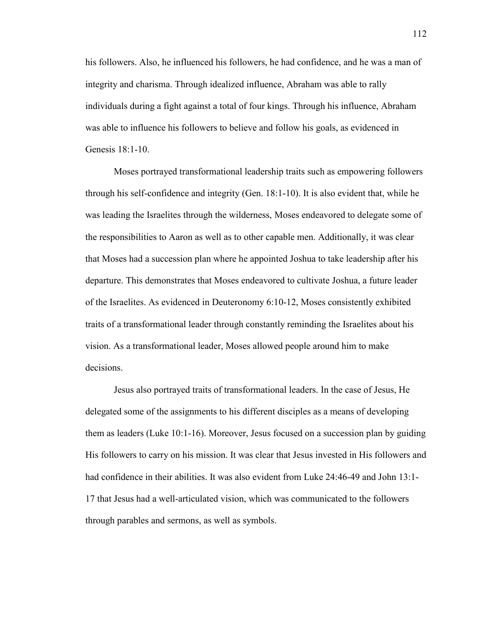his followers. Also, he influenced his followers, he had confidence, and he was a man of integrity and charisma. Through idealized influence, Abraham was able to rally individuals during a fight against a total of four kings. Through his influence, Abraham was able to influence his followers to believe and follow his goals, as evidenced in Genesis 18:1-10.

Moses portrayed transformational leadership traits such as empowering followers through his self-confidence and integrity (Gen. 18:1-10). It is also evident that, while he was leading the Israelites through the wilderness, Moses endeavored to delegate some of the responsibilities to Aaron as well as to other capable men. Additionally, it was clear that Moses had a succession plan where he appointed Joshua to take leadership after his departure. This demonstrates that Moses endeavored to cultivate Joshua, a future leader of the Israelites. As evidenced in Deuteronomy 6:10-12, Moses consistently exhibited traits of a transformational leader through constantly reminding the Israelites about his vision. As a transformational leader, Moses allowed people around him to make decisions.

Jesus also portrayed traits of transformational leaders. In the case of Jesus, He delegated some of the assignments to his different disciples as a means of developing them as leaders (Luke 10:1-16). Moreover, Jesus focused on a succession plan by guiding His followers to carry on his mission. It was clear that Jesus invested in His followers and had confidence in their abilities. It was also evident from Luke 24:46-49 and John 13:1- 17 that Jesus had a well-articulated vision, which was communicated to the followers through parables and sermons, as well as symbols.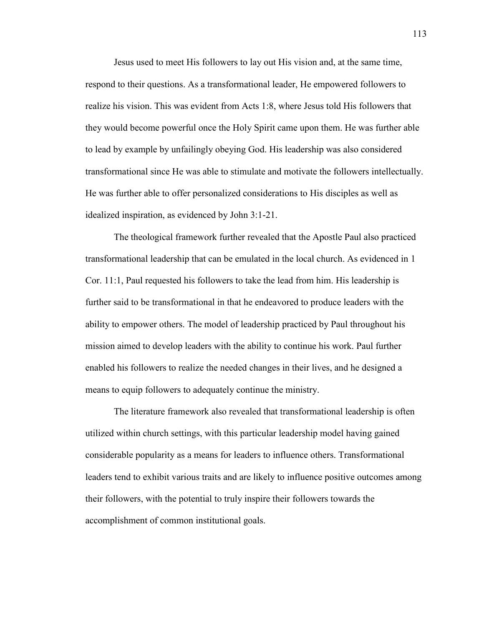Jesus used to meet His followers to lay out His vision and, at the same time, respond to their questions. As a transformational leader, He empowered followers to realize his vision. This was evident from Acts 1:8, where Jesus told His followers that they would become powerful once the Holy Spirit came upon them. He was further able to lead by example by unfailingly obeying God. His leadership was also considered transformational since He was able to stimulate and motivate the followers intellectually. He was further able to offer personalized considerations to His disciples as well as idealized inspiration, as evidenced by John 3:1-21.

The theological framework further revealed that the Apostle Paul also practiced transformational leadership that can be emulated in the local church. As evidenced in 1 Cor. 11:1, Paul requested his followers to take the lead from him. His leadership is further said to be transformational in that he endeavored to produce leaders with the ability to empower others. The model of leadership practiced by Paul throughout his mission aimed to develop leaders with the ability to continue his work. Paul further enabled his followers to realize the needed changes in their lives, and he designed a means to equip followers to adequately continue the ministry.

The literature framework also revealed that transformational leadership is often utilized within church settings, with this particular leadership model having gained considerable popularity as a means for leaders to influence others. Transformational leaders tend to exhibit various traits and are likely to influence positive outcomes among their followers, with the potential to truly inspire their followers towards the accomplishment of common institutional goals.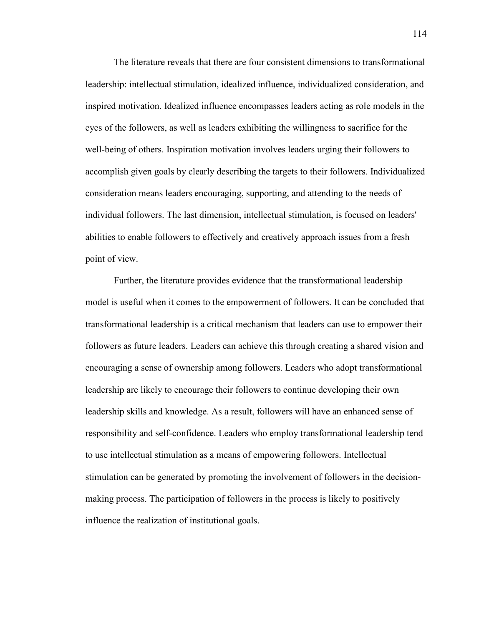The literature reveals that there are four consistent dimensions to transformational leadership: intellectual stimulation, idealized influence, individualized consideration, and inspired motivation. Idealized influence encompasses leaders acting as role models in the eyes of the followers, as well as leaders exhibiting the willingness to sacrifice for the well-being of others. Inspiration motivation involves leaders urging their followers to accomplish given goals by clearly describing the targets to their followers. Individualized consideration means leaders encouraging, supporting, and attending to the needs of individual followers. The last dimension, intellectual stimulation, is focused on leaders' abilities to enable followers to effectively and creatively approach issues from a fresh point of view.

Further, the literature provides evidence that the transformational leadership model is useful when it comes to the empowerment of followers. It can be concluded that transformational leadership is a critical mechanism that leaders can use to empower their followers as future leaders. Leaders can achieve this through creating a shared vision and encouraging a sense of ownership among followers. Leaders who adopt transformational leadership are likely to encourage their followers to continue developing their own leadership skills and knowledge. As a result, followers will have an enhanced sense of responsibility and self-confidence. Leaders who employ transformational leadership tend to use intellectual stimulation as a means of empowering followers. Intellectual stimulation can be generated by promoting the involvement of followers in the decisionmaking process. The participation of followers in the process is likely to positively influence the realization of institutional goals.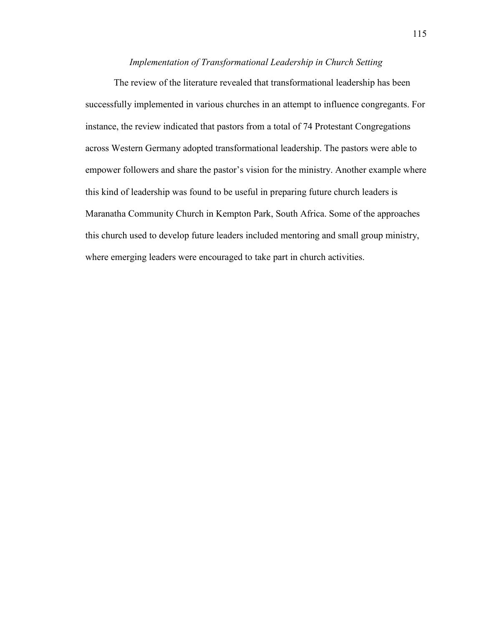# *Implementation of Transformational Leadership in Church Setting*

The review of the literature revealed that transformational leadership has been successfully implemented in various churches in an attempt to influence congregants. For instance, the review indicated that pastors from a total of 74 Protestant Congregations across Western Germany adopted transformational leadership. The pastors were able to empower followers and share the pastor's vision for the ministry. Another example where this kind of leadership was found to be useful in preparing future church leaders is Maranatha Community Church in Kempton Park, South Africa. Some of the approaches this church used to develop future leaders included mentoring and small group ministry, where emerging leaders were encouraged to take part in church activities.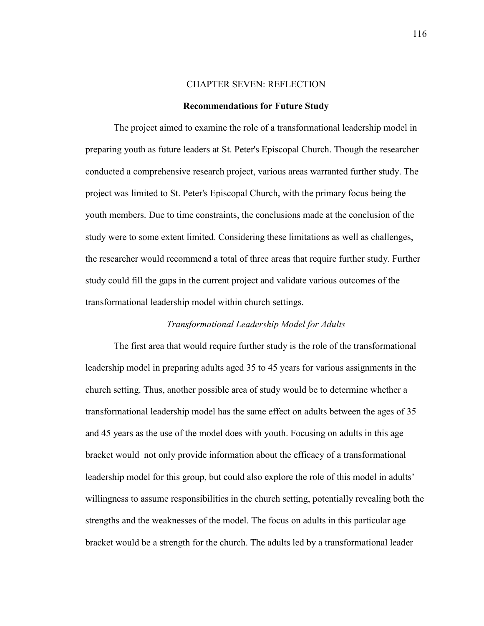#### CHAPTER SEVEN: REFLECTION

#### **Recommendations for Future Study**

The project aimed to examine the role of a transformational leadership model in preparing youth as future leaders at St. Peter's Episcopal Church. Though the researcher conducted a comprehensive research project, various areas warranted further study. The project was limited to St. Peter's Episcopal Church, with the primary focus being the youth members. Due to time constraints, the conclusions made at the conclusion of the study were to some extent limited. Considering these limitations as well as challenges, the researcher would recommend a total of three areas that require further study. Further study could fill the gaps in the current project and validate various outcomes of the transformational leadership model within church settings.

# *Transformational Leadership Model for Adults*

The first area that would require further study is the role of the transformational leadership model in preparing adults aged 35 to 45 years for various assignments in the church setting. Thus, another possible area of study would be to determine whether a transformational leadership model has the same effect on adults between the ages of 35 and 45 years as the use of the model does with youth. Focusing on adults in this age bracket would not only provide information about the efficacy of a transformational leadership model for this group, but could also explore the role of this model in adults' willingness to assume responsibilities in the church setting, potentially revealing both the strengths and the weaknesses of the model. The focus on adults in this particular age bracket would be a strength for the church. The adults led by a transformational leader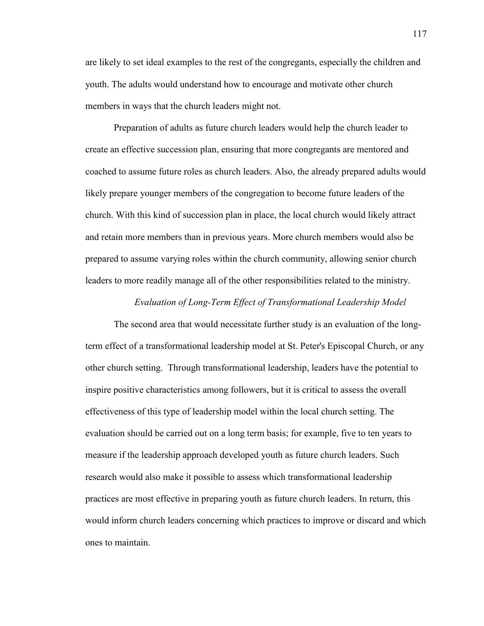are likely to set ideal examples to the rest of the congregants, especially the children and youth. The adults would understand how to encourage and motivate other church members in ways that the church leaders might not.

Preparation of adults as future church leaders would help the church leader to create an effective succession plan, ensuring that more congregants are mentored and coached to assume future roles as church leaders. Also, the already prepared adults would likely prepare younger members of the congregation to become future leaders of the church. With this kind of succession plan in place, the local church would likely attract and retain more members than in previous years. More church members would also be prepared to assume varying roles within the church community, allowing senior church leaders to more readily manage all of the other responsibilities related to the ministry.

#### *Evaluation of Long-Term Effect of Transformational Leadership Model*

The second area that would necessitate further study is an evaluation of the longterm effect of a transformational leadership model at St. Peter's Episcopal Church, or any other church setting. Through transformational leadership, leaders have the potential to inspire positive characteristics among followers, but it is critical to assess the overall effectiveness of this type of leadership model within the local church setting. The evaluation should be carried out on a long term basis; for example, five to ten years to measure if the leadership approach developed youth as future church leaders. Such research would also make it possible to assess which transformational leadership practices are most effective in preparing youth as future church leaders. In return, this would inform church leaders concerning which practices to improve or discard and which ones to maintain.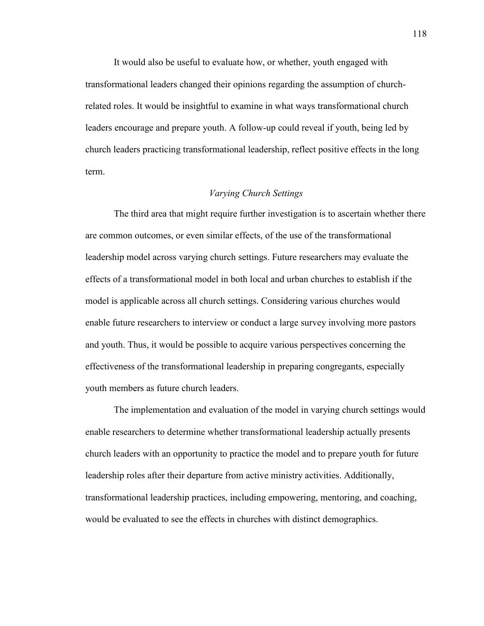It would also be useful to evaluate how, or whether, youth engaged with transformational leaders changed their opinions regarding the assumption of churchrelated roles. It would be insightful to examine in what ways transformational church leaders encourage and prepare youth. A follow-up could reveal if youth, being led by church leaders practicing transformational leadership, reflect positive effects in the long term.

#### *Varying Church Settings*

The third area that might require further investigation is to ascertain whether there are common outcomes, or even similar effects, of the use of the transformational leadership model across varying church settings. Future researchers may evaluate the effects of a transformational model in both local and urban churches to establish if the model is applicable across all church settings. Considering various churches would enable future researchers to interview or conduct a large survey involving more pastors and youth. Thus, it would be possible to acquire various perspectives concerning the effectiveness of the transformational leadership in preparing congregants, especially youth members as future church leaders.

The implementation and evaluation of the model in varying church settings would enable researchers to determine whether transformational leadership actually presents church leaders with an opportunity to practice the model and to prepare youth for future leadership roles after their departure from active ministry activities. Additionally, transformational leadership practices, including empowering, mentoring, and coaching, would be evaluated to see the effects in churches with distinct demographics.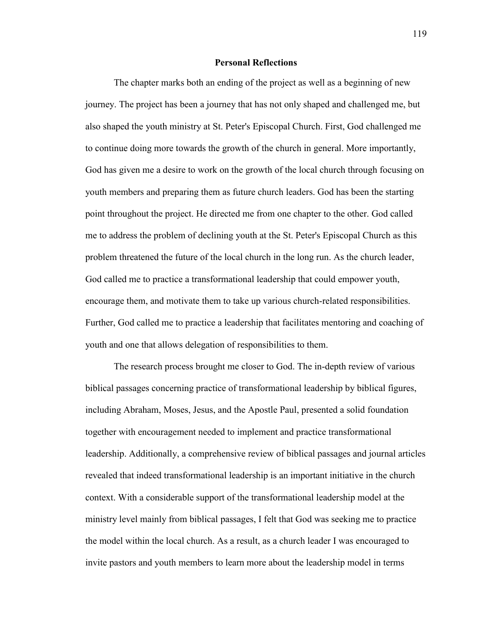#### **Personal Reflections**

The chapter marks both an ending of the project as well as a beginning of new journey. The project has been a journey that has not only shaped and challenged me, but also shaped the youth ministry at St. Peter's Episcopal Church. First, God challenged me to continue doing more towards the growth of the church in general. More importantly, God has given me a desire to work on the growth of the local church through focusing on youth members and preparing them as future church leaders. God has been the starting point throughout the project. He directed me from one chapter to the other. God called me to address the problem of declining youth at the St. Peter's Episcopal Church as this problem threatened the future of the local church in the long run. As the church leader, God called me to practice a transformational leadership that could empower youth, encourage them, and motivate them to take up various church-related responsibilities. Further, God called me to practice a leadership that facilitates mentoring and coaching of youth and one that allows delegation of responsibilities to them.

The research process brought me closer to God. The in-depth review of various biblical passages concerning practice of transformational leadership by biblical figures, including Abraham, Moses, Jesus, and the Apostle Paul, presented a solid foundation together with encouragement needed to implement and practice transformational leadership. Additionally, a comprehensive review of biblical passages and journal articles revealed that indeed transformational leadership is an important initiative in the church context. With a considerable support of the transformational leadership model at the ministry level mainly from biblical passages, I felt that God was seeking me to practice the model within the local church. As a result, as a church leader I was encouraged to invite pastors and youth members to learn more about the leadership model in terms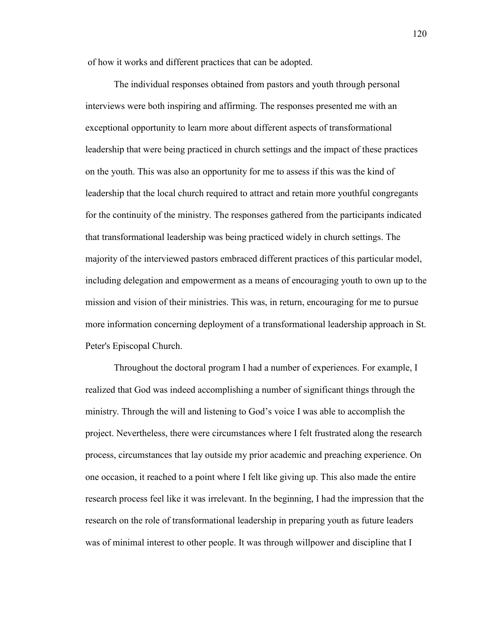of how it works and different practices that can be adopted.

The individual responses obtained from pastors and youth through personal interviews were both inspiring and affirming. The responses presented me with an exceptional opportunity to learn more about different aspects of transformational leadership that were being practiced in church settings and the impact of these practices on the youth. This was also an opportunity for me to assess if this was the kind of leadership that the local church required to attract and retain more youthful congregants for the continuity of the ministry. The responses gathered from the participants indicated that transformational leadership was being practiced widely in church settings. The majority of the interviewed pastors embraced different practices of this particular model, including delegation and empowerment as a means of encouraging youth to own up to the mission and vision of their ministries. This was, in return, encouraging for me to pursue more information concerning deployment of a transformational leadership approach in St. Peter's Episcopal Church.

Throughout the doctoral program I had a number of experiences. For example, I realized that God was indeed accomplishing a number of significant things through the ministry. Through the will and listening to God's voice I was able to accomplish the project. Nevertheless, there were circumstances where I felt frustrated along the research process, circumstances that lay outside my prior academic and preaching experience. On one occasion, it reached to a point where I felt like giving up. This also made the entire research process feel like it was irrelevant. In the beginning, I had the impression that the research on the role of transformational leadership in preparing youth as future leaders was of minimal interest to other people. It was through willpower and discipline that I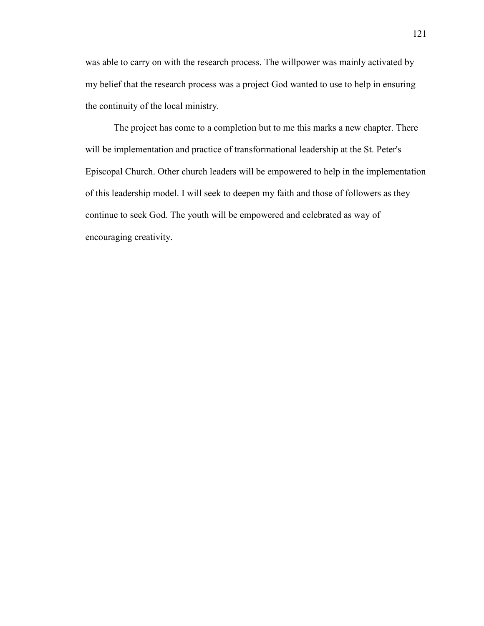was able to carry on with the research process. The willpower was mainly activated by my belief that the research process was a project God wanted to use to help in ensuring the continuity of the local ministry.

The project has come to a completion but to me this marks a new chapter. There will be implementation and practice of transformational leadership at the St. Peter's Episcopal Church. Other church leaders will be empowered to help in the implementation of this leadership model. I will seek to deepen my faith and those of followers as they continue to seek God. The youth will be empowered and celebrated as way of encouraging creativity.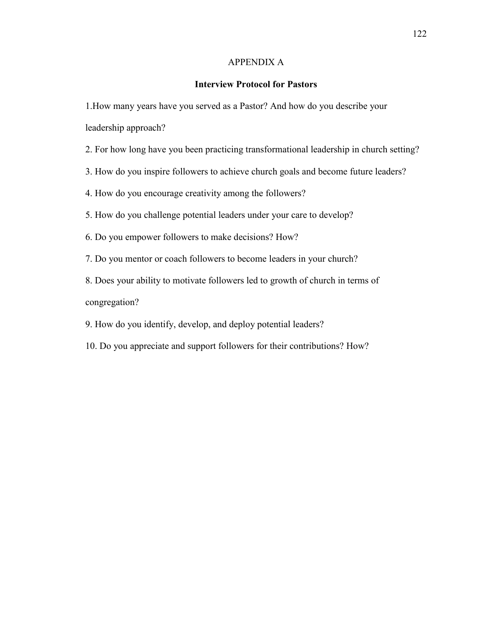# APPENDIX A

# **Interview Protocol for Pastors**

1.How many years have you served as a Pastor? And how do you describe your leadership approach?

2. For how long have you been practicing transformational leadership in church setting?

3. How do you inspire followers to achieve church goals and become future leaders?

4. How do you encourage creativity among the followers?

5. How do you challenge potential leaders under your care to develop?

6. Do you empower followers to make decisions? How?

7. Do you mentor or coach followers to become leaders in your church?

8. Does your ability to motivate followers led to growth of church in terms of congregation?

9. How do you identify, develop, and deploy potential leaders?

10. Do you appreciate and support followers for their contributions? How?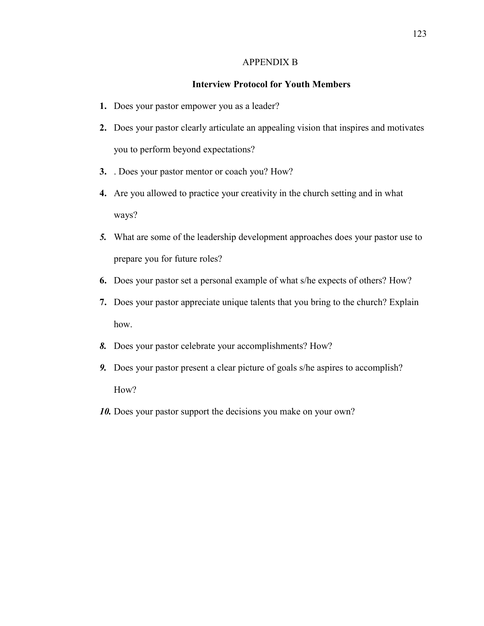## APPENDIX B

# **Interview Protocol for Youth Members**

- **1.** Does your pastor empower you as a leader?
- **2.** Does your pastor clearly articulate an appealing vision that inspires and motivates you to perform beyond expectations?
- **3.** . Does your pastor mentor or coach you? How?
- **4.** Are you allowed to practice your creativity in the church setting and in what ways?
- *5.* What are some of the leadership development approaches does your pastor use to prepare you for future roles?
- **6.** Does your pastor set a personal example of what s/he expects of others? How?
- **7.** Does your pastor appreciate unique talents that you bring to the church? Explain how.
- *8.* Does your pastor celebrate your accomplishments? How?
- *9.* Does your pastor present a clear picture of goals s/he aspires to accomplish? How?
- *10.* Does your pastor support the decisions you make on your own?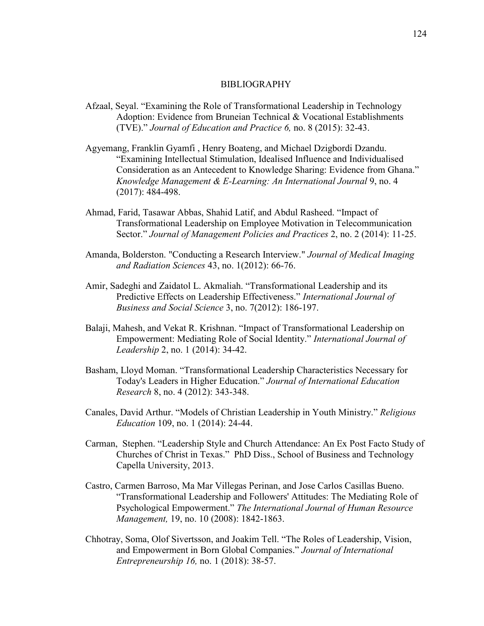#### BIBLIOGRAPHY

- Afzaal, Seyal. "Examining the Role of Transformational Leadership in Technology Adoption: Evidence from Bruneian Technical & Vocational Establishments (TVE)." *Journal of Education and Practice 6,* no. 8 (2015): 32-43.
- Agyemang, Franklin Gyamfi , Henry Boateng, and Michael Dzigbordi Dzandu. "Examining Intellectual Stimulation, Idealised Influence and Individualised Consideration as an Antecedent to Knowledge Sharing: Evidence from Ghana." *Knowledge Management & E-Learning: An International Journal* 9, no. 4 (2017): 484-498.
- Ahmad, Farid, Tasawar Abbas, Shahid Latif, and Abdul Rasheed. "Impact of Transformational Leadership on Employee Motivation in Telecommunication Sector." *Journal of Management Policies and Practices* 2, no. 2 (2014): 11-25.
- Amanda, Bolderston. "Conducting a Research Interview." *Journal of Medical Imaging and Radiation Sciences* 43, no. 1(2012): 66-76.
- Amir, Sadeghi and Zaidatol L. Akmaliah. "Transformational Leadership and its Predictive Effects on Leadership Effectiveness." *International Journal of Business and Social Science* 3, no. 7(2012): 186-197.
- Balaji, Mahesh, and Vekat R. Krishnan. "Impact of Transformational Leadership on Empowerment: Mediating Role of Social Identity." *International Journal of Leadership* 2, no. 1 (2014): 34-42.
- Basham, Lloyd Moman. "Transformational Leadership Characteristics Necessary for Today's Leaders in Higher Education." *Journal of International Education Research* 8, no. 4 (2012): 343-348.
- Canales, David Arthur. "Models of Christian Leadership in Youth Ministry." *Religious Education* 109, no. 1 (2014): 24-44.
- Carman, Stephen. "Leadership Style and Church Attendance: An Ex Post Facto Study of Churches of Christ in Texas." PhD Diss., School of Business and Technology Capella University, 2013.
- Castro, Carmen Barroso, Ma Mar Villegas Perinan, and Jose Carlos Casillas Bueno. "Transformational Leadership and Followers' Attitudes: The Mediating Role of Psychological Empowerment." *The International Journal of Human Resource Management,* 19, no. 10 (2008): 1842-1863.
- Chhotray, Soma, Olof Sivertsson, and Joakim Tell. "The Roles of Leadership, Vision, and Empowerment in Born Global Companies." *Journal of International Entrepreneurship 16,* no. 1 (2018): 38-57.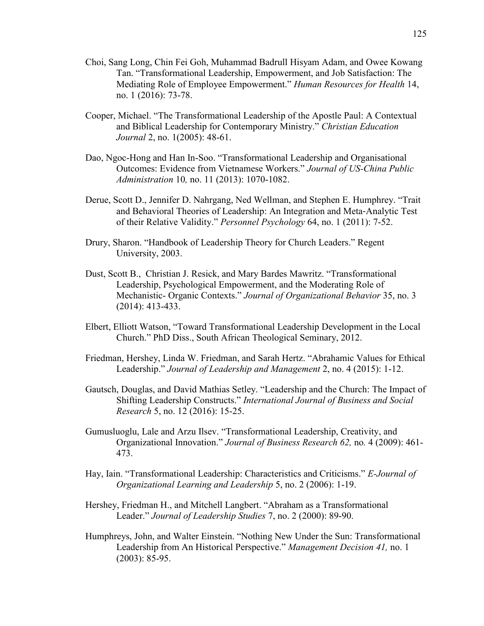- Choi, Sang Long, Chin Fei Goh, Muhammad Badrull Hisyam Adam, and Owee Kowang Tan. "Transformational Leadership, Empowerment, and Job Satisfaction: The Mediating Role of Employee Empowerment." *Human Resources for Health* 14, no. 1 (2016): 73-78.
- Cooper, Michael. "The Transformational Leadership of the Apostle Paul: A Contextual and Biblical Leadership for Contemporary Ministry." *Christian Education Journal* 2, no. 1(2005): 48-61.
- Dao, Ngoc-Hong and Han In-Soo. "Transformational Leadership and Organisational Outcomes: Evidence from Vietnamese Workers." *Journal of US-China Public Administration* 10*,* no. 11 (2013): 1070-1082.
- Derue, Scott D., Jennifer D. Nahrgang, Ned Wellman, and Stephen E. Humphrey. "Trait and Behavioral Theories of Leadership: An Integration and Meta‐Analytic Test of their Relative Validity." *Personnel Psychology* 64, no. 1 (2011): 7-52.
- Drury, Sharon. "Handbook of Leadership Theory for Church Leaders." Regent University, 2003.
- Dust, Scott B., Christian J. Resick, and Mary Bardes Mawritz. "Transformational Leadership, Psychological Empowerment, and the Moderating Role of Mechanistic- Organic Contexts." *Journal of Organizational Behavior* 35, no. 3 (2014): 413-433.
- Elbert, Elliott Watson, "Toward Transformational Leadership Development in the Local Church." PhD Diss., South African Theological Seminary, 2012.
- Friedman, Hershey, Linda W. Friedman, and Sarah Hertz. "Abrahamic Values for Ethical Leadership." *Journal of Leadership and Management* 2, no. 4 (2015): 1-12.
- Gautsch, Douglas, and David Mathias Setley. "Leadership and the Church: The Impact of Shifting Leadership Constructs." *International Journal of Business and Social Research* 5, no. 12 (2016): 15-25.
- Gumusluoglu, Lale and Arzu Ilsev. "Transformational Leadership, Creativity, and Organizational Innovation." *Journal of Business Research 62,* no*.* 4 (2009): 461- 473.
- Hay, Iain. "Transformational Leadership: Characteristics and Criticisms." *E-Journal of Organizational Learning and Leadership* 5, no. 2 (2006): 1-19.
- Hershey, Friedman H., and Mitchell Langbert. "Abraham as a Transformational Leader." *Journal of Leadership Studies* 7, no. 2 (2000): 89-90.
- Humphreys, John, and Walter Einstein. "Nothing New Under the Sun: Transformational Leadership from An Historical Perspective." *Management Decision 41,* no. 1 (2003): 85-95.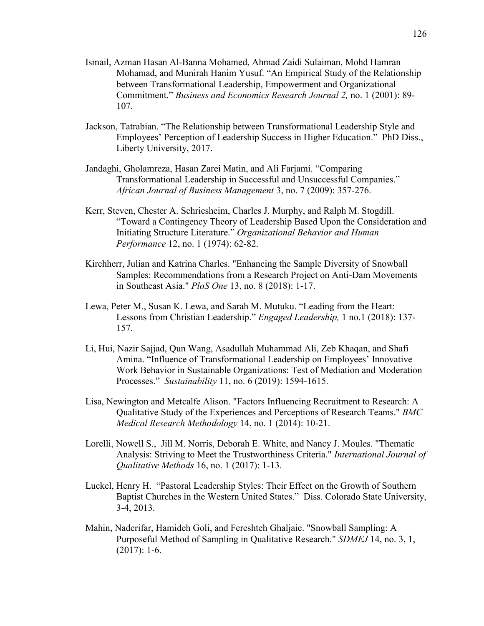- Ismail, Azman Hasan Al-Banna Mohamed, Ahmad Zaidi Sulaiman, Mohd Hamran Mohamad, and Munirah Hanim Yusuf. "An Empirical Study of the Relationship between Transformational Leadership, Empowerment and Organizational Commitment." *Business and Economics Research Journal 2,* no. 1 (2001): 89- 107.
- Jackson, Tatrabian. "The Relationship between Transformational Leadership Style and Employees' Perception of Leadership Success in Higher Education." PhD Diss., Liberty University, 2017.
- Jandaghi, Gholamreza, Hasan Zarei Matin, and Ali Farjami. "Comparing Transformational Leadership in Successful and Unsuccessful Companies." *African Journal of Business Management* 3, no. 7 (2009): 357-276.
- Kerr, Steven, Chester A. Schriesheim, Charles J. Murphy, and Ralph M. Stogdill. "Toward a Contingency Theory of Leadership Based Upon the Consideration and Initiating Structure Literature." *Organizational Behavior and Human Performance* 12, no. 1 (1974): 62-82.
- Kirchherr, Julian and Katrina Charles. "Enhancing the Sample Diversity of Snowball Samples: Recommendations from a Research Project on Anti-Dam Movements in Southeast Asia." *PloS One* 13, no. 8 (2018): 1-17.
- Lewa, Peter M., Susan K. Lewa, and Sarah M. Mutuku. "Leading from the Heart: Lessons from Christian Leadership." *Engaged Leadership,* 1 no.1 (2018): 137- 157.
- Li, Hui, Nazir Sajjad, Qun Wang, Asadullah Muhammad Ali, Zeb Khaqan, and Shafi Amina. "Influence of Transformational Leadership on Employees' Innovative Work Behavior in Sustainable Organizations: Test of Mediation and Moderation Processes." *Sustainability* 11, no. 6 (2019): 1594-1615.
- Lisa, Newington and Metcalfe Alison. "Factors Influencing Recruitment to Research: A Qualitative Study of the Experiences and Perceptions of Research Teams." *BMC Medical Research Methodology* 14, no. 1 (2014): 10-21.
- Lorelli, Nowell S., Jill M. Norris, Deborah E. White, and Nancy J. Moules. "Thematic Analysis: Striving to Meet the Trustworthiness Criteria." *International Journal of Qualitative Methods* 16, no. 1 (2017): 1-13.
- Luckel, Henry H. "Pastoral Leadership Styles: Their Effect on the Growth of Southern Baptist Churches in the Western United States." Diss. Colorado State University, 3-4, 2013.
- Mahin, Naderifar, Hamideh Goli, and Fereshteh Ghaljaie. "Snowball Sampling: A Purposeful Method of Sampling in Qualitative Research." *SDMEJ* 14, no. 3, 1,  $(2017): 1-6.$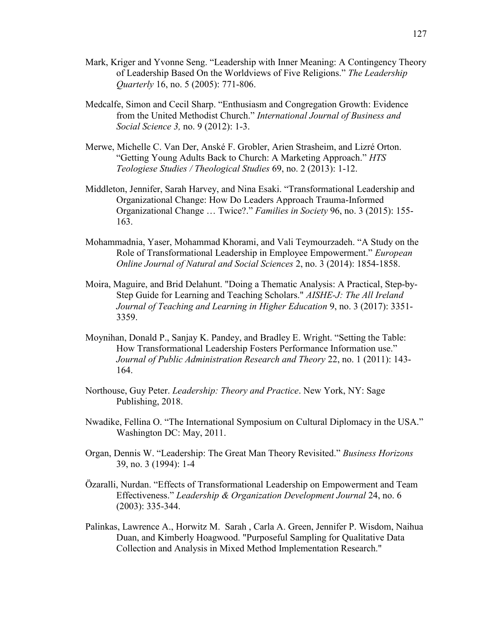- Mark, Kriger and Yvonne Seng. "Leadership with Inner Meaning: A Contingency Theory of Leadership Based On the Worldviews of Five Religions." *The Leadership Quarterly* 16, no. 5 (2005): 771-806.
- Medcalfe, Simon and Cecil Sharp. "Enthusiasm and Congregation Growth: Evidence from the United Methodist Church." *International Journal of Business and Social Science 3,* no. 9 (2012): 1-3.
- Merwe, Michelle C. Van Der, Anské F. Grobler, Arien Strasheim, and Lizré Orton. "Getting Young Adults Back to Church: A Marketing Approach." *HTS Teologiese Studies / Theological Studies* 69, no. 2 (2013): 1-12.
- Middleton, Jennifer, Sarah Harvey, and Nina Esaki. "Transformational Leadership and Organizational Change: How Do Leaders Approach Trauma-Informed Organizational Change … Twice?." *Families in Society* 96, no. 3 (2015): 155- 163.
- Mohammadnia, Yaser, Mohammad Khorami, and Vali Teymourzadeh. "A Study on the Role of Transformational Leadership in Employee Empowerment." *European Online Journal of Natural and Social Sciences* 2, no. 3 (2014): 1854-1858.
- Moira, Maguire, and Brid Delahunt. "Doing a Thematic Analysis: A Practical, Step-by-Step Guide for Learning and Teaching Scholars." *AISHE-J: The All Ireland Journal of Teaching and Learning in Higher Education* 9, no. 3 (2017): 3351- 3359.
- Moynihan, Donald P., Sanjay K. Pandey, and Bradley E. Wright. "Setting the Table: How Transformational Leadership Fosters Performance Information use." *Journal of Public Administration Research and Theory* 22, no. 1 (2011): 143- 164.
- Northouse, Guy Peter. *Leadership: Theory and Practice*. New York, NY: Sage Publishing, 2018.
- Nwadike, Fellina O. "The International Symposium on Cultural Diplomacy in the USA." Washington DC: May, 2011.
- Organ, Dennis W. "Leadership: The Great Man Theory Revisited." *Business Horizons*  39, no. 3 (1994): 1-4
- Özaralli, Nurdan. "Effects of Transformational Leadership on Empowerment and Team Effectiveness." *Leadership & Organization Development Journal* 24, no. 6 (2003): 335-344.
- Palinkas, Lawrence A., Horwitz M. Sarah , Carla A. Green, Jennifer P. Wisdom, Naihua Duan, and Kimberly Hoagwood. "Purposeful Sampling for Qualitative Data Collection and Analysis in Mixed Method Implementation Research."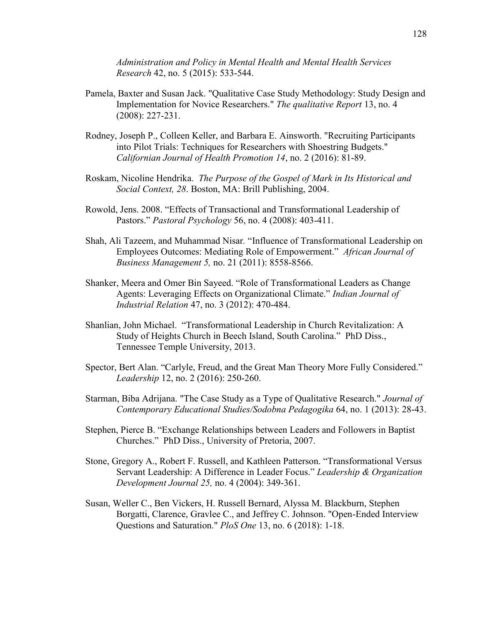*Administration and Policy in Mental Health and Mental Health Services Research* 42, no. 5 (2015): 533-544.

- Pamela, Baxter and Susan Jack. "Qualitative Case Study Methodology: Study Design and Implementation for Novice Researchers." *The qualitative Report* 13, no. 4 (2008): 227-231.
- Rodney, Joseph P., Colleen Keller, and Barbara E. Ainsworth. "Recruiting Participants into Pilot Trials: Techniques for Researchers with Shoestring Budgets." *Californian Journal of Health Promotion 14*, no. 2 (2016): 81-89.
- Roskam, Nicoline Hendrika. *The Purpose of the Gospel of Mark in Its Historical and Social Context, 28*. Boston, MA: Brill Publishing, 2004.
- Rowold, Jens. 2008. "Effects of Transactional and Transformational Leadership of Pastors." *Pastoral Psychology* 56, no. 4 (2008): 403-411.
- Shah, Ali Tazeem, and Muhammad Nisar*.* "Influence of Transformational Leadership on Employees Outcomes: Mediating Role of Empowerment." *African Journal of Business Management 5,* no. 21 (2011): 8558-8566.
- Shanker, Meera and Omer Bin Sayeed. "Role of Transformational Leaders as Change Agents: Leveraging Effects on Organizational Climate." *Indian Journal of Industrial Relation* 47, no. 3 (2012): 470-484.
- Shanlian, John Michael. "Transformational Leadership in Church Revitalization: A Study of Heights Church in Beech Island, South Carolina." PhD Diss., Tennessee Temple University, 2013.
- Spector, Bert Alan. "Carlyle, Freud, and the Great Man Theory More Fully Considered." *Leadership* 12, no. 2 (2016): 250-260.
- Starman, Biba Adrijana. "The Case Study as a Type of Qualitative Research." *Journal of Contemporary Educational Studies/Sodobna Pedagogika* 64, no. 1 (2013): 28-43.
- Stephen, Pierce B. "Exchange Relationships between Leaders and Followers in Baptist Churches." PhD Diss., University of Pretoria, 2007.
- Stone, Gregory A., Robert F. Russell, and Kathleen Patterson. "Transformational Versus Servant Leadership: A Difference in Leader Focus." *Leadership & Organization Development Journal 25,* no. 4 (2004): 349-361.
- Susan, Weller C., Ben Vickers, H. Russell Bernard, Alyssa M. Blackburn, Stephen Borgatti, Clarence, Gravlee C., and Jeffrey C. Johnson. "Open-Ended Interview Questions and Saturation." *PloS One* 13, no. 6 (2018): 1-18.